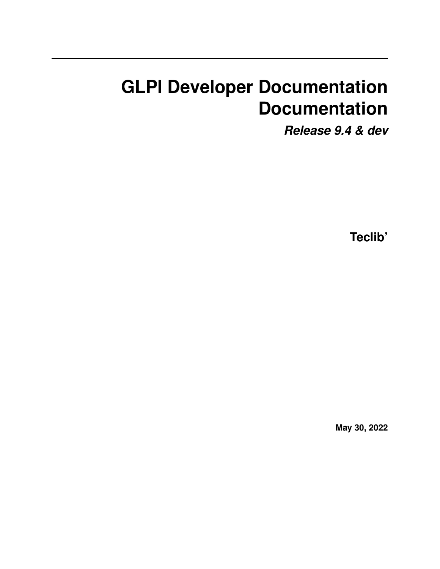# **GLPI Developer Documentation Documentation**

*Release 9.4 & dev*

**Teclib'**

**May 30, 2022**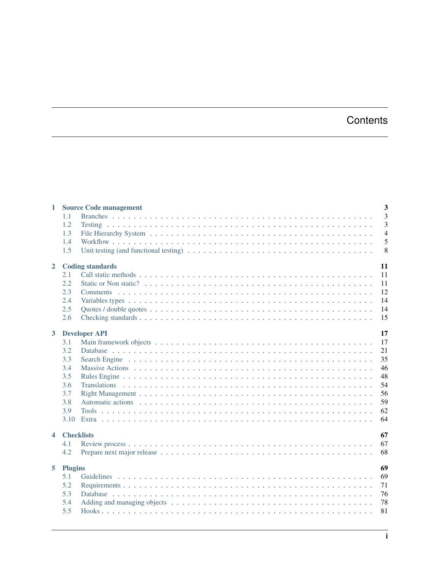# **Contents**

| $\mathbf{1}$   |                   | <b>Source Code management</b>                                                                                                     | 3              |
|----------------|-------------------|-----------------------------------------------------------------------------------------------------------------------------------|----------------|
|                | 1.1               |                                                                                                                                   | $\overline{3}$ |
|                | 1.2               |                                                                                                                                   | 3              |
|                | 1.3               |                                                                                                                                   | $\overline{4}$ |
|                | 1.4               |                                                                                                                                   | 5              |
|                | 1.5               | Unit testing (and functional testing) $\dots \dots \dots \dots \dots \dots \dots \dots \dots \dots \dots \dots \dots \dots \dots$ | 8              |
| $\overline{2}$ |                   | 11<br><b>Coding standards</b>                                                                                                     |                |
|                | 2.1               | 11                                                                                                                                |                |
|                | 2.2               | 11                                                                                                                                |                |
|                | 2.3               | 12                                                                                                                                |                |
|                | 2.4               | 14                                                                                                                                |                |
|                | 2.5               | 14                                                                                                                                |                |
|                | 2.6               | 15                                                                                                                                |                |
|                |                   |                                                                                                                                   |                |
| $\mathbf{3}$   |                   | 17<br><b>Developer API</b>                                                                                                        |                |
|                | 3.1               | 17                                                                                                                                |                |
|                | 3.2               | 21                                                                                                                                |                |
|                | 3.3               | 35                                                                                                                                |                |
|                | 3.4               | 46                                                                                                                                |                |
|                | 3.5               | 48                                                                                                                                |                |
|                | 3.6               | 54                                                                                                                                |                |
|                | 3.7               | 56                                                                                                                                |                |
|                | 3.8               | 59                                                                                                                                |                |
|                | 3.9               | 62                                                                                                                                |                |
|                | 3.10              | 64                                                                                                                                |                |
|                |                   |                                                                                                                                   |                |
| 4              | <b>Checklists</b> | 67                                                                                                                                |                |
|                | 4.1               | 67                                                                                                                                |                |
|                | 4.2               | 68                                                                                                                                |                |
| 5              | <b>Plugins</b>    | 69                                                                                                                                |                |
|                | 5.1               | 69                                                                                                                                |                |
|                | 5.2               | 71                                                                                                                                |                |
|                | 5.3               | 76                                                                                                                                |                |
|                | 5.4               | 78                                                                                                                                |                |
|                | 5.5               | 81                                                                                                                                |                |
|                |                   |                                                                                                                                   |                |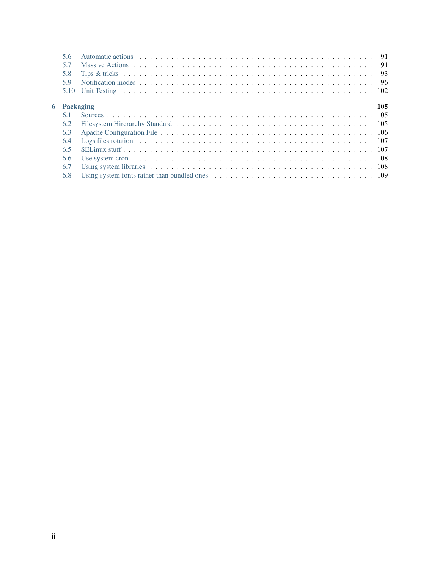| 56                 |     |  |
|--------------------|-----|--|
|                    |     |  |
| 5.8                |     |  |
| 59                 |     |  |
|                    |     |  |
| <b>6</b> Packaging | 105 |  |
| 6.1                |     |  |
| 6.2                |     |  |
| 6.3                |     |  |
| 6.4                |     |  |
| 6.5                |     |  |
| 6.6                |     |  |
| 6.7                |     |  |
| 6.8                |     |  |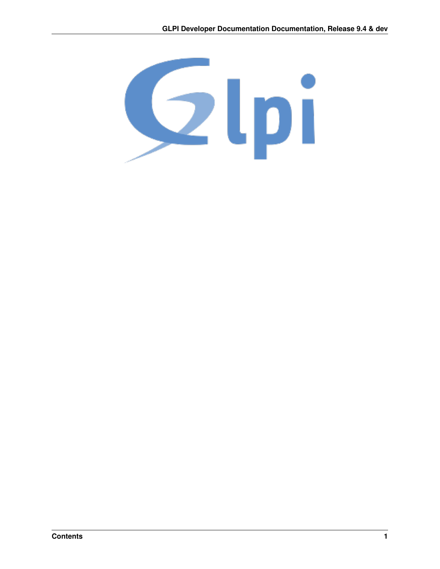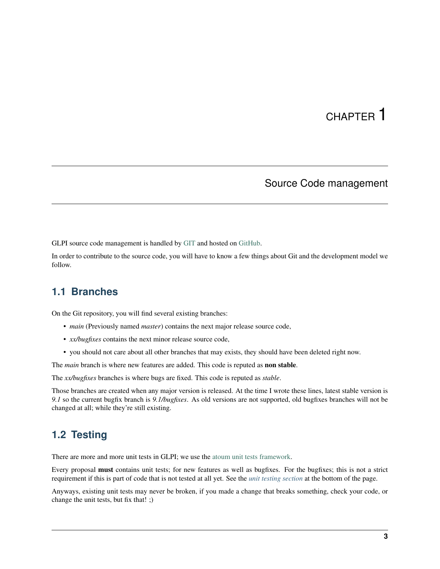# CHAPTER 1

# Source Code management

<span id="page-6-0"></span>GLPI source code management is handled by [GIT](https://en.wikipedia.org/wiki/Git) and hosted on [GitHub.](https://github.com/glpi-project/glpi)

In order to contribute to the source code, you will have to know a few things about Git and the development model we follow.

# <span id="page-6-1"></span>**1.1 Branches**

On the Git repository, you will find several existing branches:

- *main* (Previously named *master*) contains the next major release source code,
- *xx/bugfixes* contains the next minor release source code,
- you should not care about all other branches that may exists, they should have been deleted right now.

The *main* branch is where new features are added. This code is reputed as non stable.

The *xx/bugfixes* branches is where bugs are fixed. This code is reputed as *stable*.

Those branches are created when any major version is released. At the time I wrote these lines, latest stable version is *9.1* so the current bugfix branch is *9.1/bugfixes*. As old versions are not supported, old bugfixes branches will not be changed at all; while they're still existing.

# <span id="page-6-2"></span>**1.2 Testing**

There are more and more unit tests in GLPI; we use the [atoum unit tests framework.](http://atoum.org)

Every proposal must contains unit tests; for new features as well as bugfixes. For the bugfixes; this is not a strict requirement if this is part of code that is not tested at all yet. See the *[unit testing section](#page-11-0)* at the bottom of the page.

Anyways, existing unit tests may never be broken, if you made a change that breaks something, check your code, or change the unit tests, but fix that! ;)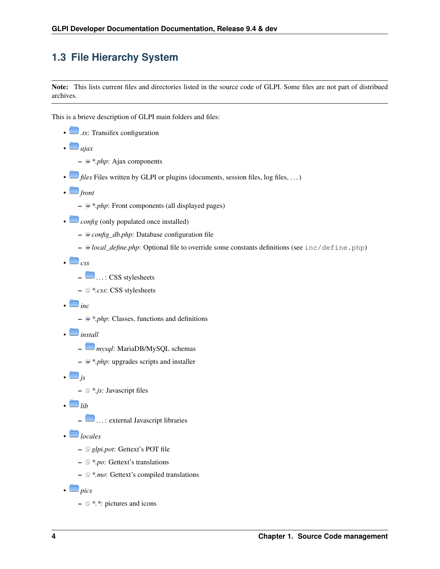# <span id="page-7-0"></span>**1.3 File Hierarchy System**

Note: This lists current files and directories listed in the source code of GLPI. Some files are not part of distribued archives.

This is a brieve description of GLPI main folders and files:

- *.tx*: Transifex configuration
- *ajax*
	- *\*.php*: Ajax components
- *files* Files written by GLPI or plugins (documents, session files, log files, ...)
- *front*
	- *\*.php*: Front components (all displayed pages)
- *config* (only populated once installed)
	- *config\_db.php*: Database configuration file
	- *local\_define.php*: Optional file to override some constants definitions (see inc/define.php)
- $\bullet$   $\Box$   $_{CSS}$ 
	- *. . .* : CSS stylesheets
	- *\*.css*: CSS stylesheets
- $\bullet$   $\blacksquare$  *inc* 
	- *\*.php*: Classes, functions and definitions
- *install*
	- *mysql*: MariaDB/MySQL schemas
	- *\*.php*: upgrades scripts and installer
- $\bullet$   $\blacksquare$  *js* 
	- *\*.js*: Javascript files
- *lib*
	- *. . .* : external Javascript libraries
- *locales*
	- *glpi.pot*: Gettext's POT file
	- *\*.po*: Gettext's translations
	- *\*.mo*: Gettext's compiled translations
- *pics*
	- *\*.\**: pictures and icons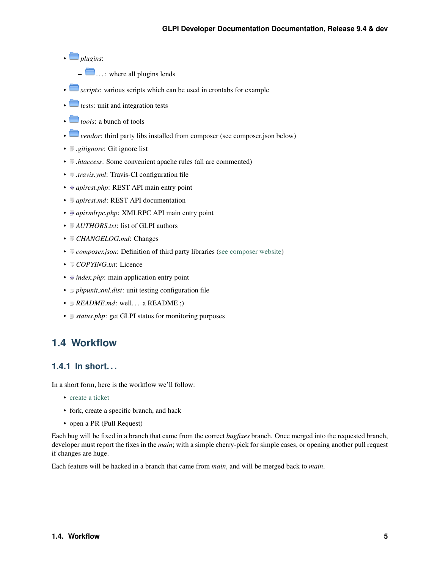- *plugins*:
	- *. . .* : where all plugins lends
- *scripts*: various scripts which can be used in crontabs for example
- *tests*: unit and integration tests
- $\Box$  *tools*: a bunch of tools
- *vendor*: third party libs installed from composer (see composer.json below)
- *.gitignore*: Git ignore list
- *.htaccess*: Some convenient apache rules (all are commented)
- *.travis.yml*: Travis-CI configuration file
- *apirest.php*: REST API main entry point
- *apirest.md*: REST API documentation
- *apixmlrpc.php*: XMLRPC API main entry point
- *AUTHORS.txt*: list of GLPI authors
- *CHANGELOG.md*: Changes
- *composer.json*: Definition of third party libraries [\(see composer website\)](https://getcomposer.org)
- *COPYING.txt*: Licence
- *index.php*: main application entry point
- *phpunit.xml.dist*: unit testing configuration file
- *README.md*: well... a README ;)
- *status.php*: get GLPI status for monitoring purposes

# <span id="page-8-0"></span>**1.4 Workflow**

# **1.4.1 In short. . .**

In a short form, here is the workflow we'll follow:

- [create a ticket](https://github.com/glpi-project/glpi/issues/new)
- fork, create a specific branch, and hack
- open a PR (Pull Request)

Each bug will be fixed in a branch that came from the correct *bugfixes* branch. Once merged into the requested branch, developer must report the fixes in the *main*; with a simple cherry-pick for simple cases, or opening another pull request if changes are huge.

Each feature will be hacked in a branch that came from *main*, and will be merged back to *main*.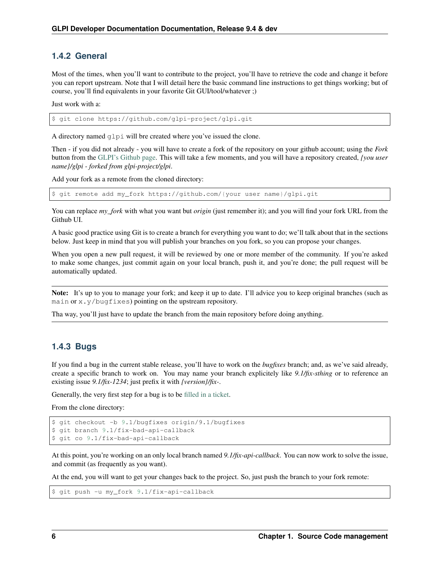# **1.4.2 General**

Most of the times, when you'll want to contribute to the project, you'll have to retrieve the code and change it before you can report upstream. Note that I will detail here the basic command line instructions to get things working; but of course, you'll find equivalents in your favorite Git GUI/tool/whatever ;)

Just work with a:

\$ git clone https://github.com/glpi-project/glpi.git

A directory named  $q \ln i$  will bre created where you've issued the clone.

Then - if you did not already - you will have to create a fork of the repository on your github account; using the *Fork* button from the [GLPI's Github page.](https://github.com/glpi-project/glpi/) This will take a few moments, and you will have a repository created, *{you user name}/glpi - forked from glpi-project/glpi*.

Add your fork as a remote from the cloned directory:

\$ git remote add my\_fork https://github.com/{your user name}/glpi.git

You can replace  $my\_fork$  with what you want but *origin* (just remember it); and you will find your fork URL from the Github UI.

A basic good practice using Git is to create a branch for everything you want to do; we'll talk about that in the sections below. Just keep in mind that you will publish your branches on you fork, so you can propose your changes.

When you open a new pull request, it will be reviewed by one or more member of the community. If you're asked to make some changes, just commit again on your local branch, push it, and you're done; the pull request will be automatically updated.

Note: It's up to you to manage your fork; and keep it up to date. I'll advice you to keep original branches (such as main or x.y/bugfixes) pointing on the upstream repository.

Tha way, you'll just have to update the branch from the main repository before doing anything.

## **1.4.3 Bugs**

If you find a bug in the current stable release, you'll have to work on the *bugfixes* branch; and, as we've said already, create a specific branch to work on. You may name your branch explicitely like *9.1/fix-sthing* or to reference an existing issue *9.1/fix-1234*; just prefix it with *{version}/fix-*.

Generally, the very first step for a bug is to be [filled in a ticket.](https://github.com/glpi-project/glpi/issues)

From the clone directory:

```
$ git checkout -b 9.1/bugfixes origin/9.1/bugfixes
$ git branch 9.1/fix-bad-api-callback
$ git co 9.1/fix-bad-api-callback
```
At this point, you're working on an only local branch named *9.1/fix-api-callback*. You can now work to solve the issue, and commit (as frequently as you want).

At the end, you will want to get your changes back to the project. So, just push the branch to your fork remote:

```
$ git push -u my_fork 9.1/fix-api-callback
```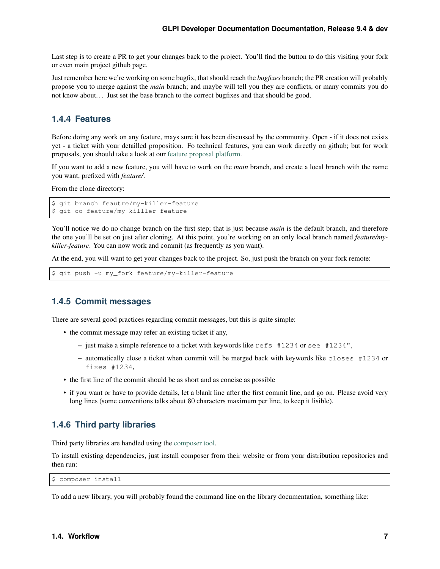Last step is to create a PR to get your changes back to the project. You'll find the button to do this visiting your fork or even main project github page.

Just remember here we're working on some bugfix, that should reach the *bugfixes* branch; the PR creation will probably propose you to merge against the *main* branch; and maybe will tell you they are conflicts, or many commits you do not know about. . . Just set the base branch to the correct bugfixes and that should be good.

# **1.4.4 Features**

Before doing any work on any feature, mays sure it has been discussed by the community. Open - if it does not exists yet - a ticket with your detailled proposition. Fo technical features, you can work directly on github; but for work proposals, you should take a look at our [feature proposal platform.](http://glpi.userecho.com/)

If you want to add a new feature, you will have to work on the *main* branch, and create a local branch with the name you want, prefixed with *feature/*.

From the clone directory:

```
$ git branch feautre/my-killer-feature
$ git co feature/my-killler feature
```
You'll notice we do no change branch on the first step; that is just because *main* is the default branch, and therefore the one you'll be set on just after cloning. At this point, you're working on an only local branch named *feature/mykiller-feature*. You can now work and commit (as frequently as you want).

At the end, you will want to get your changes back to the project. So, just push the branch on your fork remote:

```
$ git push -u my_fork feature/my-killer-feature
```
# **1.4.5 Commit messages**

There are several good practices regarding commit messages, but this is quite simple:

- the commit message may refer an existing ticket if any,
	- just make a simple reference to a ticket with keywords like refs  $#1234$  or see  $#1234$ ",
	- automatically close a ticket when commit will be merged back with keywords like closes #1234 or fixes #1234,
- the first line of the commit should be as short and as concise as possible
- if you want or have to provide details, let a blank line after the first commit line, and go on. Please avoid very long lines (some conventions talks about 80 characters maximum per line, to keep it lisible).

## **1.4.6 Third party libraries**

Third party libraries are handled using the [composer tool.](http://getcomposer.org)

To install existing dependencies, just install composer from their website or from your distribution repositories and then run:

\$ composer install

To add a new library, you will probably found the command line on the library documentation, something like: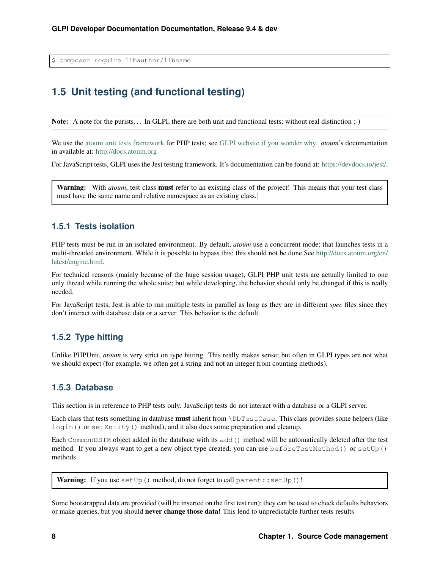\$ composer require libauthor/libname

# <span id="page-11-0"></span>**1.5 Unit testing (and functional testing)**

Note: A note for the purists... In GLPI, there are both unit and functional tests; without real distinction ;-)

We use the [atoum unit tests framework](http://atoum.org) for PHP tests; see [GLPI website if you wonder why.](http://glpi-project.org/spip.php?breve375) *atoum*'s documentation in available at: <http://docs.atoum.org>

For JavaScript tests, GLPI uses the Jest testing framework. It's documentation can be found at: [https://devdocs.io/jest/.](https://devdocs.io/jest/)

Warning: With *atoum*, test class **must** refer to an existing class of the project! This means that your test class must have the same name and relative namespace as an existing class.]

# **1.5.1 Tests isolation**

PHP tests must be run in an isolated environment. By default, *atoum* use a concurrent mode; that launches tests in a multi-threaded environment. While it is possible to bypass this; this should not be done See [http://docs.atoum.org/en/](http://docs.atoum.org/en/latest/engine.html) [latest/engine.html.](http://docs.atoum.org/en/latest/engine.html)

For technical reasons (mainly because of the huge session usage), GLPI PHP unit tests are actually limited to one only thread while running the whole suite; but while developing, the behavior should only be changed if this is really needed.

For JavaScript tests, Jest is able to run multiple tests in parallel as long as they are in different *spec* files since they don't interact with database data or a server. This behavior is the default.

# **1.5.2 Type hitting**

Unlike PHPUnit, *atoum* is very strict on type hitting. This really makes sense; but often in GLPI types are not what we should expect (for example, we often get a string and not an integer from counting methods).

# **1.5.3 Database**

This section is in reference to PHP tests only. JavaScript tests do not interact with a database or a GLPI server.

Each class that tests something in database must inherit from \DbTestCase. This class provides some helpers (like login() or setEntity() method); and it also does some preparation and cleanup.

Each CommonDBTM object added in the database with its add () method will be automatically deleted after the test method. If you always want to get a new object type created, you can use beforeTestMethod() or setUp() methods.

**Warning:** If you use  $setUp()$  method, do not forget to call  $parent::setUp()!$ 

Some bootstrapped data are provided (will be inserted on the first test run); they can be used to check defaults behaviors or make queries, but you should **never change those data!** This lend to unpredictable further tests results.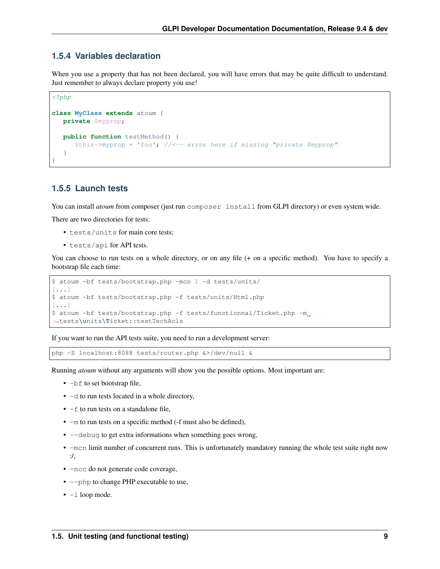## **1.5.4 Variables declaration**

When you use a property that has not been declared, you will have errors that may be quite difficult to understand. Just remember to always declare property you use!

```
<?php
class MyClass extends atoum {
  private $myprop;
   public function testMethod() {
      $this->myprop = 'foo'; //<-- error here if missing "private $myprop"
   }
}
```
#### **1.5.5 Launch tests**

You can install *atoum* from composer (just run composer install from GLPI directory) or even system wide.

There are two directories for tests:

- tests/units for main core tests;
- tests/api for API tests.

You can choose to run tests on a whole directory, or on any file (+ on a specific method). You have to specify a bootstrap file each time:

```
$ atoum -bf tests/bootstrap.php -mcn 1 -d tests/units/
[\ldots]$ atoum -bf tests/bootstrap.php -f tests/units/Html.php
[...]
$ atoum -bf tests/bootstrap.php -f tests/functionnal/Ticket.php -m
˓→tests\units\Ticket::testTechAcls
```
If you want to run the API tests suite, you need to run a development server:

php -S localhost:8088 tests/router.php &>/dev/null &

Running *atoum* without any arguments will show you the possible options. Most important are:

- -bf to set bootstrap file,
- $-d$  to run tests located in a whole directory,
- $\bullet$  -f to run tests on a standalone file,
- -m to run tests on a specific method (-f must also be defined),
- $-\text{delay}$  to get extra informations when something goes wrong,
- -mcn limit number of concurrent runs. This is unfortunately mandatory running the whole test suite right now :/,
- -ncc do not generate code coverage,
- --php to change PHP executable to use,
- $\bullet$  -1 loop mode.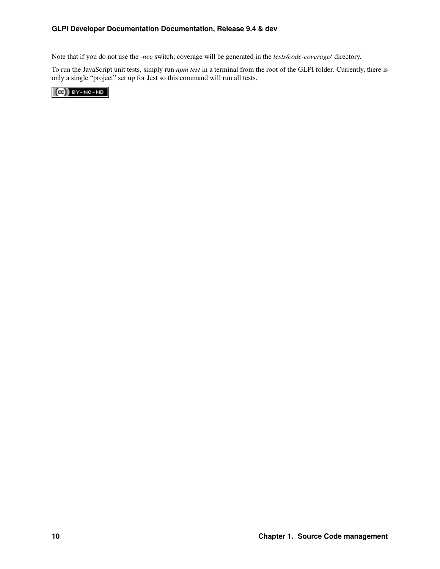Note that if you do not use the *-ncc* switch; coverage will be generated in the *tests/code-coverage/* directory.

To run the JavaScript unit tests, simply run *npm test* in a terminal from the root of the GLPI folder. Currently, there is only a single "project" set up for Jest so this command will run all tests.

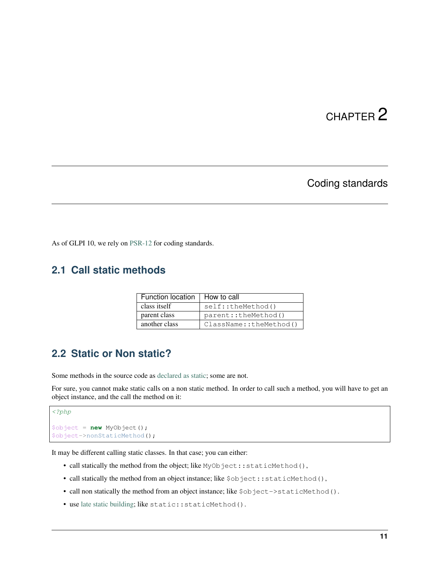# CHAPTER 2

# Coding standards

<span id="page-14-0"></span>As of GLPI 10, we rely on [PSR-12](https://www.php-fig.org/psr/psr-12/) for coding standards.

# <span id="page-14-1"></span>**2.1 Call static methods**

| Function location | How to call            |
|-------------------|------------------------|
| class itself      | self::theMethod()      |
| parent class      | parent::theMethod()    |
| another class     | ClassName::theMethod() |

# <span id="page-14-2"></span>**2.2 Static or Non static?**

Some methods in the source code as [declared as static;](http://php.net/manual/fr/language.oop5.static.php) some are not.

For sure, you cannot make static calls on a non static method. In order to call such a method, you will have to get an object instance, and the call the method on it:

```
<?php
$object = new MyObject();
$object->nonStaticMethod();
```
It may be different calling static classes. In that case; you can either:

- call statically the method from the object; like MyObject::staticMethod(),
- call statically the method from an object instance; like  $\delta$ object::staticMethod(),
- call non statically the method from an object instance; like  $\frac{1}{2}$  object->staticMethod().
- use [late static building;](http://php.net/manual/en/language.oop5.late-static-bindings.php) like static:: staticMethod().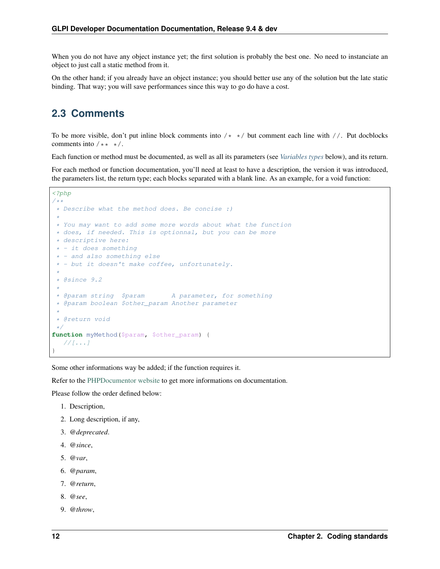When you do not have any object instance yet; the first solution is probably the best one. No need to instanciate an object to just call a static method from it.

On the other hand; if you already have an object instance; you should better use any of the solution but the late static binding. That way; you will save performances since this way to go do have a cost.

# <span id="page-15-0"></span>**2.3 Comments**

To be more visible, don't put inline block comments into  $/ * * /$  but comment each line with  $/ /.$  Put docblocks comments into  $/*$  \* \* /.

Each function or method must be documented, as well as all its parameters (see *[Variables types](#page-17-0)* below), and its return.

For each method or function documentation, you'll need at least to have a description, the version it was introduced, the parameters list, the return type; each blocks separated with a blank line. As an example, for a void function:

```
<?php
/**
* Describe what the method does. Be concise :)
 *
 * You may want to add some more words about what the function
 * does, if needed. This is optionnal, but you can be more
 * descriptive here:
 * - it does something
 * - and also something else
 * - but it doesn't make coffee, unfortunately.
 *
 * @since 9.2
 *
 * @param string $param A parameter, for something
 * @param boolean $other_param Another parameter
 *
 * @return void
 */
function myMethod($param, $other_param) {
  //[...]
}
```
Some other informations way be added; if the function requires it.

Refer to the [PHPDocumentor website](https://phpdoc.org/docs/latest) to get more informations on documentation.

Please follow the order defined below:

- 1. Description,
- 2. Long description, if any,
- 3. *@deprecated*.
- 4. *@since*,
- 5. *@var*,
- 6. *@param*,
- 7. *@return*,
- 8. *@see*,
- 9. *@throw*,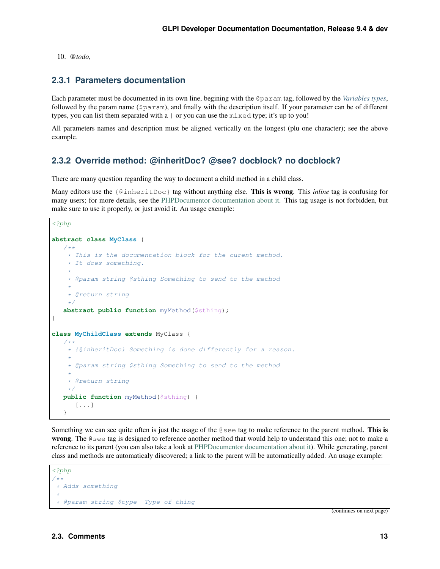10. *@todo*,

## **2.3.1 Parameters documentation**

Each parameter must be documented in its own line, begining with the @param tag, followed by the *[Variables types](#page-17-0)*, followed by the param name (\$param), and finally with the description itself. If your parameter can be of different types, you can list them separated with a  $\vert$  or you can use the mixed type; it's up to you!

All parameters names and description must be aligned vertically on the longest (plu one character); see the above example.

## **2.3.2 Override method: @inheritDoc? @see? docblock? no docblock?**

There are many question regarding the way to document a child method in a child class.

Many editors use the {@inheritDoc} tag without anything else. This is wrong. This *inline* tag is confusing for many users; for more details, see the [PHPDocumentor documentation about it.](https://www.phpdoc.org/docs/latest/guides/inheritance.html#the-inheritdoc-tag) This tag usage is not forbidden, but make sure to use it properly, or just avoid it. An usage exemple:

```
<?php
abstract class MyClass {
   /**
    * This is the documentation block for the curent method.
    * It does something.
    *
    * @param string $sthing Something to send to the method
    *
    * @return string
    */
   abstract public function myMethod($sthing);
}
class MyChildClass extends MyClass {
   /*** {@inheritDoc} Something is done differently for a reason.
    *
    * @param string $sthing Something to send to the method
    *
    * @return string
    */
   public function myMethod($sthing) {
      [...]
   }
```
Something we can see quite often is just the usage of the @see tag to make reference to the parent method. This is wrong. The @see tag is designed to reference another method that would help to understand this one; not to make a reference to its parent (you can also take a look at [PHPDocumentor documentation about it\)](https://www.phpdoc.org/docs/latest/references/phpdoc/tags/see.html). While generating, parent class and methods are automaticaly discovered; a link to the parent will be automatically added. An usage example:

```
<?php
/**
* Adds something
 *
 * @param string $type Type of thing
```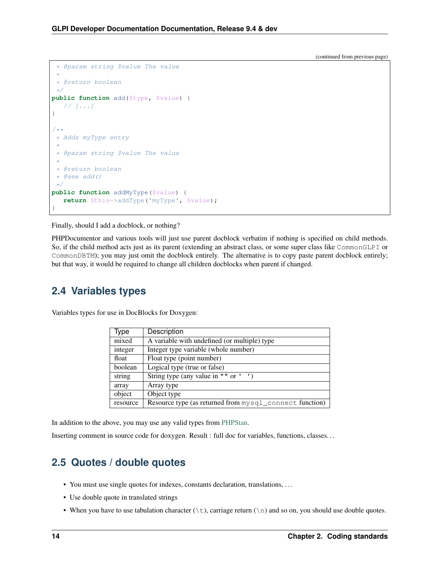(continued from previous page)

```
* @param string $value The value
 *
 * @return boolean
 */
public function add($type, $value) {
   // [...]
}
/ * ** Adds myType entry
 *
 * @param string $value The value
 *
 * @return boolean
 * @see add()
 */
public function addMyType($value) {
   return $this->addType('myType', $value);
}
```
Finally, should I add a docblock, or nothing?

PHPDocumentor and various tools will just use parent docblock verbatim if nothing is specified on child methods. So, if the child method acts just as its parent (extending an abstract class, or some super class like CommonGLPI or CommonDBTM); you may just omit the docblock entirely. The alternative is to copy paste parent docblock entirely; but that way, it would be required to change all children docblocks when parent if changed.

# <span id="page-17-0"></span>**2.4 Variables types**

Variables types for use in DocBlocks for Doxygen:

| Type     | Description                                             |  |
|----------|---------------------------------------------------------|--|
| mixed    | A variable with undefined (or multiple) type            |  |
| integer  | Integer type variable (whole number)                    |  |
| float    | Float type (point number)                               |  |
| boolean  | Logical type (true or false)                            |  |
| string   | String type (any value in $" " or "$ )                  |  |
| array    | Array type                                              |  |
| object   | Object type                                             |  |
| resource | Resource type (as returned from mysql_connect function) |  |

In addition to the above, you may use any valid types from [PHPStan.](https://phpstan.org/writing-php-code/phpdoc-types)

Inserting comment in source code for doxygen. Result : full doc for variables, functions, classes. . .

# <span id="page-17-1"></span>**2.5 Quotes / double quotes**

- You must use single quotes for indexes, constants declaration, translations, . . .
- Use double quote in translated strings
- When you have to use tabulation character ( $\setminus t$ ), carriage return ( $\setminus n$ ) and so on, you should use double quotes.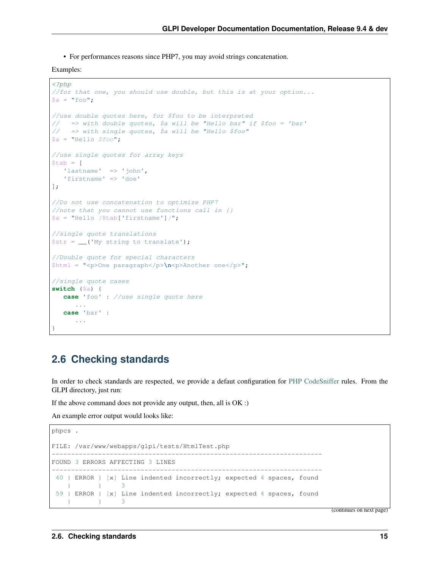• For performances reasons since PHP7, you may avoid strings concatenation.

Examples:

}

```
<?php
//for that one, you should use double, but this is at your option...
\text{Sa} = \text{``foo''};
//use double quotes here, for $foo to be interpreted
// \Rightarrow with double quotes, \sin^{-1} be "Hello bar" if \sin^{-1} stor
// => with single quotes, \frac{1}{2} will be "Hello \frac{1}{2}foo"
$a = "Hello $foo";//use single quotes for array keys
$tab = ['lastname' => 'john',
   'firstname' => 'doe'
];
//Do not use concatenation to optimize PHP7
//note that you cannot use functions call in {}
\hat{s}a = "Hello / $tab['firstname']}/";//single quote translations
$str = ('My string to translate');
//Double quote for special characters
$html = "<p>One paragraph</p>\n<p>Another one</p>";
//single quote cases
switch ($a) {
   case 'foo' : //use single quote here
      ...
   case 'bar' :
      ...
```
# <span id="page-18-0"></span>**2.6 Checking standards**

In order to check standards are respected, we provide a defaut configuration for [PHP CodeSniffer](http://pear.php.net/package/PHP_CodeSniffer) rules. From the GLPI directory, just run:

If the above command does not provide any output, then, all is OK :)

An example error output would looks like:

```
phpcs .
FILE: /var/www/webapps/glpi/tests/HtmlTest.php
----------------------------------------------------------------------
FOUND 3 ERRORS AFFECTING 3 LINES
----------------------------------------------------------------------
40 | ERROR | [x] Line indented incorrectly; expected 4 spaces, found
   | | 3
59 | ERROR | [x] Line indented incorrectly; expected 4 spaces, found
  | | 3
```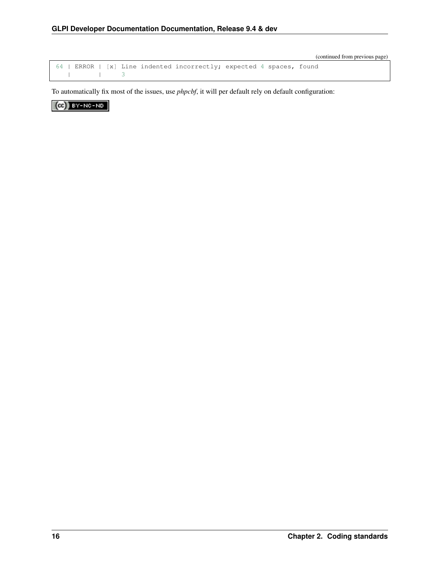(continued from previous page)

```
64 | ERROR | [x] Line indented incorrectly; expected 4 spaces, found
  | | 3
```
To automatically fix most of the issues, use *phpcbf*, it will per default rely on default configuration:

 $(G)$  BY-NC-ND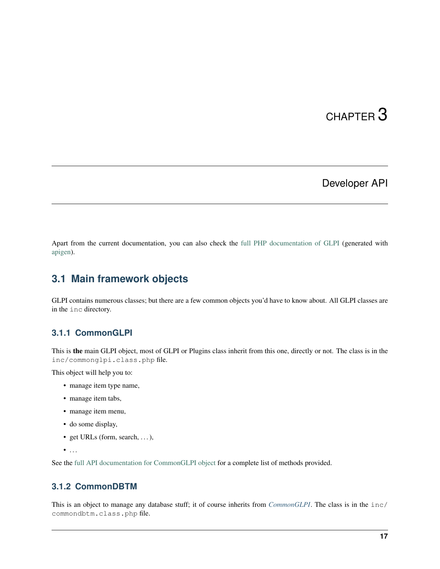# CHAPTER 3

# Developer API

<span id="page-20-0"></span>Apart from the current documentation, you can also check the [full PHP documentation of GLPI](https://forge.glpi-project.org/apidoc/) (generated with [apigen\)](http://www.apigen.org/).

# <span id="page-20-1"></span>**3.1 Main framework objects**

GLPI contains numerous classes; but there are a few common objects you'd have to know about. All GLPI classes are in the inc directory.

## <span id="page-20-2"></span>**3.1.1 CommonGLPI**

This is the main GLPI object, most of GLPI or Plugins class inherit from this one, directly or not. The class is in the inc/commonglpi.class.php file.

This object will help you to:

- manage item type name,
- manage item tabs,
- manage item menu,
- do some display,
- get URLs (form, search, ...),

 $\bullet$  . . .

See the [full API documentation for CommonGLPI object](https://forge.glpi-project.org/apidoc/class-CommonGLPI.html) for a complete list of methods provided.

# <span id="page-20-3"></span>**3.1.2 CommonDBTM**

This is an object to manage any database stuff; it of course inherits from *[CommonGLPI](#page-20-2)*. The class is in the inc/ commondbtm.class.php file.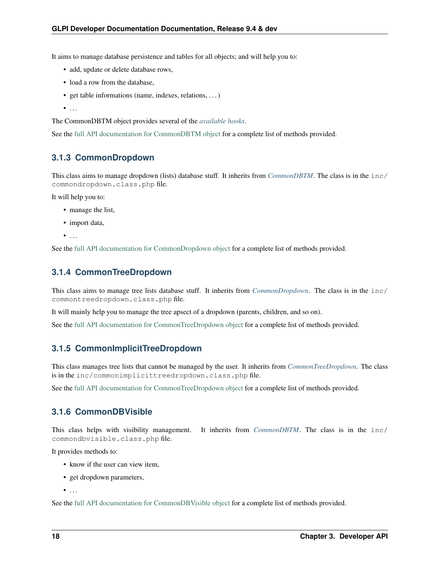It aims to manage database persistence and tables for all objects; and will help you to:

- add, update or delete database rows,
- load a row from the database,
- get table informations (name, indexes, relations, . . . )
- $\bullet$  ...

The CommonDBTM object provides several of the *[available hooks](#page-84-0)*.

See the [full API documentation for CommonDBTM object](https://forge.glpi-project.org/apidoc/class-CommonDBTM.html) for a complete list of methods provided.

## <span id="page-21-0"></span>**3.1.3 CommonDropdown**

This class aims to manage dropdown (lists) database stuff. It inherits from *[CommonDBTM](#page-20-3)*. The class is in the inc/ commondropdown.class.php file.

It will help you to:

- manage the list,
- import data,
- $\bullet$  ...

See the [full API documentation for CommonDropdown object](https://forge.glpi-project.org/apidoc/class-CommonDropdown.html) for a complete list of methods provided.

## <span id="page-21-1"></span>**3.1.4 CommonTreeDropdown**

This class aims to manage tree lists database stuff. It inherits from *[CommonDropdown](#page-21-0)*. The class is in the inc/ commontreedropdown.class.php file.

It will mainly help you to manage the tree apsect of a dropdown (parents, children, and so on).

See the [full API documentation for CommonTreeDropdown object](https://forge.glpi-project.org/apidoc/class-CommonTreeDropdown.html) for a complete list of methods provided.

## **3.1.5 CommonImplicitTreeDropdown**

This class manages tree lists that cannot be managed by the user. It inherits from *[CommonTreeDropdown](#page-21-1)*. The class is in the inc/commonimplicittreedropdown.class.php file.

See the [full API documentation for CommonTreeDropdown object](https://forge.glpi-project.org/apidoc/class-CommonTreeDropdown.html) for a complete list of methods provided.

## **3.1.6 CommonDBVisible**

This class helps with visibility management. It inherits from *[CommonDBTM](#page-20-3)*. The class is in the inc/ commondbvisible.class.php file.

It provides methods to:

- know if the user can view item,
- get dropdown parameters,
- $\bullet$  ...

See the [full API documentation for CommonDBVisible object](https://forge.glpi-project.org/apidoc/class-CommonDBVisible.html) for a complete list of methods provided.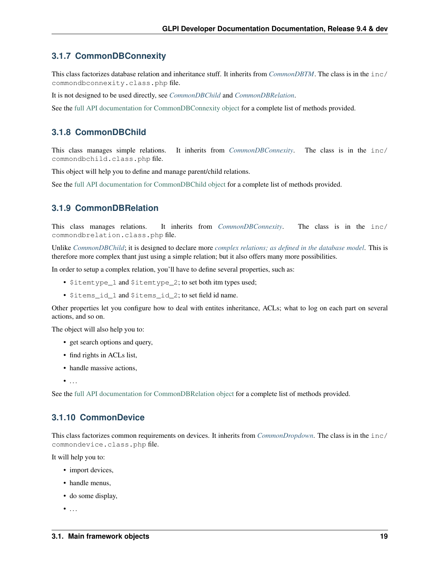# <span id="page-22-2"></span>**3.1.7 CommonDBConnexity**

This class factorizes database relation and inheritance stuff. It inherits from *[CommonDBTM](#page-20-3)*. The class is in the inc/ commondbconnexity.class.php file.

It is not designed to be used directly, see *[CommonDBChild](#page-22-0)* and *[CommonDBRelation](#page-22-1)*.

See the [full API documentation for CommonDBConnexity object](https://forge.glpi-project.org/apidoc/class-CommonDBConnexity.html) for a complete list of methods provided.

# <span id="page-22-0"></span>**3.1.8 CommonDBChild**

This class manages simple relations. It inherits from *[CommonDBConnexity](#page-22-2)*. The class is in the inc/ commondbchild.class.php file.

This object will help you to define and manage parent/child relations.

See the [full API documentation for CommonDBChild object](https://forge.glpi-project.org/apidoc/class-CommonDBChild.html) for a complete list of methods provided.

# <span id="page-22-1"></span>**3.1.9 CommonDBRelation**

This class manages relations. It inherits from *[CommonDBConnexity](#page-22-2)*. The class is in the inc/ commondbrelation.class.php file.

Unlike *[CommonDBChild](#page-22-0)*; it is designed to declare more *[complex relations; as defined in the database model](#page-26-0)*. This is therefore more complex thant just using a simple relation; but it also offers many more possibilities.

In order to setup a complex relation, you'll have to define several properties, such as:

- \$itemtype 1 and \$itemtype 2; to set both itm types used;
- \$items\_id\_1 and \$items\_id\_2; to set field id name.

Other properties let you configure how to deal with entites inheritance, ACLs; what to log on each part on several actions, and so on.

The object will also help you to:

- get search options and query,
- find rights in ACLs list,
- handle massive actions,
- $\bullet$  ...

See the [full API documentation for CommonDBRelation object](https://forge.glpi-project.org/apidoc/class-CommonDBRelation.html) for a complete list of methods provided.

## **3.1.10 CommonDevice**

This class factorizes common requirements on devices. It inherits from *[CommonDropdown](#page-21-0)*. The class is in the inc/ commondevice.class.php file.

It will help you to:

- import devices,
- handle menus,
- do some display,

 $\bullet$  ...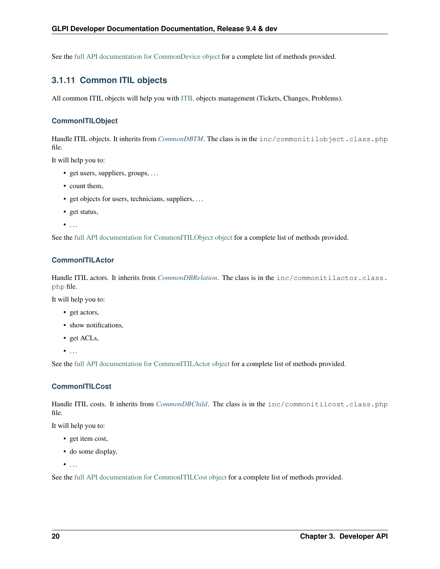See the [full API documentation for CommonDevice object](https://forge.glpi-project.org/apidoc/class-CommonDevice.html) for a complete list of methods provided.

# **3.1.11 Common ITIL objects**

All common ITIL objects will help you with [ITIL](https://en.wikipedia.org/wiki/ITIL) objects management (Tickets, Changes, Problems).

## **CommonITILObject**

Handle ITIL objects. It inherits from *[CommonDBTM](#page-20-3)*. The class is in the inc/commonitilobject.class.php file.

It will help you to:

- get users, suppliers, groups, . . .
- count them,
- get objects for users, technicians, suppliers, ...
- get status,
- $\bullet$  ...

See the [full API documentation for CommonITILObject object](https://forge.glpi-project.org/apidoc/class-CommonITILObject.html) for a complete list of methods provided.

## **CommonITILActor**

Handle ITIL actors. It inherits from *[CommonDBRelation](#page-22-1)*. The class is in the inc/commonitilactor.class. php file.

It will help you to:

- get actors,
- show notifications,
- get ACLs,
- $\bullet$  ...

See the [full API documentation for CommonITILActor object](https://forge.glpi-project.org/apidoc/class-CommonITILActor.html) for a complete list of methods provided.

#### **CommonITILCost**

Handle ITIL costs. It inherits from *[CommonDBChild](#page-22-0)*. The class is in the inc/commonitilcost.class.php file.

It will help you to:

- get item cost,
- do some display,
- $\bullet$  . . . .

See the [full API documentation for CommonITILCost object](https://forge.glpi-project.org/apidoc/class-CommonITILCost.html) for a complete list of methods provided.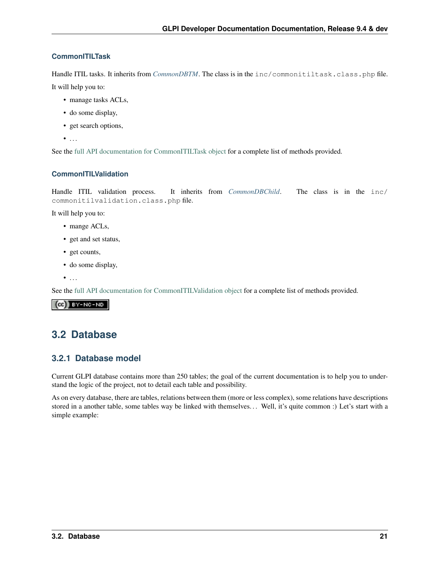## **CommonITILTask**

Handle ITIL tasks. It inherits from *[CommonDBTM](#page-20-3)*. The class is in the inc/commonitiltask.class.php file. It will help you to:

- manage tasks ACLs,
- do some display,
- get search options,
- $\bullet$  ...

See the [full API documentation for CommonITILTask object](https://forge.glpi-project.org/apidoc/class-CommonITILTask.html) for a complete list of methods provided.

## **CommonITILValidation**

Handle ITIL validation process. It inherits from *[CommonDBChild](#page-22-0)*. The class is in the inc/ commonitilvalidation.class.php file.

It will help you to:

- mange ACLs,
- get and set status,
- get counts,
- do some display,
- $\bullet$  ...

See the [full API documentation for CommonITILValidation object](https://forge.glpi-project.org/apidoc/class-CommonITILValidation.html) for a complete list of methods provided.

## $(c\mathbf{c})$  BY-NC-ND

# <span id="page-24-0"></span>**3.2 Database**

# **3.2.1 Database model**

Current GLPI database contains more than 250 tables; the goal of the current documentation is to help you to understand the logic of the project, not to detail each table and possibility.

As on every database, there are tables, relations between them (more or less complex), some relations have descriptions stored in a another table, some tables way be linked with themselves. . . Well, it's quite common :) Let's start with a simple example: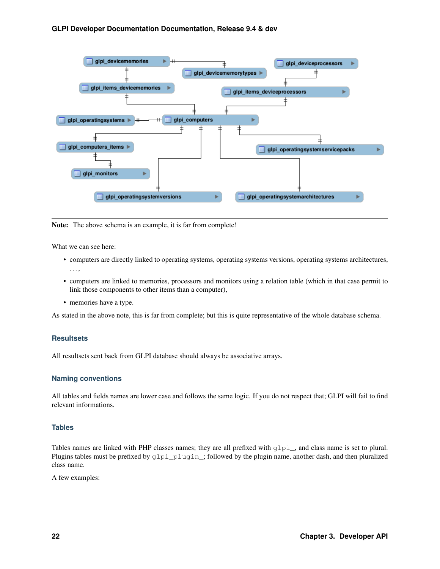

What we can see here:

- computers are directly linked to operating systems, operating systems versions, operating systems architectures, . . . ,
- computers are linked to memories, processors and monitors using a relation table (which in that case permit to link those components to other items than a computer),
- memories have a type.

As stated in the above note, this is far from complete; but this is quite representative of the whole database schema.

#### **Resultsets**

All resultsets sent back from GLPI database should always be associative arrays.

#### **Naming conventions**

All tables and fields names are lower case and follows the same logic. If you do not respect that; GLPI will fail to find relevant informations.

#### **Tables**

Tables names are linked with PHP classes names; they are all prefixed with  $q \ln p$  , and class name is set to plural. Plugins tables must be prefixed by  $qlpipl_pluqin$ ; followed by the plugin name, another dash, and then pluralized class name.

A few examples: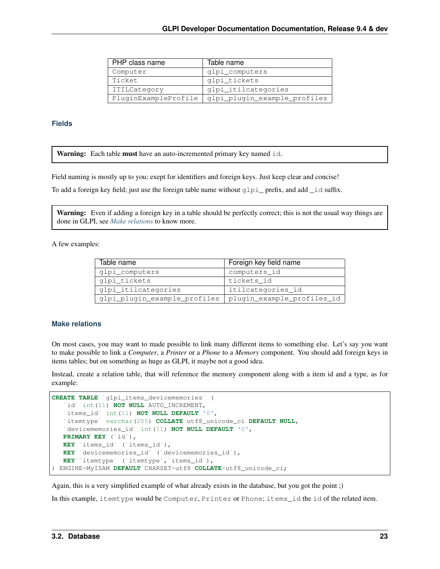| PHP class name       | Table name                   |
|----------------------|------------------------------|
| Computer             | qlpi_computers               |
| Ticket               | glpi_tickets                 |
| ITILCategory         | glpi_itilcategories          |
| PluginExampleProfile | glpi_plugin_example_profiles |

#### **Fields**

Warning: Each table must have an auto-incremented primary key named id.

Field naming is mostly up to you; exept for identifiers and foreign keys. Just keep clear and concise!

To add a foreign key field; just use the foreign table name without  $glpi_prefik$ , and add  $_id$  suffix.

Warning: Even if adding a foreign key in a table should be perfectly correct; this is not the usual way things are done in GLPI, see *[Make relations](#page-26-0)* to know more.

A few examples:

| Table name                   | Foreign key field name     |
|------------------------------|----------------------------|
| glpi_computers               | computers id               |
| glpi tickets                 | tickets id                 |
| glpi_itilcategories          | itilcategories id          |
| glpi_plugin_example_profiles | plugin_example_profiles_id |

#### <span id="page-26-0"></span>**Make relations**

On most cases, you may want to made possible to link many different items to something else. Let's say you want to make possible to link a *Computer*, a *Printer* or a *Phone* to a *Memory* component. You should add foreign keys in items tables; but on something as huge as GLPI, it maybe not a good idea.

Instead, create a relation table, that will reference the memory component along with a item id and a type, as for example:

```
CREATE TABLE `glpi_items_devicememories` (
   `id` int(11) NOT NULL AUTO_INCREMENT,
   `items_id` int(11) NOT NULL DEFAULT '0',
   `itemtype` varchar(255) COLLATE utf8_unicode_ci DEFAULT NULL,
   `devicememories_id` int(11) NOT NULL DEFAULT '0',
  PRIMARY KEY (`id`),
  KEY `items_id` (`items_id`),
  KEY `devicememories_id` (`devicememories_id`),
  KEY `itemtype` (`itemtype`,`items_id`),
) ENGINE=MyISAM DEFAULT CHARSET=utf8 COLLATE=utf8_unicode_ci;
```
Again, this is a very simplified example of what already exists in the database, but you got the point ;)

In this example, itemtype would be Computer, Printer or Phone; items\_id the id of the related item.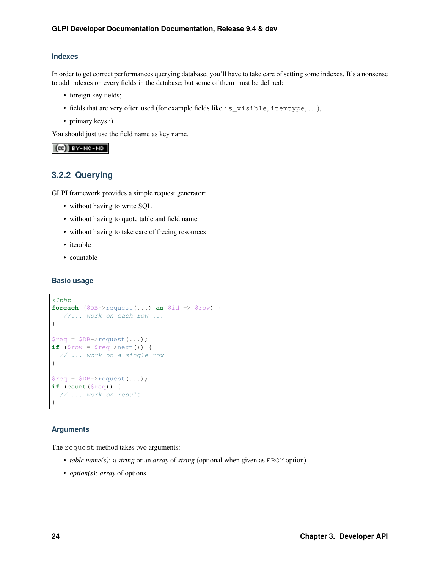#### **Indexes**

In order to get correct performances querying database, you'll have to take care of setting some indexes. It's a nonsense to add indexes on every fields in the database; but some of them must be defined:

- foreign key fields;
- fields that are very often used (for example fields like is\_visible, itemtype, . . . ),
- primary keys;

You should just use the field name as key name.

 $(c)$  BY-NC-ND

## **3.2.2 Querying**

GLPI framework provides a simple request generator:

- without having to write SQL
- without having to quote table and field name
- without having to take care of freeing resources
- iterable
- countable

### **Basic usage**

```
<?php
foreach ($DB->request(...) as $id => $row) {
   //... work on each row ...
}
$req = $DB->request(...);
if (\text{row} = \text{Spec} > \text{next}))// ... work on a single row
}
$req = $DB->request(...);
if (count($req)) {
  // ... work on result
}
```
#### **Arguments**

The request method takes two arguments:

- *table name(s)*: a *string* or an *array* of *string* (optional when given as FROM option)
- *option(s)*: *array* of options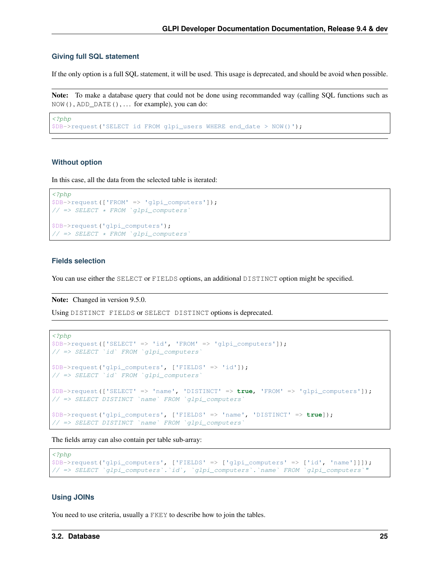#### **Giving full SQL statement**

If the only option is a full SQL statement, it will be used. This usage is deprecated, and should be avoid when possible.

Note: To make a database query that could not be done using recommanded way (calling SQL functions such as NOW(), ADD\_DATE(), ... for example), you can do:

```
<?php
$DB->request('SELECT id FROM glpi_users WHERE end_date > NOW()');
```
## **Without option**

In this case, all the data from the selected table is iterated:

```
\langle?php
$DB->request(['FROM' => 'glpi_computers']);
// => SELECT * FROM `glpi_computers`
$DB->request('glpi_computers');
// => SELECT * FROM `glpi_computers`
```
#### **Fields selection**

You can use either the SELECT or FIELDS options, an additional DISTINCT option might be specified.

#### Note: Changed in version 9.5.0.

Using DISTINCT FIELDS or SELECT DISTINCT options is deprecated.

```
<?php
$DB->request(['SELECT' => 'id', 'FROM' => 'glpi_computers']);
// => SELECT `id` FROM `glpi_computers`
$DB->request('glpi_computers', ['FIELDS' => 'id']);
// => SELECT `id` FROM `glpi_computers`
$DB->request(['SELECT' => 'name', 'DISTINCT' => true, 'FROM' => 'glpi_computers']);
// => SELECT DISTINCT `name` FROM `glpi_computers`
$DB->request('glpi_computers', ['FIELDS' => 'name', 'DISTINCT' => true]);
// => SELECT DISTINCT `name` FROM `glpi_computers`
```
The fields array can also contain per table sub-array:

```
<?php$DB->request('glpi_computers', ['FIELDS' => ['glpi_computers' => ['id', 'name']]]);
// => SELECT `glpi_computers`.`id`, `glpi_computers`.`name` FROM `glpi_computers`"
```
#### **Using JOINs**

You need to use criteria, usually a FKEY to describe how to join the tables.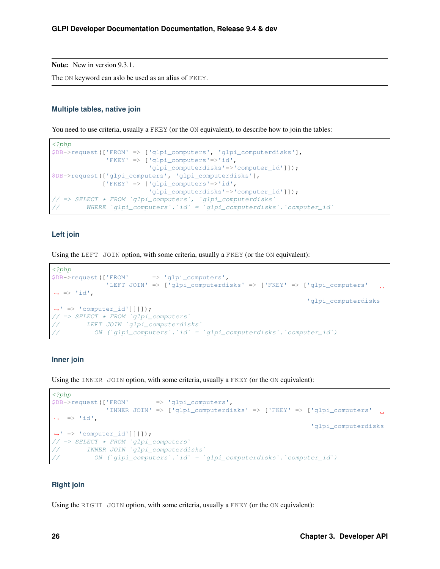Note: New in version 9.3.1.

The ON keyword can aslo be used as an alias of FKEY.

#### **Multiple tables, native join**

You need to use criteria, usually a FKEY (or the ON equivalent), to describe how to join the tables:

```
<?php
$DB->request(['FROM' => ['glpi_computers', 'glpi_computerdisks'],
               'FKEY' => ['glpi_computers'=>'id',
                            'glpi_computerdisks'=>'computer_id']]);
$DB->request(['glpi_computers', 'glpi_computerdisks'],
              ['FKEY' => ['glpi_computers'=>'id',
                            'glpi_computerdisks'=>'computer_id']]);
// => SELECT * FROM `glpi_computers`, `glpi_computerdisks`
          WHERE \quad \text{qlpi\_computers'} \quad id \quad = \quad \text{qlpi\_computer disks'} \quad \text{computer_id'}
```
#### **Left join**

Using the LEFT JOIN option, with some criteria, usually a FKEY (or the ON equivalent):

```
<?php
$DB->request(['FROM' => 'glpi_computers',
              'LEFT JOIN' => ['glpi_computerdisks' => ['FKEY' => ['glpi_computers'
\rightarrow => 'id',
                                                                      'glpi_computerdisks
\leftrightarrow' => 'computer_id']]]]);
// => SELECT * FROM `glpi_computers`
// LEFT JOIN `glpi_computerdisks`
           ON (`glpi\_computers`.)`id` = `glpi\_computerdisks`.)`computer_id')
```
#### **Inner join**

Using the INNER JOIN option, with some criteria, usually a FKEY (or the ON equivalent):

```
<?php
$DB->request(['FROM' => 'glpi_computers',
              'INNER JOIN' => ['glpi_computerdisks' => ['FKEY' => ['glpi_computers'
\leftrightarrow => 'id',
                                                                       'glpi_computerdisks
\rightarrow' => 'computer_id']]]]);
// => SELECT * FROM `glpi_computers`
// INNER JOIN `glpi_computerdisks`
           // ON (`glpi_computers`.`id` = `glpi_computerdisks`.`computer_id`)
```
#### **Right join**

Using the RIGHT JOIN option, with some criteria, usually a FKEY (or the ON equivalent):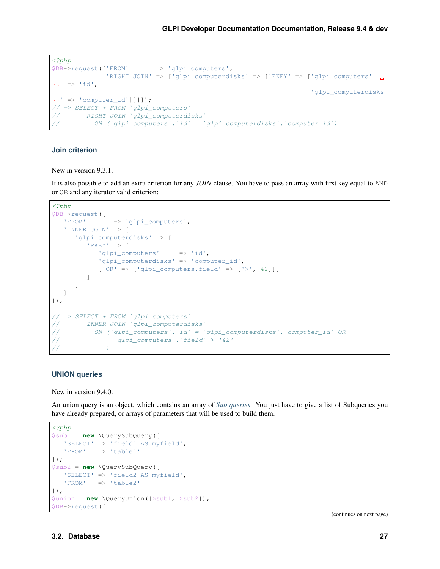```
<?php
$DB->request(['FROM' => 'glpi_computers',
              'RIGHT JOIN' => ['glpi_computerdisks' => ['FKEY' => ['glpi_computers'
\leftrightarrow => 'id',
                                                                    'glpi_computerdisks
\rightarrow' => 'computer_id']]]]);
// => SELECT * FROM `glpi_computers`
// RIGHT JOIN `glpi_computerdisks`
// ON (`glpi_computers`.`id` = `glpi_computerdisks`.`computer_id`)
```
#### **Join criterion**

New in version 9.3.1.

It is also possible to add an extra criterion for any *JOIN* clause. You have to pass an array with first key equal to AND or OR and any iterator valid criterion:

```
<?php
$DB->request([
  'FROM' => 'glpi_computers',
   'INNER JOIN' => [
      'glpi_computerdisks' => [
         'FKEY' => [
            'glpi_computers' => 'id',
            'glpi_computerdisks' => 'computer_id',
            ['OR' \Rightarrow ['glpi\_computers.field' \Rightarrow ['>'', 42]]]]
      ]
   ]
]);
// => SELECT * FROM `glpi_computers`<br>//     INNER JOIN `glpi_computerdi
         INNER JOIN `qlpi_computerdisks`
// ON (`glpi_computers`.`id` = `glpi_computerdisks`.`computer_id` OR
// `glpi_computers`.`field` > '42'
// )
```
#### **UNION queries**

New in version 9.4.0.

An union query is an object, which contains an array of *[Sub queries](#page-33-0)*. You just have to give a list of Subqueries you have already prepared, or arrays of parameters that will be used to build them.

```
<?php
$sub1 = new \QuerySubQuery([
  'SELECT' => 'field1 AS myfield',
   'FROM' => 'table1'
]);
$sub2 = new \QuerySubQuery([
   'SELECT' => 'field2 AS myfield',
  'FROM' => 'table2'
]);
$union = new \QueryUnion([$sub1, $sub2]);
$DB->request([
```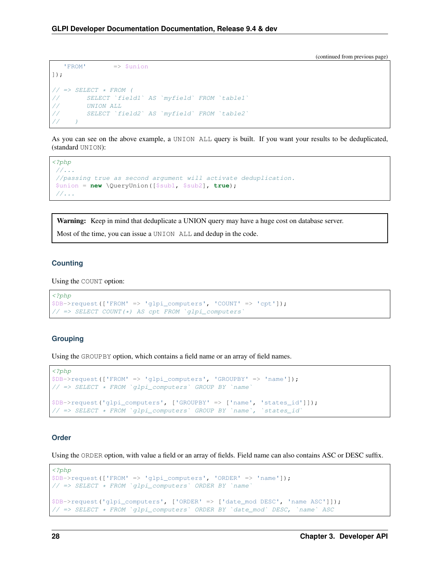(continued from previous page)

```
'FROM' => $union
]);
// => SELECT * FROM (
     // SELECT `field1` AS `myfield` FROM `table1`
// UNION ALL
// SELECT `field2` AS `myfield` FROM `table2`
\frac{1}{2}
```
As you can see on the above example, a UNION ALL query is built. If you want your results to be deduplicated, (standard UNION):

```
<?php
//...
//passing true as second argument will activate deduplication.
$union = new \QueryUnion([$sub1, $sub2], true);
//...
```
Warning: Keep in mind that deduplicate a UNION query may have a huge cost on database server.

Most of the time, you can issue a UNION ALL and dedup in the code.

#### **Counting**

Using the COUNT option:

```
<?php
$DB->request(['FROM' => 'glpi_computers', 'COUNT' => 'cpt']);
// => SELECT COUNT(*) AS cpt FROM `glpi_computers`
```
#### **Grouping**

Using the GROUPBY option, which contains a field name or an array of field names.

```
<?php
$DB->request(['FROM' => 'glpi_computers', 'GROUPBY' => 'name']);
// => SELECT * FROM `glpi_computers` GROUP BY `name`
$DB->request('glpi_computers', ['GROUPBY' => ['name', 'states_id']]);
// => SELECT * FROM `glpi_computers` GROUP BY `name`, `states_id`
```
#### **Order**

Using the ORDER option, with value a field or an array of fields. Field name can also contains ASC or DESC suffix.

```
<?php
$DB->request(['FROM' => 'glpi_computers', 'ORDER' => 'name']);
// \Rightarrow SELECT * FROM `qlpi_computers` ORDER BY `name`
$DB->request('glpi_computers', ['ORDER' => ['date_mod DESC', 'name ASC']]);
// => SELECT * FROM `glpi_computers` ORDER BY `date_mod` DESC, `name` ASC
```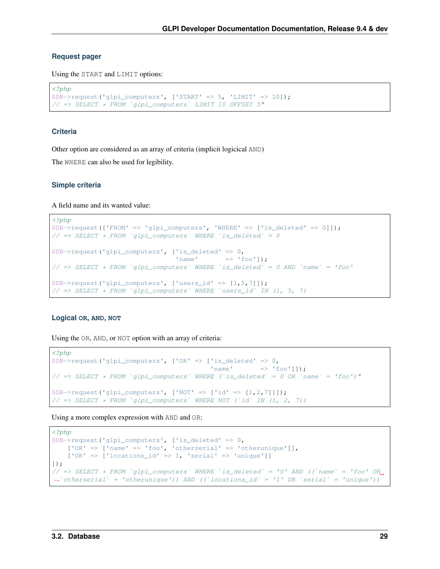#### **Request pager**

Using the START and LIMIT options:

```
<?php
$DB->request('glpi_computers', ['START' => 5, 'LIMIT' => 10]);
// => SELECT * FROM `glpi_computers` LIMIT 10 OFFSET 5"
```
### <span id="page-32-0"></span>**Criteria**

Other option are considered as an array of criteria (implicit logicical AND)

The WHERE can also be used for legibility.

#### **Simple criteria**

A field name and its wanted value:

```
<?php
$DB->request(['FROM' => 'glpi_computers', 'WHERE' => ['is_deleted' => 0]]);
// \Rightarrow SELECT * FROM 'glpi\_computers' WHERE 'is\_deleted' = 0$DB->request('glpi_computers', ['is_deleted' => 0,
                                 'name' => 'for']);
// => SELECT * FROM `qlpi\_computers` WHERE 'is_deleted' = 0 AND `name' = 'foo'$DB->request('glpi_computers', ['users_id' => [1,5,7]]);
\frac{1}{1} => SELECT * FROM `qlpi_computers` WHERE `users_id` IN (1, 5, 7)
```
#### **Logical OR, AND, NOT**

Using the OR, AND, or NOT option with an array of criteria:

```
<?php
$DB->request('qlpicompress', ['OR' =&>['is deleted' =&>['o,']'name' => 'for'll;
// => SELECT * FROM `glpi_computers` WHERE (`is_deleted` = 0 OR `name` = 'foo')"
$DB->request('qlpi\_computers', ['NOT' =&>['id' =&>[1,2,7]]]);\frac{1}{2} => SELECT * FROM `qlpi_computers` WHERE NOT (`id` IN (1, 2, 7))
```
Using a more complex expression with AND and OR:

```
\langle ?php \rangle$DB->request('glpi_computers', ['is_deleted' => 0,
   ['OR' => ['name' => 'foo', 'otherserial' => 'otherunique']],
    ['OR' \Rightarrow ['locations_id' \Rightarrow 1, 'serial' \Rightarrow 'unique']]]);
// => SELECT * FROM `glpi_computers` WHERE `is_deleted` = '0' AND ((`name` = 'foo' OR
˓→`otherserial` = 'otherunique')) AND ((`locations_id` = '1' OR `serial` = 'unique'))
```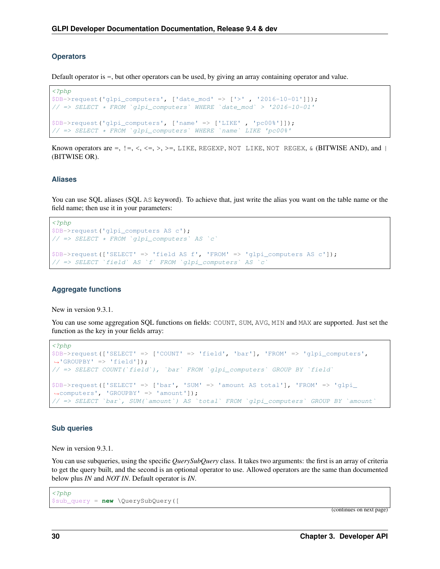#### **Operators**

Default operator is =, but other operators can be used, by giving an array containing operator and value.

```
<?php
$DB->request('glpi_computers', ['date_mod' => ['>' , '2016-10-01']]);
// => SELECT * FROM `glpi_computers` WHERE `date_mod` > '2016-10-01'
$DB->request('glpi_computers', ['name' => ['LIKE' , 'pc00%']]);
// => SELECT * FROM `glpi_computers` WHERE `name` LIKE 'pc00%'
```
Known operators are  $=$ ,  $!=$ ,  $\lt$ ,  $\lt$   $=$ ,  $\gt$ ,  $\gt$ ,  $\gt$ ,  $\gt$ ,  $\gt$ ,  $\gt$ ,  $\gt$ ,  $\gt$ ,  $\gt$ ,  $\gt$ ,  $\gt$ ,  $\gt$ ,  $\gt$ ,  $\gt$ ,  $\gt$ ,  $\gt$ ,  $\gt$ ,  $\gt$ ,  $\gt$ ,  $\gt$ ,  $\gt$ ,  $\gt$ ,  $\gt$ ,  $\gt$ ,  $\gt$ ,  $\gt$ ,  $\gt$ ,  $\gt$ ,  $\gt$ , (BITWISE OR).

#### **Aliases**

You can use SQL aliases (SQL AS keyword). To achieve that, just write the alias you want on the table name or the field name; then use it in your parameters:

```
<?php
$DB->request('glpi_computers AS c');
// \Rightarrow SELECT \cdot FROM \cdot qlpi\_computers \cdot AS \cdot c$DB->request(['SELECT' => 'field AS f', 'FROM' => 'glpi_computers AS c']);
\ell => SELECT `field` AS `f` FROM `qlpi_computers` AS `c`
```
#### **Aggregate functions**

New in version 9.3.1.

You can use some aggregation SQL functions on fields: COUNT, SUM, AVG, MIN and MAX are supported. Just set the function as the key in your fields array:

```
<?php
$DB->request(['SELECT' => ['COUNT' => 'field', 'bar'], 'FROM' => 'glpi_computers',
\rightarrow 'GROUPBY' \Rightarrow 'field']);
// => SELECT COUNT(`field`), `bar` FROM `glpi_computers` GROUP BY `field`
$DB->request(['SELECT' => ['bar', 'SUM' => 'amount AS total'], 'FROM' => 'glpi_
˓→computers', 'GROUPBY' => 'amount']);
// => SELECT `bar`, SUM(`amount`) AS `total` FROM `glpi_computers` GROUP BY `amount`
```
#### <span id="page-33-0"></span>**Sub queries**

New in version 9.3.1.

You can use subqueries, using the specific *QuerySubQuery* class. It takes two arguments: the first is an array of criteria to get the query built, and the second is an optional operator to use. Allowed operators are the same than documented below plus *IN* and *NOT IN*. Default operator is *IN*.

```
<?php
$sub_query = new \QuerySubQuery([
```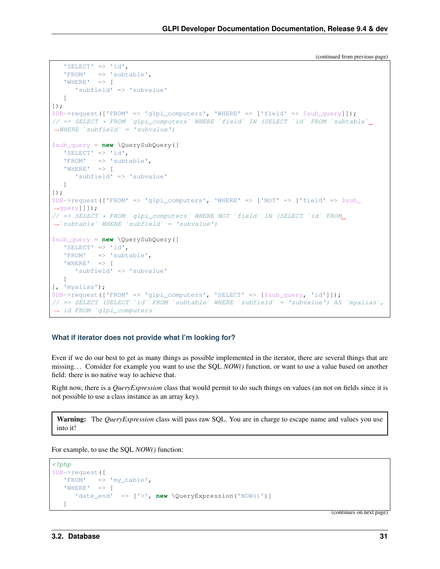(continued from previous page)

```
'SELECT' => 'id',
   'FROM' => 'subtable',
   'WHERE' => \Gamma'subfield' => 'subvalue'
   ]
]);
$DB->request(['FROM' => 'glpi_computers', 'WHERE' => ['field' => $sub_query]]);
// => SELECT * FROM `glpi_computers` WHERE `field` IN (SELECT `id` FROM `subtable`_
˓→WHERE `subfield` = 'subvalue')
$sub_query = new \QuerySubQuery([
  'SELECT' => 'id',
  'FROM' => 'subtable',
  'WHERE' => \lceil'subfield' => 'subvalue'
   ]
]);
$DB->request(['FROM' => 'glpi_computers', 'WHERE' => ['NOT' => ['field' => $sub_
\rightarrowquery]]]);
// => SELECT * FROM `glpi_computers` WHERE NOT `field` IN (SELECT `id` FROM
˓→`subtable` WHERE `subfield` = 'subvalue')
$sub_query = new \QuerySubQuery([
   'SELECT' => 'id',
   'FROM' => 'subtable',
   ' WHERE ' => \lceil'subfield' => 'subvalue'
  ]
], 'myalias');
$DB->request(['FROM' => 'glpi_computers', 'SELECT' => [$sub_query, 'id']]);
// => SELECT (SELECT `id` FROM `subtable` WHERE `subfield` = 'subvalue') AS `myalias`,
˓→ id FROM `glpi_computers`
```
#### **What if iterator does not provide what I'm looking for?**

Even if we do our best to get as many things as possible implemented in the iterator, there are several things that are missing. . . Consider for example you want to use the SQL *NOW()* function, or want to use a value based on another field: there is no native way to achieve that.

Right now, there is a *QueryExpression* class that would permit to do such things on values (an not on fields since it is not possible to use a class instance as an array key).

Warning: The *QueryExpression* class will pass raw SQL. You are in charge to escape name and values you use into it!

For example, to use the SQL *NOW()* function:

```
<?php
$DB->request([
  'FROM' => 'my_table',
   'WHERE' => \Gamma'date_end' => ['>', new \QueryExpression('NOW()')]
   ]
```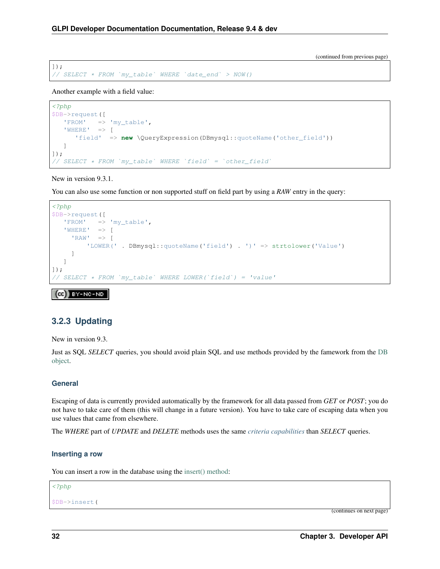(continued from previous page)

```
]);
// SELECT * FROM `my_table` WHERE `date_end` > NOW()
```
Another example with a field value:

```
<?php
$DB->request([
   'FROM' => 'my_table',
   'WHERE' \Rightarrow [
      'field' => new \QueryExpression(DBmysql::quoteName('other_field'))
   ]
]);
// SELECT * FROM `my_table` WHERE `field` = `other_field`
```
New in version 9.3.1.

You can also use some function or non supported stuff on field part by using a *RAW* entry in the query:

```
<?php
$DB->request([
  'FROM' => 'my_table',
   'WHERE' => ['RAW' => \lceil'LOWER(' . DBmysql::quoteName('field') . ')' => strtolower('Value')
     ]
   ]
]);
// SELECT * FROM `my_table` WHERE LOWER(`field`) = 'value'
```
 $(G)$  BY-NC-ND

# **3.2.3 Updating**

New in version 9.3.

Just as SQL *SELECT* queries, you should avoid plain SQL and use methods provided by the famework from the [DB](https://forge.glpi-project.org/apidoc/class-DBmysql.html) [object.](https://forge.glpi-project.org/apidoc/class-DBmysql.html)

#### **General**

Escaping of data is currently provided automatically by the framework for all data passed from *GET* or *POST*; you do not have to take care of them (this will change in a future version). You have to take care of escaping data when you use values that came from elsewhere.

The *WHERE* part of *UPDATE* and *DELETE* methods uses the same *[criteria capabilities](#page-32-0)* than *SELECT* queries.

#### **Inserting a row**

You can insert a row in the database using the [insert\(\) method:](https://forge.glpi-project.org/apidoc/class-DBmysql.html#_insert)

#### <?php

\$DB->insert(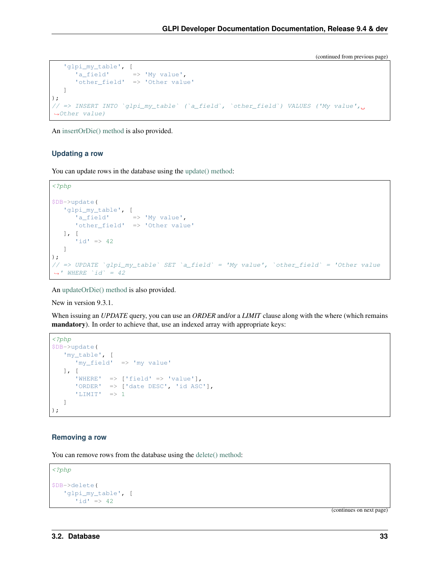```
'glpi_my_table', [
                    \Rightarrow 'My value',
      'other_field' => 'Other value'
   ]
);
// => INSERT INTO `glpi_my_table` (`a_field`, `other_field`) VALUES ('My value',
˓→Other value)
```
An [insertOrDie\(\) method](https://forge.glpi-project.org/apidoc/class-DBmysql.html#_insertOrDie) is also provided.

### **Updating a row**

You can update rows in the database using the [update\(\) method:](https://forge.glpi-project.org/apidoc/class-DBmysql.html#_update)

```
<?php
$DB->update(
  'glpi_my_table', [
      'a_field' => 'My value',
      'other_field' => 'Other value'
  ], [
      'id' => 42]
);
// => UPDATE `glpi_my_table` SET `a_field` = 'My value', `other_field` = 'Other value
ightharpoonup' WHERE `id` = 42
```
An [updateOrDie\(\) method](https://forge.glpi-project.org/apidoc/class-DBmysql.html#_updateOrDie) is also provided.

#### New in version 9.3.1.

When issuing an *UPDATE* query, you can use an *ORDER* and/or a *LIMIT* clause along with the where (which remains mandatory). In order to achieve that, use an indexed array with appropriate keys:

```
<?php
$DB->update(
   'my_table', [
       'my_field' => 'my value'
   ], [
       'WHERE' \Rightarrow ['field' \Rightarrow 'value'],
       'ORDER' => ['date DESC', 'id ASC'],
       'LIMIT' \Rightarrow 1
   ]
);
```
#### **Removing a row**

You can remove rows from the database using the [delete\(\) method:](https://forge.glpi-project.org/apidoc/class-DBmysql.html#_delete)

```
<?php$DB->delete(
   'glpi_my_table', [
       'id' \Rightarrow 42
```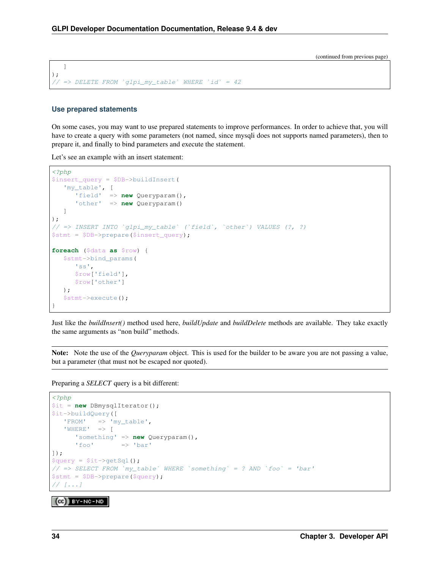```
]
);
// => DELETE FROM 'glpi_m y_table' WHERE 'id' = 42
```
#### **Use prepared statements**

On some cases, you may want to use prepared statements to improve performances. In order to achieve that, you will have to create a query with some parameters (not named, since mysqli does not supports named parameters), then to prepare it, and finally to bind parameters and execute the statement.

Let's see an example with an insert statement:

```
<?php
$insert_query = $DB->buildInsert(
  'my_table', [
      'field' => new Queryparam(),
      'other' => new Queryparam()
   ]
);
// => INSERT INTO `glpi_my_table` (`field`, `other`) VALUES (?, ?)
$stmt = $DB->prepare($insert_query);
foreach ($data as $row) {
   $stmt->bind_params(
      'ss',
     $row['field'],
     $row['other']
   );
   $stmt->execute();
}
```
Just like the *buildInsert()* method used here, *buildUpdate* and *buildDelete* methods are available. They take exactly the same arguments as "non build" methods.

Note: Note the use of the *Queryparam* object. This is used for the builder to be aware you are not passing a value, but a parameter (that must not be escaped nor quoted).

Preparing a *SELECT* query is a bit different:

```
<?php
$it = new DBmysqlIterator();
$it->buildQuery([
   'FROM' => 'my_table',
   'WHERE' => ['something' => new Queryparam(),
     'foo' => 'bar'
]);
$query = $it->getSql();
// => SELECT FROM `my table` WHERE `something` = ? AND `foo` = 'bar'
$stmt = $DB->prepare($query);
// [...]
```
### $(c)$  BY-NC-ND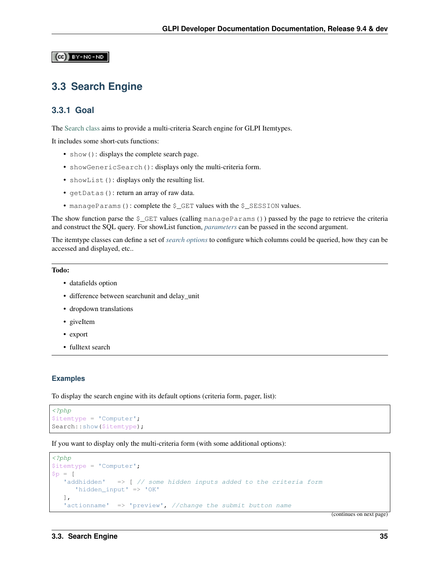#### $\left(\mathrm{cc}\right)$  BY-NC-ND

## <span id="page-38-0"></span>**3.3 Search Engine**

## **3.3.1 Goal**

The [Search class](https://forge.glpi-project.org/apidoc/class-Search.html) aims to provide a multi-criteria Search engine for GLPI Itemtypes.

It includes some short-cuts functions:

- show(): displays the complete search page.
- showGenericSearch(): displays only the multi-criteria form.
- showList(): displays only the resulting list.
- getDatas(): return an array of raw data.
- manageParams(): complete the \$\_GET values with the \$\_SESSION values.

The show function parse the \$\_GET values (calling manageParams()) passed by the page to retrieve the criteria and construct the SQL query. For showList function, *[parameters](#page-39-0)* can be passed in the second argument.

The itemtype classes can define a set of *[search options](#page-40-0)* to configure which columns could be queried, how they can be accessed and displayed, etc..

#### Todo:

- datafields option
- difference between searchunit and delay\_unit
- dropdown translations
- giveItem
- export
- fulltext search

### **Examples**

To display the search engine with its default options (criteria form, pager, list):

```
<?php$itemtype = 'Computer';
Search::show($itemtype);
```
If you want to display only the multi-criteria form (with some additional options):

```
<?php
$itemtype = 'Computer';
$p = ['addhidden' => [ // some hidden inputs added to the criteria form
      'hidden_input' => 'OK'
  ],
   'actionname' => 'preview', // change the submit button name
```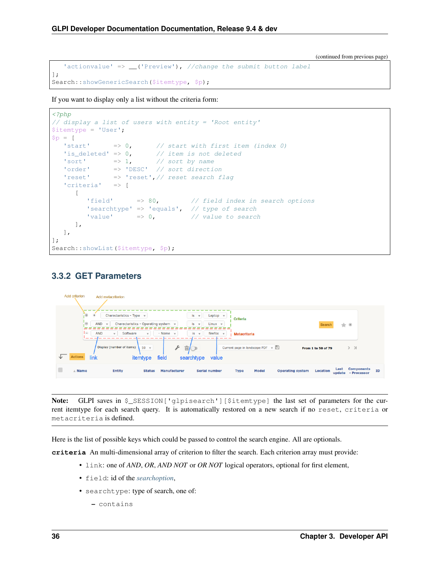```
'actionvalue' => ('Preview'), //change the submit button label
];
Search::showGenericSearch($itemtype, $p);
```
If you want to display only a list without the criteria form:

```
<?php
// display a list of users with entity = 'Root entity'
$itemtype = 'User';
$p = ['start' \Rightarrow 0, \qquad \qquad // start with first item (index 0)
    'is_deleted' => 0, \qquad\qquad // item is not deleted
    'sort' \Rightarrow 1, \qquad // sort by name
   'sort' \Rightarrow 1, // sort by name<br>'order' \Rightarrow 'DESC' // sort direction
   'reset' => 'reset', // reset search flag
   'criteria' => [
       [
          'field' => 80, // field index in search options
          'searchtype' => 'equals', // type of search
          'value' \Rightarrow 0, // value to search
      ],
   ],
];
Search::showList($itemtype, $p);
```
## <span id="page-39-0"></span>**3.3.2 GET Parameters**

| Add criterion  | Add metacriterion                                  |                                    |                     |                                                                                    |                                            |              |                                            |                               |                         |
|----------------|----------------------------------------------------|------------------------------------|---------------------|------------------------------------------------------------------------------------|--------------------------------------------|--------------|--------------------------------------------|-------------------------------|-------------------------|
| e.<br>$\equiv$ | Characteristics - Type v<br>۰<br>$AND \rightarrow$ | Characteristics - Operating system | $\rightarrow$       | İs<br>Laptop<br>$\mathbf{v}$<br><b>is</b><br>$Linux \quad \forall$<br>$\mathbf{v}$ | $\mathbf{v}$<br><b>Criteria</b>            |              | <b>Search</b>                              | $*$ $*$                       |                         |
| $\overline{ }$ | <b>AND</b><br>Software<br>$\mathbf{v}$<br>--       | $\;$                               | - Name $\sqrt{ }$   | $is \sqrt{v}$<br>firefox                                                           | <b>Metacriteria</b><br>$\mathbf{v}$<br>--- |              |                                            |                               |                         |
| <b>Actions</b> | Display (number of items)<br>link                  | $50 - v$<br>field<br>itemtype      | $\epsilon$<br>面○    | searchtype<br>value                                                                | Current page in landscape PDF $\forall$    |              | From 1 to 50 of 79                         | $>$ $\times$                  |                         |
| <b>A</b> Name  | <b>Entity</b>                                      | <b>Status</b>                      | <b>Manufacturer</b> | <b>Serial number</b>                                                               | <b>Type</b>                                | <b>Model</b> | <b>Operating system</b><br><b>Location</b> | Last<br>update<br>- Processor | <b>Components</b><br>ID |

Note: GLPI saves in \$\_SESSION['glpisearch'][\$itemtype] the last set of parameters for the current itemtype for each search query. It is automatically restored on a new search if no reset, criteria or metacriteria is defined.

Here is the list of possible keys which could be passed to control the search engine. All are optionals.

<span id="page-39-1"></span>**criteria** An multi-dimensional array of criterion to filter the search. Each criterion array must provide:

- link: one of *AND*, *OR*, *AND NOT* or *OR NOT* logical operators, optional for first element,
- field: id of the *[searchoption](#page-40-0)*,
- searchtype: type of search, one of:
	- contains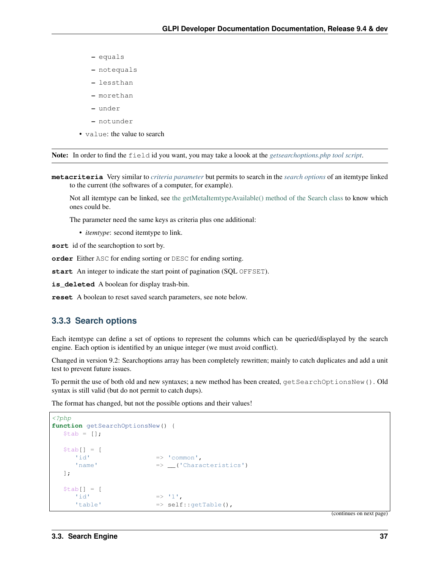- equals
- notequals
- lessthan
- morethan
- under
- notunder
- value: the value to search

Note: In order to find the field id you want, you may take a loook at the *[getsearchoptions.php tool script](#page-66-0)*.

**metacriteria** Very similar to *[criteria parameter](#page-39-1)* but permits to search in the *[search options](#page-40-0)* of an itemtype linked to the current (the softwares of a computer, for example).

Not all itemtype can be linked, see [the getMetaItemtypeAvailable\(\) method of the Search class](https://forge.glpi-project.org/apidoc/class-Search.html#_getMetaItemtypeAvailable) to know which ones could be.

The parameter need the same keys as criteria plus one additional:

• *itemtype*: second itemtype to link.

**sort** id of the searchoption to sort by.

**order** Either ASC for ending sorting or DESC for ending sorting.

**start** An integer to indicate the start point of pagination (SQL OFFSET).

**is\_deleted** A boolean for display trash-bin.

**reset** A boolean to reset saved search parameters, see note below.

### <span id="page-40-0"></span>**3.3.3 Search options**

Each itemtype can define a set of options to represent the columns which can be queried/displayed by the search engine. Each option is identified by an unique integer (we must avoid conflict).

Changed in version 9.2: Searchoptions array has been completely rewritten; mainly to catch duplicates and add a unit test to prevent future issues.

To permit the use of both old and new syntaxes; a new method has been created, getSearchOptionsNew(). Old syntax is still valid (but do not permit to catch dups).

The format has changed, but not the possible options and their values!

```
<?php
function getSearchOptionsNew() {
  $tab = [];$tab[] = ['id' \Rightarrow 'common',
     'name' \Rightarrow _('Characteristics')
  ];
  $tab[] = ['id' \Rightarrow '1',
     'table' \Rightarrow self::getTable(),
```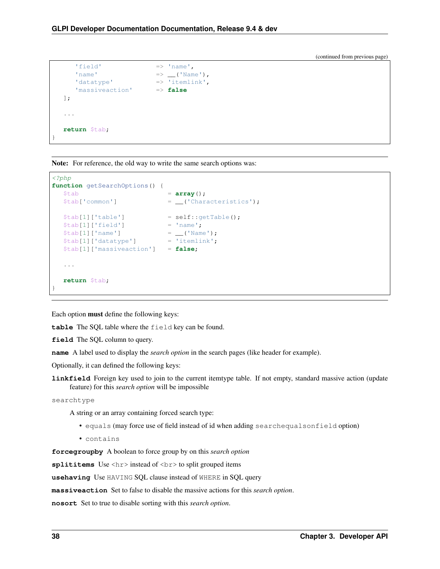```
'field' \Rightarrow 'name',
        \frac{1}{\text{name}}<br>
\frac{1}{\text{datatype}} => \frac{1}{\text{itemlink}}.
                                  'datatype' => 'itemlink',
        'massiveaction' => false
   ];
    ...
   return $tab;
}
```
Note: For reference, the old way to write the same search options was:

```
<?php
function getSearchOptions() {
  $tab = array();
  $tab['common'] = _('Characteristics');
  $tab[1]['table'] = self::getTable();
  $tab[1]['field'] = 'name';
  $tab[1] ['name'] = ('Name');
  $tab[1]['datatype'] = 'itemlink';
  $tab[1]['massiveaction'] = false;
  ...
  return $tab;
}
```
Each option must define the following keys:

**table** The SQL table where the field key can be found.

**field** The SQL column to query.

**name** A label used to display the *search option* in the search pages (like header for example).

Optionally, it can defined the following keys:

**linkfield** Foreign key used to join to the current itemtype table. If not empty, standard massive action (update feature) for this *search option* will be impossible

searchtype

A string or an array containing forced search type:

- equals (may force use of field instead of id when adding searchequalsonfield option)
- contains

**forcegroupby** A boolean to force group by on this *search option*

**splititems** Use <hr> instead of <br> to split grouped items

**usehaving** Use HAVING SQL clause instead of WHERE in SQL query

**massiveaction** Set to false to disable the massive actions for this *search option*.

**nosort** Set to true to disable sorting with this *search option*.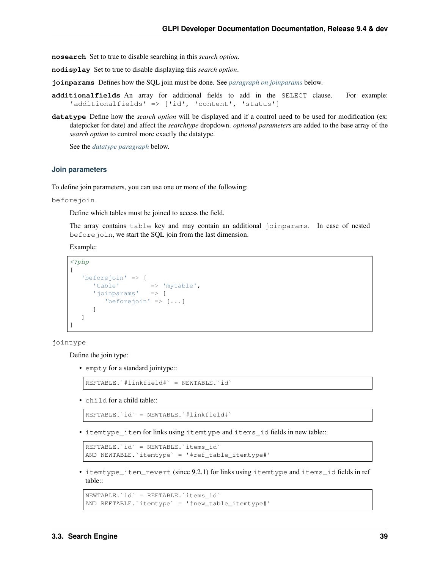**nosearch** Set to true to disable searching in this *search option*.

**nodisplay** Set to true to disable displaying this *search option*.

**joinparams** Defines how the SQL join must be done. See *[paragraph on joinparams](#page-42-0)* below.

- **additionalfields** An array for additional fields to add in the SELECT clause. For example: 'additionalfields' => ['id', 'content', 'status']
- **datatype** Define how the *search option* will be displayed and if a control need to be used for modification (ex: datepicker for date) and affect the *searchtype* dropdown. *optional parameters* are added to the base array of the *search option* to control more exactly the datatype.

See the *[datatype paragraph](#page-43-0)* below.

### <span id="page-42-0"></span>**Join parameters**

To define join parameters, you can use one or more of the following:

beforejoin

Define which tables must be joined to access the field.

The array contains table key and may contain an additional joinparams. In case of nested before join, we start the SOL join from the last dimension.

Example:

```
<?php
[
   'beforejoin' => [
      'table' => 'mytable',
      'joinparams' => [
         'beforejoin' \Rightarrow [...]
      ]
  ]
]
```
jointype

Define the join type:

• empty for a standard jointype::

REFTABLE.`#linkfield#` = NEWTABLE.`id`

• child for a child table::

```
REFTABLE.`id` = NEWTABLE.`#linkfield#`
```
• itemtype item for links using itemtype and items id fields in new table::

```
REFTABLE.`id` = NEWTABLE.`items_id`
AND NEWTABLE.`itemtype` = '#ref_table_itemtype#'
```
• itemtype\_item\_revert (since 9.2.1) for links using itemtype and items\_id fields in ref table::

```
NEWTABLE.`id` = REFTABLE.`items_id`
AND REFTABLE.`itemtype` = '#new_table_itemtype#'
```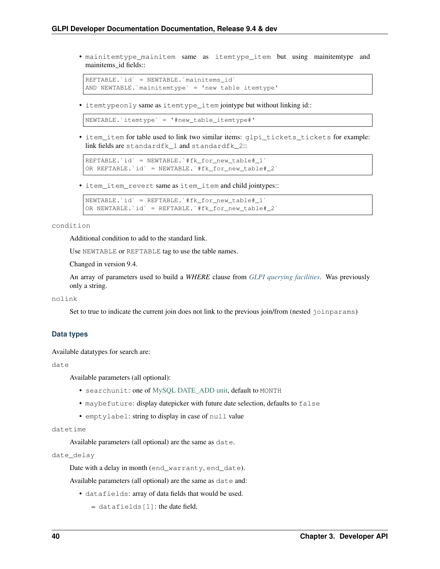• mainitemtype\_mainitem same as itemtype\_item but using mainitemtype and mainitems id fields::

```
REFTABLE.`id` = NEWTABLE.`mainitems_id`
AND NEWTABLE.`mainitemtype` = 'new table itemtype'
```
• itemtypeonly same as itemtype\_item jointype but without linking id::

```
NEWTABLE.`itemtype` = '#new_table_itemtype#'
```
• item\_item for table used to link two similar items: glpi\_tickets\_tickets for example: link fields are standardfk\_1 and standardfk\_2::

```
REFTABLE.`id` = NEWTABLE.`#fk_for_new_table#_1`
OR REFTABLE.`id` = NEWTABLE.`#fk_for_new_table#_2`
```
• item\_item\_revert same as item\_item and child jointypes::

```
NEWTABLE.`id` = REFTABLE.`#fk_for_new_table#_1`
OR NEWTABLE.`id` = REFTABLE.`#fk_for_new_table#_2`
```
condition

Additional condition to add to the standard link.

Use NEWTABLE or REFTABLE tag to use the table names.

Changed in version 9.4.

An array of parameters used to build a *WHERE* clause from *[GLPI querying facilities](#page-27-0)*. Was previously only a string.

nolink

Set to true to indicate the current join does not link to the previous join/from (nested joinparams)

#### <span id="page-43-0"></span>**Data types**

Available datatypes for search are:

date

Available parameters (all optional):

- searchunit: one of [MySQL DATE\\_ADD unit,](https://dev.mysql.com/doc/refman/5.5/en/date-and-time-functions.html#function_date-add) default to MONTH
- maybefuture: display datepicker with future date selection, defaults to false
- emptylabel: string to display in case of null value

#### datetime

Available parameters (all optional) are the same as date.

```
date_delay
```
Date with a delay in month (end\_warranty, end\_date).

Available parameters (all optional) are the same as date and:

- datafields: array of data fields that would be used.
	- datafields[1]: the date field,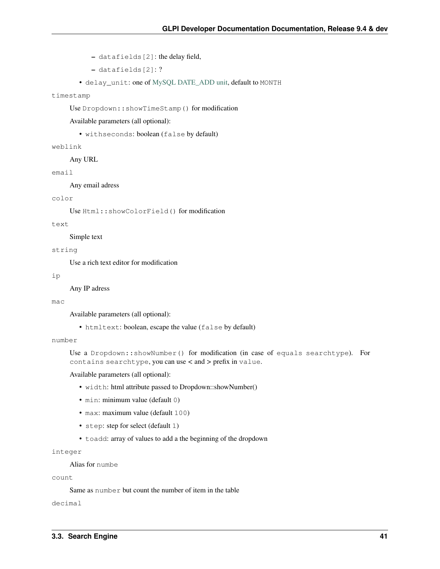- datafields[2]: the delay field,
- datafields[2]: ?

• delay\_unit: one of [MySQL DATE\\_ADD unit,](https://dev.mysql.com/doc/refman/5.5/en/date-and-time-functions.html#function_date-add) default to MONTH

#### timestamp

Use Dropdown::showTimeStamp() for modification

Available parameters (all optional):

• withseconds: boolean (false by default)

#### weblink

Any URL

#### email

Any email adress

#### color

Use Html::showColorField() for modification

#### text

Simple text

### string

Use a rich text editor for modification

#### ip

Any IP adress

#### mac

Available parameters (all optional):

• htmltext: boolean, escape the value (false by default)

#### number

Use a Dropdown::showNumber() for modification (in case of equals searchtype). For contains searchtype, you can use *<* and *>* prefix in value.

#### Available parameters (all optional):

- width: html attribute passed to Dropdown::showNumber()
- min: minimum value (default 0)
- max: maximum value (default 100)
- step: step for select (default 1)
- toadd: array of values to add a the beginning of the dropdown

#### integer

Alias for numbe

#### count

Same as number but count the number of item in the table

decimal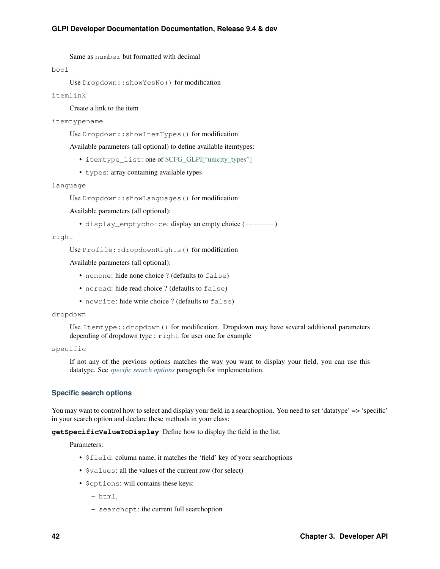Same as number but formatted with decimal

#### bool

Use Dropdown::showYesNo() for modification

#### itemlink

#### Create a link to the item

#### itemtypename

Use Dropdown::showItemTypes() for modification

#### Available parameters (all optional) to define available itemtypes:

- itemtype\_list: one of [\\$CFG\\_GLPI\["unicity\\_types"\]](https://github.com/glpi-project/glpi/blob/9.1.2/config/define.php#L166)
- types: array containing available types

#### language

Use Dropdown::showLanguages() for modification

Available parameters (all optional):

• display\_emptychoice: display an empty choice (-------)

#### right

Use Profile::dropdownRights() for modification

Available parameters (all optional):

- nonone: hide none choice ? (defaults to false)
- noread: hide read choice ? (defaults to false)
- nowrite: hide write choice ? (defaults to false)

#### dropdown

Use Itemtype::dropdown() for modification. Dropdown may have several additional parameters depending of dropdown type : right for user one for example

#### specific

If not any of the previous options matches the way you want to display your field, you can use this datatype. See *[specific search options](#page-45-0)* paragraph for implementation.

### <span id="page-45-0"></span>**Specific search options**

You may want to control how to select and display your field in a searchoption. You need to set 'datatype' => 'specific' in your search option and declare these methods in your class:

**getSpecificValueToDisplay** Define how to display the field in the list.

Parameters:

- \$field: column name, it matches the 'field' key of your searchoptions
- \$values: all the values of the current row (for select)
- \$options: will contains these keys:
	- html,
	- searchopt: the current full searchoption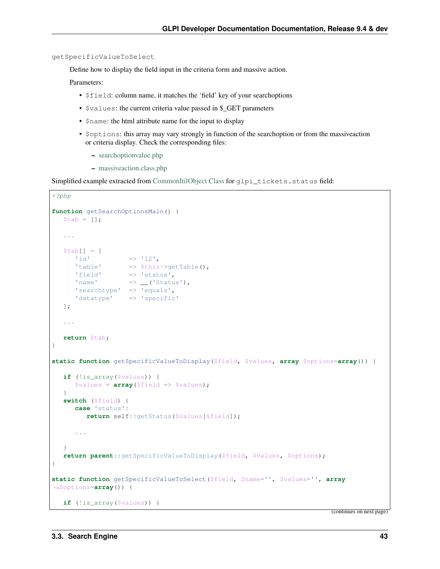getSpecificValueToSelect

Define how to display the field input in the criteria form and massive action.

Parameters:

- \$field: column name, it matches the 'field' key of your searchoptions
- $\gamma$ values: the current criteria value passed in \$ GET parameters
- \$name: the html attribute name for the input to display
- \$options: this array may vary strongly in function of the searchoption or from the massiveaction or criteria display. Check the corresponding files:
	- [searchoptionvalue.php](https://github.com/glpi-project/glpi/blob/ee667a059eb9c9a57c6b3ae8309e51ca99a5eeaf/ajax/searchoptionvalue.php#L128)
	- [massiveaction.class.php](https://github.com/glpi-project/glpi/blob/ee667a059eb9c9a57c6b3ae8309e51ca99a5eeaf/inc/massiveaction.class.php#L881)

Simplified example extracted from [CommonItilObject Class](https://forge.glpi-project.org/apidoc/class-CommonITILObject.html) for qlpi\_tickets.status field:

```
<?php
function getSearchOptionsMain() {
  $tab = [];
   ...
  $tab[] = ['id' \implies '12',
     'table' => $this->getTable(),
     'field' => 'status',
     'name' \implies ('Status'),
     'searchtype' => 'equals',
      'datatype' => 'specific'
  ];
   ...
  return $tab;
}
static function getSpecificValueToDisplay($field, $values, array $options=array()) {
   if (!is_array($values)) {
     $values = array($field => $values);
   }
  switch ($field) {
     case 'status':
        return self::getStatus($values[$field]);
      ...
   }
  return parent::getSpecificValueToDisplay($field, $values, $options);
}
static function getSpecificValueToSelect($field, $name='', $values='', array
˓→$options=array()) {
  if (!is_array($values)) {
```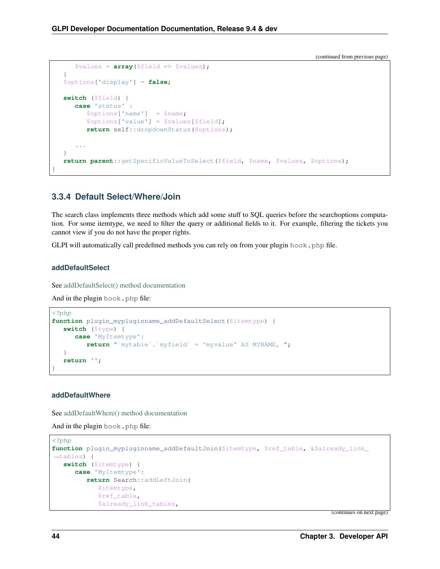```
$values = array($field => $values);
  }
  $options['display'] = false;
  switch ($field) {
     case 'status' :
        $options['name'] = $name;
        $options['value'] = $values[$field];
        return self::dropdownStatus($options);
      ...
  }
  return parent::getSpecificValueToSelect($field, $name, $values, $options);
}
```
## **3.3.4 Default Select/Where/Join**

The search class implements three methods which add some stuff to SQL queries before the searchoptions computation. For some itemtype, we need to filter the query or additional fields to it. For example, filtering the tickets you cannot view if you do not have the proper rights.

GLPI will automatically call predefined methods you can rely on from your plugin hook.php file.

### **addDefaultSelect**

See [addDefaultSelect\(\) method documentation](https://forge.glpi-project.org/apidoc/class-Search.html#_addDefaultSelect)

And in the plugin hook.php file:

```
<?php
function plugin_mypluginname_addDefaultSelect($itemtype) {
   switch ($type) {
      case 'MyItemtype':
         return "`mytable`.`myfield` = 'myvalue' AS MYNAME, ";
   }
   return '';
}
```
### **addDefaultWhere**

See [addDefaultWhere\(\) method documentation](https://forge.glpi-project.org/apidoc/class-Search.html#_addDefaultWhere)

And in the plugin hook.php file:

```
<?php
function plugin_mypluginname_addDefaultJoin($itemtype, $ref_table, &$already_link_
˓→tables) {
   switch ($itemtype) {
      case 'MyItemtype':
         return Search::addLeftJoin(
            $itemtype,
            $ref_table,
            $already_link_tables,
```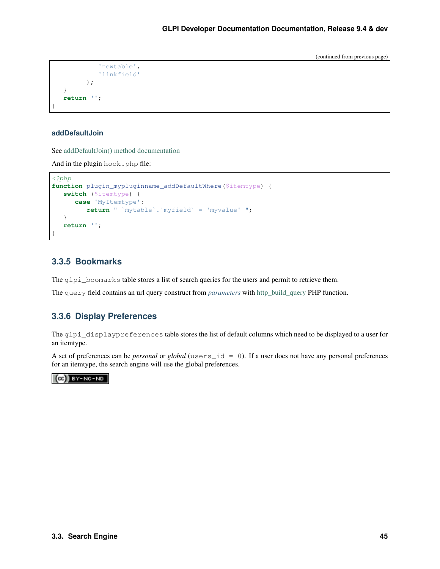```
'newtable',
          'linkfield'
       );
}
return '';
```
### **addDefaultJoin**

}

See [addDefaultJoin\(\) method documentation](https://forge.glpi-project.org/apidoc/class-Search.html#_addDefaultJoin)

And in the plugin hook.php file:

```
<?php
function plugin_mypluginname_addDefaultWhere($itemtype) {
   switch ($itemtype) {
      case 'MyItemtype':
         return " `mytable`.`myfield` = 'myvalue' ";
   }
   return '';
}
```
## **3.3.5 Bookmarks**

The glpi\_boomarks table stores a list of search queries for the users and permit to retrieve them.

The query field contains an url query construct from *[parameters](#page-39-0)* with [http\\_build\\_query](http://php.net/manual/en/function.http-build-query.php) PHP function.

## **3.3.6 Display Preferences**

The glpi\_displaypreferences table stores the list of default columns which need to be displayed to a user for an itemtype.

A set of preferences can be *personal* or *global* (users\_id = 0). If a user does not have any personal preferences for an itemtype, the search engine will use the global preferences.

## $\left(\begin{matrix} 0 & 0 \\ 0 & 0 \end{matrix}\right)$  BY-NC-ND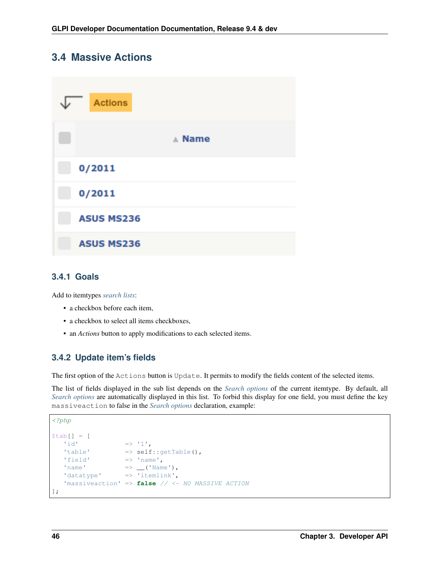## **3.4 Massive Actions**

| <b>Actions</b>    |               |
|-------------------|---------------|
|                   | <b>△ Name</b> |
| 0/2011            |               |
| 0/2011            |               |
| <b>ASUS MS236</b> |               |
| <b>ASUS MS236</b> |               |

## **3.4.1 Goals**

Add to itemtypes *[search lists](#page-38-0)*:

- a checkbox before each item,
- a checkbox to select all items checkboxes,
- an *Actions* button to apply modifications to each selected items.

## **3.4.2 Update item's fields**

The first option of the Actions button is Update. It permits to modify the fields content of the selected items.

The list of fields displayed in the sub list depends on the *[Search options](#page-40-0)* of the current itemtype. By default, all *[Search options](#page-40-0)* are automatically displayed in this list. To forbid this display for one field, you must define the key massiveaction to false in the *[Search options](#page-40-0)* declaration, example:

```
<?php
$tab[] = ['id' \Rightarrow '1',
  'table' => self::getTable(),
  'field' => 'name',
   'name' \implies _('Name'),
   'datatype' => 'itemlink',
  'massiveaction' => false // <- NO MASSIVE ACTION
];
```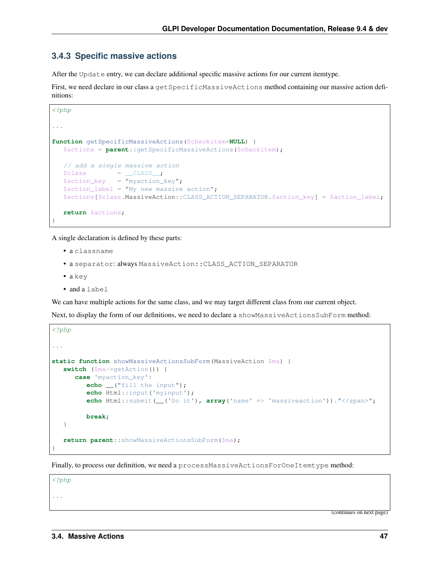## **3.4.3 Specific massive actions**

After the Update entry, we can declare additional specific massive actions for our current itemtype.

First, we need declare in our class a getSpecificMassiveActions method containing our massive action definitions:

```
<?php
...
function getSpecificMassiveActions($checkitem=NULL) {
  $actions = parent::getSpecificMassiveActions($checkitem);
   // add a single massive action
   \text{Sclass} = \text{\_Class};
   $action_key = "myaction_key";
   $action_label = "My new massive action";
   $actions[$class.MassiveAction::CLASS_ACTION_SEPARATOR.$action_key] = $action_label;
   return $actions;
}
```
A single declaration is defined by these parts:

- a classname
- a separator: always MassiveAction::CLASS\_ACTION\_SEPARATOR
- a key
- and a label

We can have multiple actions for the same class, and we may target different class from our current object.

Next, to display the form of our definitions, we need to declare a showMassiveActionsSubForm method:

```
<?php
...
static function showMassiveActionsSubForm(MassiveAction $ma) {
   switch ($ma->getAction()) {
      case 'myaction_key':
         echo __("fill the input");
         echo Html::input('myinput');
         echo Html::submit(__('Do it'), array('name' => 'massiveaction'))."</span>";
         break;
   }
   return parent::showMassiveActionsSubForm($ma);
}
```
Finally, to process our definition, we need a processMassiveActionsForOneItemtype method:

<?php

...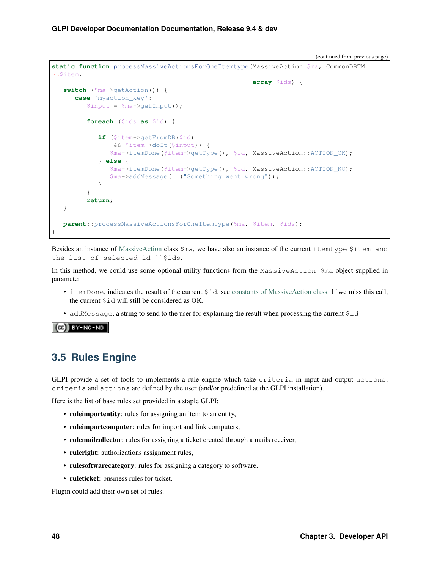```
static function processMassiveActionsForOneItemtype(MassiveAction $ma, CommonDBTM
˓→$item,
                                                     array $ids) {
  switch ($ma->getAction()) {
      case 'myaction_key':
         $input = $ma->getInput();
         foreach ($ids as $id) {
            if ($item->getFromDB($id)
                && $item->doIt($input)) {
               $ma->itemDone($item->getType(), $id, MassiveAction::ACTION_OK);
            } else {
               $ma->itemDone($item->getType(), $id, MassiveAction::ACTION_KO);
               $ma->addMessage(__("Something went wrong"));
            }
         }
         return;
   }
   parent::processMassiveActionsForOneItemtype($ma, $item, $ids);
}
```
Besides an instance of [MassiveAction](https://forge.glpi-project.org/apidoc/class-MassiveAction.html) class \$ma, we have also an instance of the current itemtype \$item and the list of selected id ``\$ids.

In this method, we could use some optional utility functions from the MassiveAction \$ma object supplied in parameter :

- itemDone, indicates the result of the current  $\frac{1}{2}d$ , see [constants of MassiveAction class.](https://forge.glpi-project.org/apidoc/class-MassiveAction.html#constants) If we miss this call, the current \$id will still be considered as OK.
- addMessage, a string to send to the user for explaining the result when processing the current \$id

```
(CC) BY-NC-ND
```
## **3.5 Rules Engine**

GLPI provide a set of tools to implements a rule engine which take criteria in input and output actions. criteria and actions are defined by the user (and/or predefined at the GLPI installation).

Here is the list of base rules set provided in a staple GLPI:

- ruleimportentity: rules for assigning an item to an entity,
- ruleimportcomputer: rules for import and link computers,
- rulemailcollector: rules for assigning a ticket created through a mails receiver,
- ruleright: authorizations assignment rules,
- rulesoftwarecategory: rules for assigning a category to software,
- ruleticket: business rules for ticket.

Plugin could add their own set of rules.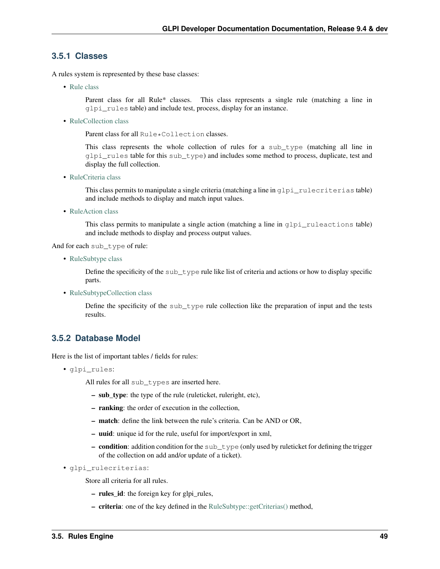## **3.5.1 Classes**

A rules system is represented by these base classes:

• [Rule class](https://forge.glpi-project.org/apidoc/class-Rule.html)

Parent class for all Rule\* classes. This class represents a single rule (matching a line in glpi\_rules table) and include test, process, display for an instance.

• [RuleCollection class](https://forge.glpi-project.org/apidoc/class-RuleCollection.html)

Parent class for all Rule\*Collection classes.

This class represents the whole collection of rules for a sub type (matching all line in glpi\_rules table for this sub\_type) and includes some method to process, duplicate, test and display the full collection.

• [RuleCriteria class](https://forge.glpi-project.org/apidoc/class-RuleCriteria.html)

This class permits to manipulate a single criteria (matching a line in  $q1pi_T$ ulecriterias table) and include methods to display and match input values.

• [RuleAction class](https://forge.glpi-project.org/apidoc/class-RuleAction.html)

This class permits to manipulate a single action (matching a line in glpi\_ruleactions table) and include methods to display and process output values.

And for each sub\_type of rule:

• [RuleSubtype class](https://forge.glpi-project.org/apidoc/class-RuleSubtype.html)

Define the specificity of the sub  $t_y$  type rule like list of criteria and actions or how to display specific parts.

• [RuleSubtypeCollection class](https://forge.glpi-project.org/apidoc/class-RuleSubtypeCollection.html)

Define the specificity of the sub-type rule collection like the preparation of input and the tests results.

## **3.5.2 Database Model**

Here is the list of important tables / fields for rules:

• glpi\_rules:

All rules for all sub\_types are inserted here.

- sub\_type: the type of the rule (ruleticket, ruleright, etc),
- ranking: the order of execution in the collection,
- match: define the link between the rule's criteria. Can be AND or OR,
- uuid: unique id for the rule, useful for import/export in xml,
- condition: addition condition for the sub\_type (only used by ruleticket for defining the trigger of the collection on add and/or update of a ticket).
- glpi\_rulecriterias:

Store all criteria for all rules.

- rules\_id: the foreign key for glpi\_rules,
- criteria: one of the key defined in the [RuleSubtype::getCriterias\(\)](https://forge.glpi-project.org/apidoc/class-RuleTicket.html#_getCriterias) method,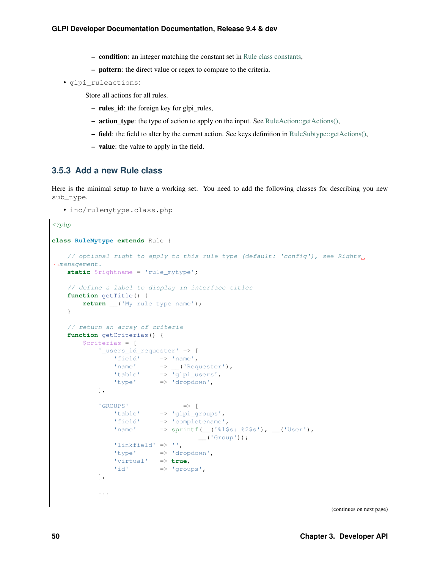- condition: an integer matching the constant set in [Rule class constants,](https://forge.glpi-project.org/apidoc/class-Rule.html#constants)
- pattern: the direct value or regex to compare to the criteria.
- glpi\_ruleactions:

Store all actions for all rules.

- rules id: the foreign key for glpi rules,
- action\_type: the type of action to apply on the input. See [RuleAction::getActions\(\),](https://forge.glpi-project.org/apidoc/class-RuleAction.html#_getActions)
- field: the field to alter by the current action. See keys definition in [RuleSubtype::getActions\(\),](https://forge.glpi-project.org/apidoc/class-RuleTicket.html#_getActions)
- value: the value to apply in the field.

## **3.5.3 Add a new Rule class**

Here is the minimal setup to have a working set. You need to add the following classes for describing you new sub\_type.

• inc/rulemytype.class.php

## <?php

```
class RuleMytype extends Rule {
   // optional right to apply to this rule type (default: 'config'), see Rights,
˓→management.
   static $rightname = 'rule_mytype';
    // define a label to display in interface titles
   function getTitle() {
       return __('My rule type name');
    }
    // return an array of criteria
   function getCriterias() {
       $criterias = [
           '_users_id_requester' => [
               'field' => 'name',
               'name' \implies ('Requester'),
                'table' => 'glpi_users',
                'type' => 'dropdown',
           ],
            'GROUPS' \Rightarrow [
               'table' => 'glpi_groups',
                'field' => 'completename',
               'name' \implies sprintf(_('%1$s: %2$s'), _('User'),
                                     \lfloor ('Group'));
               'linkfield' => '',
               'type' => 'dropdown',
               'virtual' => true,
                'id' => 'groups',
           \frac{1}{2}...
```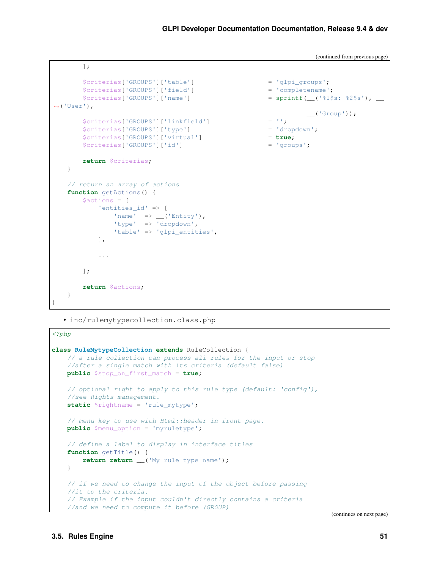```
];
      $criterias['GROUPS']['table'] = 'glpi_groups';
      $criterias['GROUPS']['field'] = 'completename';
      \text{S}\text{criterias} ['GROUPS']['name'] = sprintf(_('%1$s: %2$s'), _
ightharpoonup ('User'),
                                                          __('Group'));
      $criterias['GROUPS']['linkfield'] = '';
      $criterias['GROUPS']['type'] = 'dropdown';
      $criterias['GROUPS']['virtual'] = true;
      $criterias['GROUPS']['id'] = 'groups';
      return $criterias;
   }
   // return an array of actions
   function getActions() {
      $actions = ['entities_id' => [
              'name' \Rightarrow ('Entity'),
              'type' => 'dropdown',
              'table' => 'glpi_entities',
          \frac{1}{2},
          ...
      ];
      return $actions;
   }
}
```
• inc/rulemytypecollection.class.php

```
<?php
class RuleMytypeCollection extends RuleCollection {
   // a rule collection can process all rules for the input or stop
   //after a single match with its criteria (default false)
   public $stop_on_first_match = true;
   // optional right to apply to this rule type (default: 'config'),
    //see Rights management.
   static $rightname = 'rule_mytype';
    // menu key to use with Html::header in front page.
   public $menu_option = 'myruletype';
   // define a label to display in interface titles
   function getTitle() {
       return return __('My rule type name');
    }
   // if we need to change the input of the object before passing
   //it to the criteria.
    // Example if the input couldn't directly contains a criteria
    //and we need to compute it before (GROUP)
```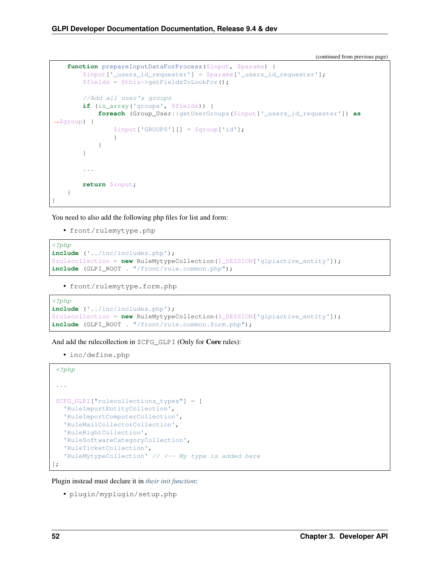```
function prepareInputDataForProcess($input, $params) {
        $input['_users_id_requester'] = $params['_users_id_requester'];
       $fields = $this->getFieldsToLookFor();
        //Add all user's groups
       if (in_array('groups', $fields)) {
            foreach (Group_User::getUserGroups($input['_users_id_requester']) as
˓→$group) {
                $input['GROUPS'][] = $group['id'];
                }
           }
        }
        ...
       return $input;
    }
}
```
You need to also add the following php files for list and form:

```
• front/rulemytype.php
```

```
<?php
include ('../inc/includes.php');
$rulecollection = new RuleMytypeCollection($_SESSION['glpiactive_entity']);
include (GLPI_ROOT . "/front/rule.common.php");
```
• front/rulemytype.form.php

```
<?phpinclude ('../inc/includes.php');
$rulecollection = new RuleMytypeCollection($_SESSION['glpiactive_entity']);
include (GLPI_ROOT . "/front/rule.common.form.php");
```
And add the rulecollection in \$CFG\_GLPI (Only for Core rules):

• inc/define.php

```
<?php
 ...
 $CFG_GLPI["rulecollections_types"] = [
  'RuleImportEntityCollection',
   'RuleImportComputerCollection',
   'RuleMailCollectorCollection',
   'RuleRightCollection',
   'RuleSoftwareCategoryCollection',
   'RuleTicketCollection',
   'RuleMytypeCollection' // <-- My type is added here
];
```
Plugin instead must declare it in *[their init function](#page-74-0)*:

• plugin/myplugin/setup.php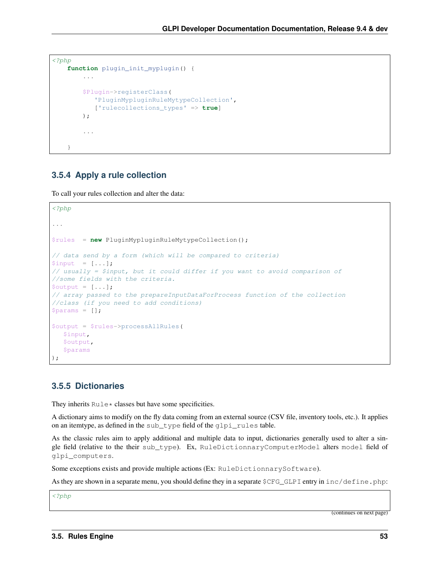```
<?php
   function plugin_init_myplugin() {
        ...
       $Plugin->registerClass(
          'PluginMypluginRuleMytypeCollection',
           ['rulecollections_types' => true]
       );
        ...
   }
```
## **3.5.4 Apply a rule collection**

To call your rules collection and alter the data:

```
<?php
...
$rules = new PluginMypluginRuleMytypeCollection();
// data send by a form (which will be compared to criteria)
$input = [\ldots];
// usually = $input, but it could differ if you want to avoid comparison of
//some fields with the criteria.
$output = [\ldots];
// array passed to the prepareInputDataForProcess function of the collection
//class (if you need to add conditions)
$params = [];
$output = $rules->processAllRules(
   $input,
   $output,
   $params
);
```
## **3.5.5 Dictionaries**

They inherits  $Rule \star$  classes but have some specificities.

A dictionary aims to modify on the fly data coming from an external source (CSV file, inventory tools, etc.). It applies on an itemtype, as defined in the sub\_type field of the glpi\_rules table.

As the classic rules aim to apply additional and multiple data to input, dictionaries generally used to alter a single field (relative to the their sub\_type). Ex, RuleDictionnaryComputerModel alters model field of glpi\_computers.

Some exceptions exists and provide multiple actions (Ex: RuleDictionnarySoftware).

As they are shown in a separate menu, you should define they in a separate  $SCFG_GLPT$  entry in  $inc/\text{define}$ . php:

<?php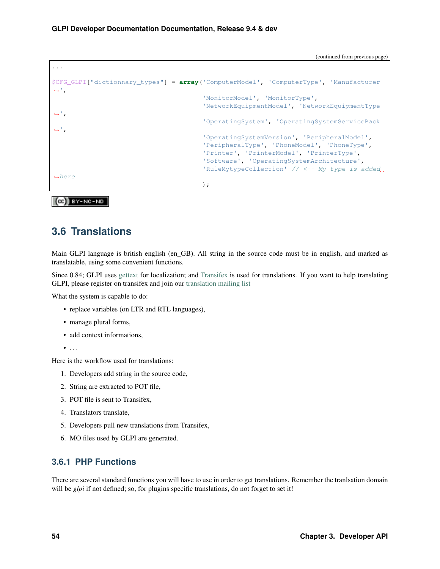

 $(G)$  BY-NC-ND

## <span id="page-57-0"></span>**3.6 Translations**

Main GLPI language is british english (en\_GB). All string in the source code must be in english, and marked as translatable, using some convenient functions.

Since 0.84; GLPI uses [gettext](https://www.gnu.org/software/gettext/) for localization; and [Transifex](https://www.transifex.com/glpi/GLPI/dashboard/) is used for translations. If you want to help translating GLPI, please register on transifex and join our [translation mailing list](https://mail.gna.org/listinfo/glpi-translation)

What the system is capable to do:

- replace variables (on LTR and RTL languages),
- manage plural forms,
- add context informations,
- $\bullet$  ...

Here is the workflow used for translations:

- 1. Developers add string in the source code,
- 2. String are extracted to POT file,
- 3. POT file is sent to Transifex,
- 4. Translators translate,
- 5. Developers pull new translations from Transifex,
- 6. MO files used by GLPI are generated.

## **3.6.1 PHP Functions**

There are several standard functions you will have to use in order to get translations. Remember the tranlsation domain will be *glpi* if not defined; so, for plugins specific translations, do not forget to set it!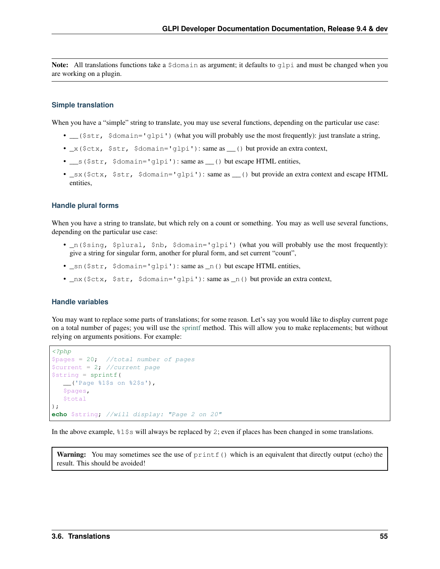Note: All translations functions take a \$domain as argument; it defaults to glpi and must be changed when you are working on a plugin.

#### **Simple translation**

When you have a "simple" string to translate, you may use several functions, depending on the particular use case:

- \_\_(\$str, \$domain='glpi') (what you will probably use the most frequently): just translate a string,
- \_x(\$ctx, \$str, \$domain='glpi'): same as \_\_() but provide an extra context,
- s (\$str, \$domain='glpi'): same as () but escape HTML entities,
- \_sx(\$ctx, \$str, \$domain='glpi'): same as \_\_() but provide an extra context and escape HTML entities,

#### **Handle plural forms**

When you have a string to translate, but which rely on a count or something. You may as well use several functions, depending on the particular use case:

- \_n(\$sing, \$plural, \$nb, \$domain='qlpi') (what you will probably use the most frequently): give a string for singular form, another for plural form, and set current "count",
- $\sin(5 \text{str}, 5 \text{domain} = \text{qlpi}$ '): same as  $\pi$ () but escape HTML entities,
- \_nx(\$ctx, \$str, \$domain='qlpi'): same as \_n() but provide an extra context,

### **Handle variables**

You may want to replace some parts of translations; for some reason. Let's say you would like to display current page on a total number of pages; you will use the [sprintf](http://php.net/manual/fr/function.sprintf.php) method. This will allow you to make replacements; but without relying on arguments positions. For example:

```
\langle ?php \rangle\text{Spages} = 20; //total number of pages
\text{Current} = 2; //current page
$string = sprintf(
   __('Page %1$s on %2$s'),
   $pages,
   $total
);
echo $string; //will display: "Page 2 on 20"
```
In the above example,  $\S1$ \$s will always be replaced by 2; even if places has been changed in some translations.

**Warning:** You may sometimes see the use of  $print f()$  which is an equivalent that directly output (echo) the result. This should be avoided!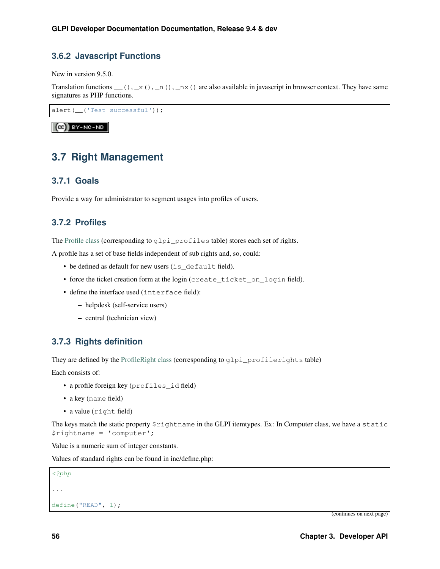## **3.6.2 Javascript Functions**

New in version 9.5.0.

Translation functions  $( )$ ,  $\mathbb{R}$  (),  $\mathbb{R}$  (),  $\mathbb{R}$  () are also available in javascript in browser context. They have same signatures as PHP functions.

alert(\_('Test successful'));



## **3.7 Right Management**

## **3.7.1 Goals**

Provide a way for administrator to segment usages into profiles of users.

## **3.7.2 Profiles**

The [Profile class](https://forge.glpi-project.org/apidoc/class-Profile.html) (corresponding to glpi\_profiles table) stores each set of rights.

A profile has a set of base fields independent of sub rights and, so, could:

- be defined as default for new users (is\_default field).
- force the ticket creation form at the login (create\_ticket\_on\_login field).
- define the interface used (interface field):
	- helpdesk (self-service users)
	- central (technician view)

## **3.7.3 Rights definition**

They are defined by the [ProfileRight class](https://forge.glpi-project.org/apidoc/class-ProfileRight.html) (corresponding to qlpi\_profilerights table)

Each consists of:

- a profile foreign key (profiles\_id field)
- a key (name field)
- a value (right field)

The keys match the static property \$rightname in the GLPI itemtypes. Ex: In Computer class, we have a static \$rightname = 'computer';

Value is a numeric sum of integer constants.

Values of standard rights can be found in inc/define.php:

```
<?php
...
define("READ", 1);
```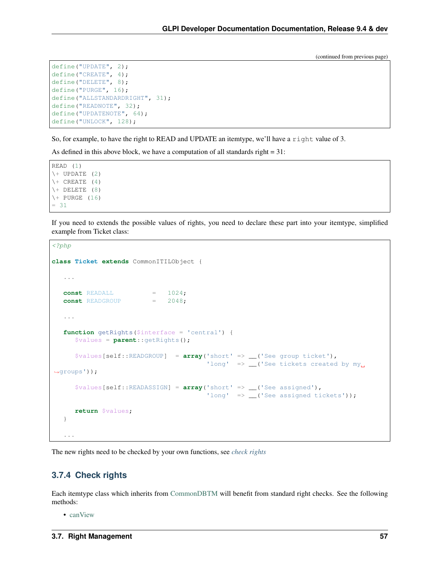```
define("UPDATE", 2);
define("CREATE", 4);
define("DELETE", 8);
define("PURGE", 16);
define("ALLSTANDARDRIGHT", 31);
define("READNOTE", 32);
define("UPDATENOTE", 64);
define("UNLOCK", 128);
```
So, for example, to have the right to READ and UPDATE an itemtype, we'll have a right value of 3.

As defined in this above block, we have a computation of all standards right = 31:

```
READ (1)
\left\langle +\right\rangle UPDATE (2)
\left\langle + \right\rangle CREATE (4)
\left\langle +\right\rangle DELETE (8)
\left\langle + \right\rangle PURGE (16)
= 31
```
If you need to extends the possible values of rights, you need to declare these part into your itemtype, simplified example from Ticket class:

```
<?php
class Ticket extends CommonITILObject {
   ...
  const READALL = 1024;
  const READGROUP = 2048;
   ...
  function getRights($interface = 'central') {
     $values = parent::getRights();
     $values[self::READGROUP] = array('short' => __('See group ticket'),
                                       'long' => \angle ('See tickets created by my
˓→groups'));
     $values[self::READASSIGN] = array('short' => __('See assigned'),
                                       'long' => ( 'See assigned tickets') );
     return $values;
  }
   ...
```
The new rights need to be checked by your own functions, see *[check rights](#page-60-0)*

## <span id="page-60-0"></span>**3.7.4 Check rights**

Each itemtype class which inherits from [CommonDBTM](https://forge.glpi-project.org/apidoc/class-CommonDBTM.html) will benefit from standard right checks. See the following methods:

• [canView](https://forge.glpi-project.org/apidoc/class-CommonDBTM.html#_canView)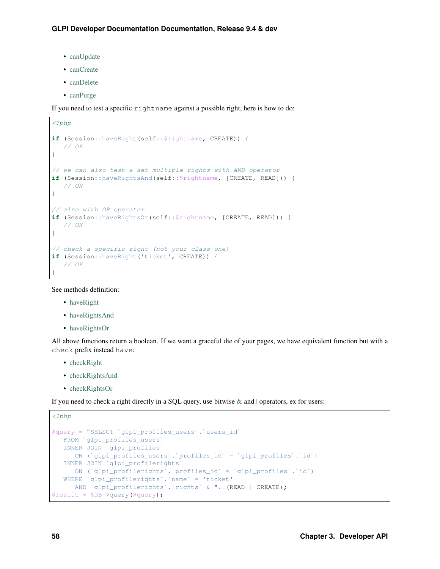- [canUpdate](https://forge.glpi-project.org/apidoc/class-CommonDBTM.html#_canUpdate)
- [canCreate](https://forge.glpi-project.org/apidoc/class-CommonDBTM.html#_canCreate)
- [canDelete](https://forge.glpi-project.org/apidoc/class-CommonDBTM.html#_canDelete)
- [canPurge](https://forge.glpi-project.org/apidoc/class-CommonDBTM.html#_canPurge)

If you need to test a specific rightname against a possible right, here is how to do:

```
<?php
if (Session::haveRight(self::$rightname, CREATE)) {
   // OK
}
// we can also test a set multiple rights with AND operator
if (Session::haveRightsAnd(self::$rightname, [CREATE, READ])) {
   // OK
}
// also with OR operator
if (Session::haveRightsOr(self::$rightname, [CREATE, READ])) {
   // OK
}
// check a specific right (not your class one)
if (Session::haveRight('ticket', CREATE)) {
   // OK
}
```
See methods definition:

- [haveRight](https://forge.glpi-project.org/apidoc/class-Session.html#_haveRight)
- [haveRightsAnd](https://forge.glpi-project.org/apidoc/class-Session.html#_haveRightsAnd)
- [haveRightsOr](https://forge.glpi-project.org/apidoc/class-Session.html#_haveRightsOr)

All above functions return a boolean. If we want a graceful die of your pages, we have equivalent function but with a check prefix instead have:

- [checkRight](https://forge.glpi-project.org/apidoc/class-Session.html#_checkRight)
- [checkRightsAnd](https://forge.glpi-project.org/apidoc/class-Session.html#_checkRightsAnd)
- [checkRightsOr](https://forge.glpi-project.org/apidoc/class-Session.html#_checkRightsOr)

If you need to check a right directly in a SQL query, use bitwise  $\&$  $\&$  and  $\vert$  operators, ex for users:

```
\langle ?php \rangle$query = "SELECT `glpi_profiles_users`.`users_id`
  FROM `glpi_profiles_users`
   INNER JOIN `glpi_profiles`
     ON (`glpi_profiles_users`.`profiles_id` = `glpi_profiles`.`id`)
  INNER JOIN `glpi_profilerights`
    ON (`glpi_profilerights`.`profiles_id` = `glpi_profiles`.`id`)
  WHERE `glpi_profilerights`.`name` = 'ticket'
     AND `glpi_profilerights`.`rights` & ". (READ | CREATE);
$result = $DB->query($query);
```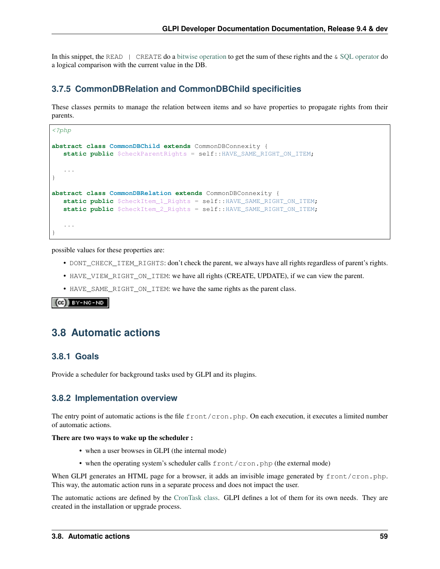In this snippet, the READ  $\parallel$  CREATE do a [bitwise operation](http://php.net/manual/fr/language.operators.bitwise.php) to get the sum of these rights and the  $\&$  SOL operator do a logical comparison with the current value in the DB.

## **3.7.5 CommonDBRelation and CommonDBChild specificities**

These classes permits to manage the relation between items and so have properties to propagate rights from their parents.

```
<?php
abstract class CommonDBChild extends CommonDBConnexity {
   static public $checkParentRights = self::HAVE_SAME_RIGHT_ON_ITEM;
   ...
}
abstract class CommonDBRelation extends CommonDBConnexity {
   static public $checkItem_1_Rights = self::HAVE_SAME_RIGHT_ON_ITEM;
   static public $checkItem_2_Rights = self::HAVE_SAME_RIGHT_ON_ITEM;
   ...
}
```
possible values for these properties are:

- DONT\_CHECK\_ITEM\_RIGHTS: don't check the parent, we always have all rights regardless of parent's rights.
- HAVE\_VIEW\_RIGHT\_ON\_ITEM: we have all rights (CREATE, UPDATE), if we can view the parent.
- HAVE\_SAME\_RIGHT\_ON\_ITEM: we have the same rights as the parent class.



## **3.8 Automatic actions**

## **3.8.1 Goals**

Provide a scheduler for background tasks used by GLPI and its plugins.

### **3.8.2 Implementation overview**

The entry point of automatic actions is the file front/cron.php. On each execution, it executes a limited number of automatic actions.

#### There are two ways to wake up the scheduler :

- when a user browses in GLPI (the internal mode)
- when the operating system's scheduler calls front/cron.php (the external mode)

When GLPI generates an HTML page for a browser, it adds an invisible image generated by front/cron.php. This way, the automatic action runs in a separate process and does not impact the user.

The automatic actions are defined by the [CronTask class.](https://forge.glpi-project.org/apidoc/class-CronTask.html) GLPI defines a lot of them for its own needs. They are created in the installation or upgrade process.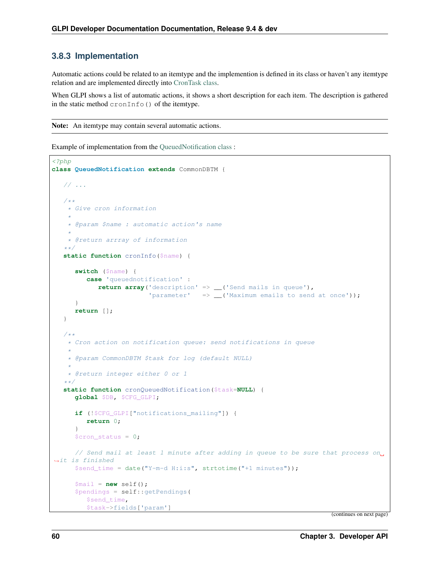## **3.8.3 Implementation**

Automatic actions could be related to an itemtype and the implemention is defined in its class or haven't any itemtype relation and are implemented directly into [CronTask class.](https://forge.glpi-project.org/apidoc/class-CronTask.html)

When GLPI shows a list of automatic actions, it shows a short description for each item. The description is gathered in the static method cronInfo() of the itemtype.

Note: An itemtype may contain several automatic actions.

Example of implementation from the [QueuedNotification class](https://forge.glpi-project.org/apidoc/class-QueuedNotification.html) :

```
<?php
class QueuedNotification extends CommonDBTM {
   // ...
   /*** Give cron information
    *
    * @param $name : automatic action's name
    *
    * @return arrray of information
   **/
   static function cronInfo($name) {
      switch ($name) {
         case 'queuednotification' :
            return array('description' => __('Send mails in queue'),
                         'parameter' \Rightarrow ('Maximum emails to send at once'));
      }
      return [];
   }
   /*** Cron action on notification queue: send notifications in queue
    *
    * @param CommonDBTM $task for log (default NULL)
    *
    * @return integer either 0 or 1
   **/
   static function cronQueuedNotification($task=NULL) {
      global $DB, $CFG_GLPI;
      if (!$CFG_GLPI["notifications_mailing"]) {
         return 0;
      }
      $cron status = 0;
      // Send mail at least 1 minute after adding in queue to be sure that process on
˓→it is finished
      $send time = date("Y-m-d H:i:s", stratotine("+1 minutes"));$mail = new self();
      $pendings = self::getPendings(
         $send_time,
         $task->fields['param']
```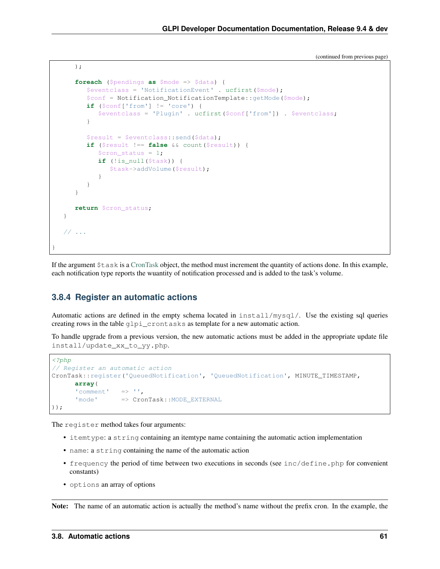```
);
   foreach ($pendings as $mode => $data) {
      $eventclass = 'NotificationEvent' . ucfirst($mode);
      $conf = Notification_NotificationTemplate::getMode($mode);
      if ($conf['from'] != 'core') {
         $eventclass = 'Plugin' . ucfirst($conf['from']) . $eventclass;
      }
      $result = $eventclass::send($data);
      if ($result !== false && count($result)) {
         $cron_status = 1;
         if (!is_null($task)) {
            $task->addVolume($result);
         }
      }
   }
   return $cron_status;
}
// ...
```
If the argument \$task is a [CronTask](https://forge.glpi-project.org/apidoc/class-CronTask.html) object, the method must increment the quantity of actions done. In this example, each notification type reports the wuantity of notification processed and is added to the task's volume.

### **3.8.4 Register an automatic actions**

}

Automatic actions are defined in the empty schema located in install/mysql/. Use the existing sql queries creating rows in the table glpi\_crontasks as template for a new automatic action.

To handle upgrade from a previous version, the new automatic actions must be added in the appropriate update file install/update\_xx\_to\_yy.php.

```
<?php
// Register an automatic action
CronTask::register('QueuedNotification', 'QueuedNotification', MINUTE_TIMESTAMP,
      array(
      ' comment' \Rightarrow '',
      'mode' => CronTask::MODE_EXTERNAL
));
```
The register method takes four arguments:

- itemtype: a string containing an itemtype name containing the automatic action implementation
- name: a string containing the name of the automatic action
- frequency the period of time between two executions in seconds (see  $inc/\text{define}$ , php for convenient constants)
- options an array of options

Note: The name of an automatic action is actually the method's name without the prefix cron. In the example, the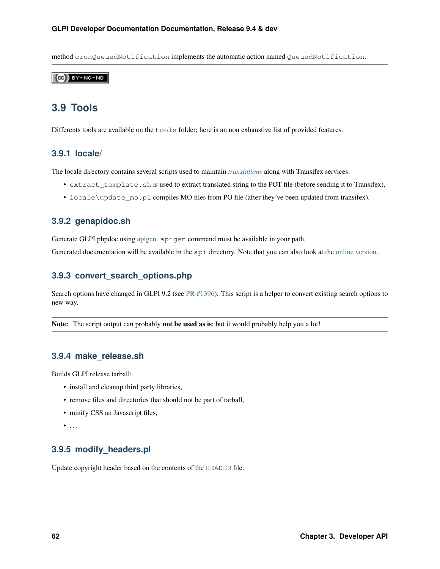method cronQueuedNotification implements the automatic action named QueuedNotification.

### $(G)$  BY-NC-ND

## **3.9 Tools**

Differents tools are available on the tools folder; here is an non exhaustive list of provided features.

## **3.9.1 locale/**

The locale directory contains several scripts used to maintain *[translations](#page-57-0)* along with Transifex services:

- extract\_template.sh is used to extract translated string to the POT file (before sending it to Transifex),
- locale\update\_mo.pl compiles MO files from PO file (after they've been updated from transifex).

## **3.9.2 genapidoc.sh**

Generate GLPI phpdoc using [apigen.](http://www.apigen.org/) apigen command must be available in your path.

Generated documentation will be available in the api directory. Note that you can also look at the [online version.](https://forge.glpi-project.org/apidoc/)

## **3.9.3 convert\_search\_options.php**

Search options have changed in GLPI 9.2 (see [PR #1396\)](https://github.com/glpi-project/glpi/issues/1396). This script is a helper to convert existing search options to new way.

Note: The script output can probably not be used as is; but it would probably help you a lot!

## **3.9.4 make\_release.sh**

Builds GLPI release tarball:

- install and cleanup third party libraries,
- remove files and directories that should not be part of tarball,
- minify CSS an Javascript files,
- $\bullet$  ...

## **3.9.5 modify\_headers.pl**

Update copyright header based on the contents of the HEADER file.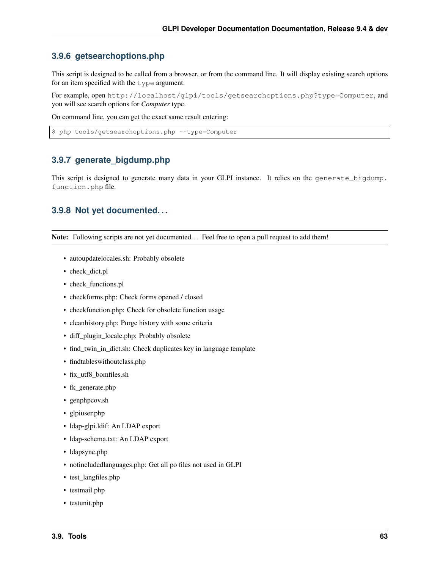## <span id="page-66-0"></span>**3.9.6 getsearchoptions.php**

This script is designed to be called from a browser, or from the command line. It will display existing search options for an item specified with the type argument.

For example, open http://localhost/glpi/tools/getsearchoptions.php?type=Computer, and you will see search options for *Computer* type.

On command line, you can get the exact same result entering:

\$ php tools/getsearchoptions.php --type=Computer

## **3.9.7 generate\_bigdump.php**

This script is designed to generate many data in your GLPI instance. It relies on the generate\_bigdump. function.php file.

## **3.9.8 Not yet documented. . .**

Note: Following scripts are not yet documented... Feel free to open a pull request to add them!

- autoupdatelocales.sh: Probably obsolete
- check dict.pl
- check\_functions.pl
- checkforms.php: Check forms opened / closed
- checkfunction.php: Check for obsolete function usage
- cleanhistory.php: Purge history with some criteria
- diff\_plugin\_locale.php: Probably obsolete
- find twin in dict.sh: Check duplicates key in language template
- findtableswithoutclass.php
- fix\_utf8\_bomfiles.sh
- fk\_generate.php
- genphpcov.sh
- glpiuser.php
- ldap-glpi.ldif: An LDAP export
- ldap-schema.txt: An LDAP export
- ldapsync.php
- notincludedlanguages.php: Get all po files not used in GLPI
- test\_langfiles.php
- testmail.php
- testunit.php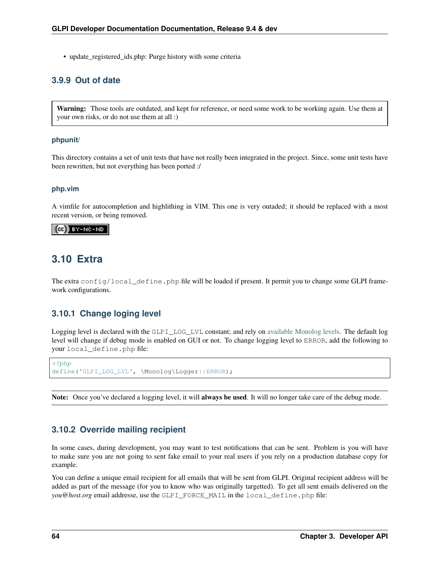• update registered ids.php: Purge history with some criteria

## **3.9.9 Out of date**

Warning: Those tools are outdated, and kept for reference, or need some work to be working again. Use them at your own risks, or do not use them at all :)

#### **phpunit/**

This directory contains a set of unit tests that have not really been integrated in the project. Since, some unit tests have been rewritten, but not everything has been ported :/

### **php.vim**

A vimfile for autocompletion and highlithing in VIM. This one is very outaded; it should be replaced with a most recent version, or being removed.

#### **CC** BY-NC-ND

## **3.10 Extra**

The extra config/local\_define.php file will be loaded if present. It permit you to change some GLPI framework configurations.

## **3.10.1 Change loging level**

Logging level is declared with the GLPI\_LOG\_LVL constant; and rely on [available Monolog levels.](https://github.com/Seldaek/monolog/blob/master/doc/01-usage.md#log-levels) The default log level will change if debug mode is enabled on GUI or not. To change logging level to ERROR, add the following to your local\_define.php file:

```
<?php
define('GLPI_LOG_LVL', \Monolog\Logger::ERROR);
```
Note: Once you've declared a logging level, it will **always be used**. It will no longer take care of the debug mode.

## **3.10.2 Override mailing recipient**

In some cases, during development, you may want to test notifications that can be sent. Problem is you will have to make sure you are not going to sent fake email to your real users if you rely on a production database copy for example.

You can define a unique email recipient for all emails that will be sent from GLPI. Original recipient address will be added as part of the message (for you to know who was originally targetted). To get all sent emails delivered on the *you@host.org* email addresse, use the GLPI FORCE MAIL in the local define.php file: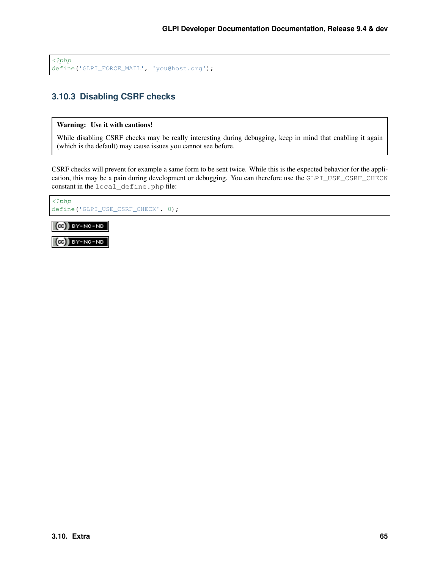```
<?php
define('GLPI_FORCE_MAIL', 'you@host.org');
```
## **3.10.3 Disabling CSRF checks**

Warning: Use it with cautions!

While disabling CSRF checks may be really interesting during debugging, keep in mind that enabling it again (which is the default) may cause issues you cannot see before.

CSRF checks will prevent for example a same form to be sent twice. While this is the expected behavior for the application, this may be a pain during development or debugging. You can therefore use the GLPI\_USE\_CSRF\_CHECK constant in the local\_define.php file:

```
<?php
define('GLPI_USE_CSRF_CHECK', 0);
```
 $(c)$  BY-NC-ND

 $(cc)$  BY-NC-ND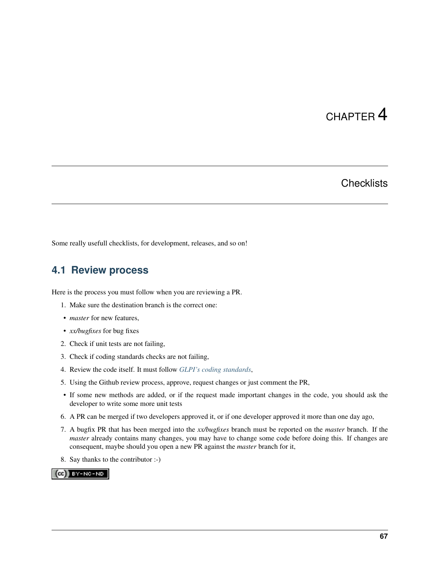# CHAPTER 4

## **Checklists**

Some really usefull checklists, for development, releases, and so on!

## **4.1 Review process**

Here is the process you must follow when you are reviewing a PR.

- 1. Make sure the destination branch is the correct one:
- *master* for new features,
- *xx/bugfixes* for bug fixes
- 2. Check if unit tests are not failing,
- 3. Check if coding standards checks are not failing,
- 4. Review the code itself. It must follow *[GLPI's coding standards](#page-14-0)*,
- 5. Using the Github review process, approve, request changes or just comment the PR,
- If some new methods are added, or if the request made important changes in the code, you should ask the developer to write some more unit tests
- 6. A PR can be merged if two developers approved it, or if one developer approved it more than one day ago,
- 7. A bugfix PR that has been merged into the *xx/bugfixes* branch must be reported on the *master* branch. If the *master* already contains many changes, you may have to change some code before doing this. If changes are consequent, maybe should you open a new PR against the *master* branch for it,
- 8. Say thanks to the contributor :-)

## **CC** BY-NC-ND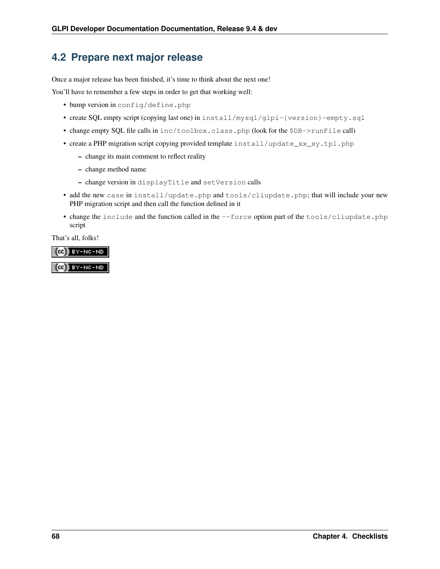## **4.2 Prepare next major release**

Once a major release has been finished, it's time to think about the next one!

You'll have to remember a few steps in order to get that working well:

- bump version in config/define.php
- create SQL empty script (copying last one) in install/mysql/glpi-{version}-empty.sql
- change empty SQL file calls in inc/toolbox.class.php (look for the \$DB->runFile call)
- create a PHP migration script copying provided template install/update\_xx\_xy.tpl.php
	- change its main comment to reflect reality
	- change method name
	- change version in displayTitle and setVersion calls
- add the new case in install/update.php and tools/cliupdate.php; that will include your new PHP migration script and then call the function defined in it
- change the include and the function called in the --force option part of the tools/cliupdate.php script

That's all, folks!

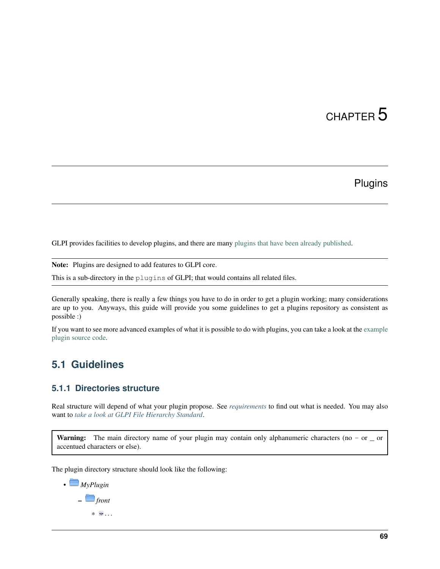# CHAPTER 5

# Plugins

GLPI provides facilities to develop plugins, and there are many [plugins that have been already published.](http://plugins.glpi-project.org)

Note: Plugins are designed to add features to GLPI core.

This is a sub-directory in the plugins of GLPI; that would contains all related files.

Generally speaking, there is really a few things you have to do in order to get a plugin working; many considerations are up to you. Anyways, this guide will provide you some guidelines to get a plugins repository as consistent as possible :)

If you want to see more advanced examples of what it is possible to do with plugins, you can take a look at the [example](http://github.com/pluginsGLPI/example/) [plugin source code.](http://github.com/pluginsGLPI/example/)

# **5.1 Guidelines**

# **5.1.1 Directories structure**

Real structure will depend of what your plugin propose. See *[requirements](#page-74-0)* to find out what is needed. You may also want to *[take a look at GLPI File Hierarchy Standard](#page-7-0)*.

Warning: The main directory name of your plugin may contain only alphanumeric characters (no - or  $\_\,$  or accentued characters or else).

The plugin directory structure should look like the following:

• *MyPlugin* – *front* \* *. . .*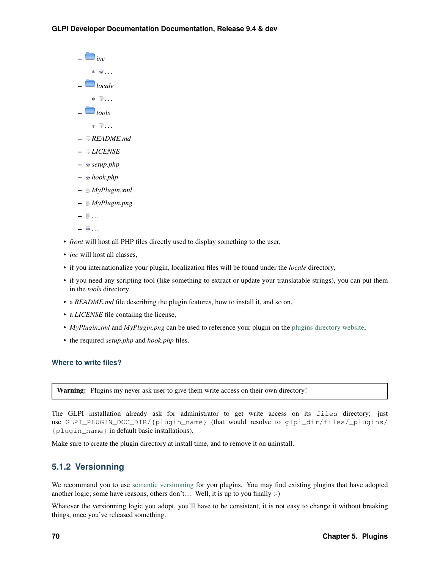

- *. . .*
- *front* will host all PHP files directly used to display something to the user,
- *inc* will host all classes,
- if you internationalize your plugin, localization files will be found under the *locale* directory,
- if you need any scripting tool (like something to extract or update your translatable strings), you can put them in the *tools* directory
- a *README.md* file describing the plugin features, how to install it, and so on,
- a *LICENSE* file contaiing the license,
- *MyPlugin.xml* and *MyPlugin.png* can be used to reference your plugin on the [plugins directory website,](http://plugins.glpi-project.org)
- the required *setup.php* and *hook.php* files.

#### **Where to write files?**

Warning: Plugins my never ask user to give them write access on their own directory!

The GLPI installation already ask for administrator to get write access on its files directory; just use GLPI\_PLUGIN\_DOC\_DIR/{plugin\_name} (that would resolve to glpi\_dir/files/\_plugins/ {plugin\_name} in default basic installations).

Make sure to create the plugin directory at install time, and to remove it on uninstall.

# **5.1.2 Versionning**

We recommand you to use [semantic versionning](http://semver.org/) for you plugins. You may find existing plugins that have adopted another logic; some have reasons, others don't... Well, it is up to you finally  $\cdot$ -)

Whatever the versionning logic you adopt, you'll have to be consistent, it is not easy to change it without breaking things, once you've released something.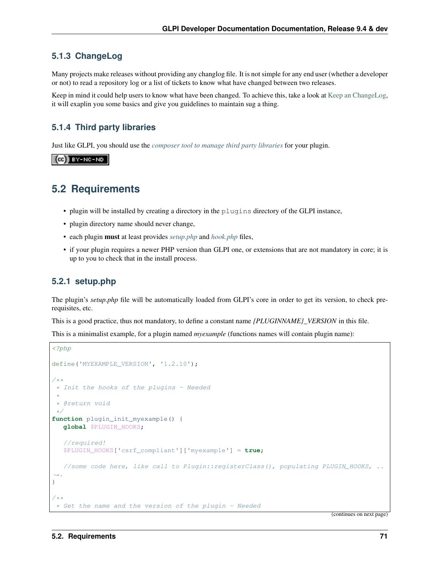# **5.1.3 ChangeLog**

Many projects make releases without providing any changlog file. It is not simple for any end user (whether a developer or not) to read a repository log or a list of tickets to know what have changed between two releases.

Keep in mind it could help users to know what have been changed. To achieve this, take a look at [Keep an ChangeLog,](http://keepachangelog.com/) it will exaplin you some basics and give you guidelines to maintain sug a thing.

## **5.1.4 Third party libraries**

Just like GLPI, you should use the *[composer tool to manage third party libraries](#page-10-0)* for your plugin.

#### $(G<sub>c</sub>)$  BY-NC-ND

# <span id="page-74-0"></span>**5.2 Requirements**

- plugin will be installed by creating a directory in the plugins directory of the GLPI instance,
- plugin directory name should never change,
- each plugin must at least provides *[setup.php](#page-74-1)* and *[hook.php](#page-78-0)* files,
- if your plugin requires a newer PHP version than GLPI one, or extensions that are not mandatory in core; it is up to you to check that in the install process.

# <span id="page-74-1"></span>**5.2.1 setup.php**

The plugin's *setup.php* file will be automatically loaded from GLPI's core in order to get its version, to check prerequisites, etc.

This is a good practice, thus not mandatory, to define a constant name *{PLUGINNAME}\_VERSION* in this file.

This is a minimalist example, for a plugin named *myexample* (functions names will contain plugin name):

```
<?php
define('MYEXAMPLE_VERSION', '1.2.10');
/**
 * Init the hooks of the plugins - Needed
 *
 * @return void
 */
function plugin_init_myexample() {
  global $PLUGIN_HOOKS;
   //required!
   $PLUGIN_HOOKS['csrf_compliant']['myexample'] = true;
   //some code here, like call to Plugin::registerClass(), populating PLUGIN_HOOKS,
˓→.
}
/**
 * Get the name and the version of the plugin - Needed
```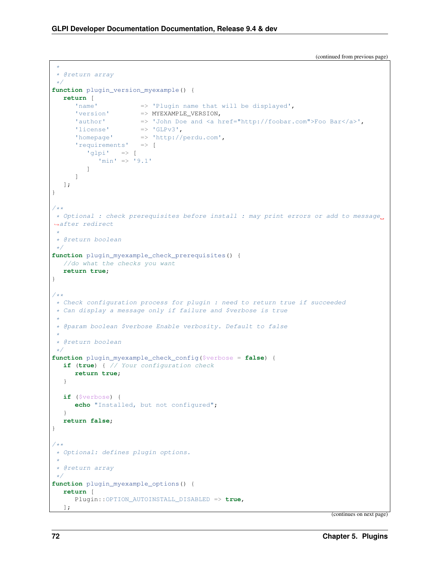```
*
 * @return array
\star /
function plugin_version_myexample() {
  return [
     'name' => 'Plugin name that will be displayed',
      'version' => MYEXAMPLE_VERSION,
     'author' => 'John Doe and <a href="http://foobar.com">Foo Bar</a>',
      'license' => 'GLPv3',
      'homepage' => 'http://perdu.com',
      'requirements' => [
        'glpi' => [
           'min' => '9.1'
        ]
     ]
  ];
}
/**
* Optional : check prerequisites before install : may print errors or add to message,
˓→after redirect
 *
* @return boolean
*/
function plugin_myexample_check_prerequisites() {
  //do what the checks you want
  return true;
}
/**
* Check configuration process for plugin : need to return true if succeeded
 * Can display a message only if failure and $verbose is true
 *
 * @param boolean $verbose Enable verbosity. Default to false
 *
 * @return boolean
 */
function plugin_myexample_check_config($verbose = false) {
  if (true) { // Your configuration check
     return true;
   }
  if ($verbose) {
     echo "Installed, but not configured";
   }
  return false;
}
/**
 * Optional: defines plugin options.
 *
 * @return array
\star/function plugin_myexample_options() {
  return [
     Plugin::OPTION_AUTOINSTALL_DISABLED => true,
   ];
```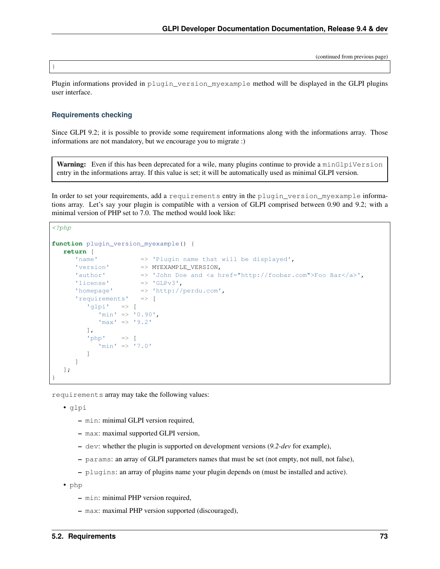Plugin informations provided in plugin\_version\_myexample method will be displayed in the GLPI plugins user interface.

#### **Requirements checking**

}

Since GLPI 9.2; it is possible to provide some requirement informations along with the informations array. Those informations are not mandatory, but we encourage you to migrate :)

**Warning:** Even if this has been deprecated for a wile, many plugins continue to provide a minGlpiVersion entry in the informations array. If this value is set; it will be automatically used as minimal GLPI version.

In order to set your requirements, add a requirements entry in the plugin\_version\_myexample informations array. Let's say your plugin is compatible with a version of GLPI comprised between 0.90 and 9.2; with a minimal version of PHP set to 7.0. The method would look like:

```
<?php
function plugin_version_myexample() {
  return [
     'name' => 'Plugin name that will be displayed',
     'version' => MYEXAMPLE_VERSION,
     'author' => 'John Doe and <a href="http://foobar.com">Foo Bar</a>',
     'license' => 'GLPv3',
     'homepage' => 'http://perdu.com',
      'requirements' => [
        'qlpi' => [
           'min' \implies '0.90',\text{max}' => '9.2'
        ],
        'php' => ['min' => '7.0'
        ]
     ]
  ];
}
```
requirements array may take the following values:

• glpi

- min: minimal GLPI version required,
- max: maximal supported GLPI version,
- dev: whether the plugin is supported on development versions (*9.2-dev* for example),
- params: an array of GLPI parameters names that must be set (not empty, not null, not false),
- plugins: an array of plugins name your plugin depends on (must be installed and active).

• php

- min: minimal PHP version required,
- max: maximal PHP version supported (discouraged),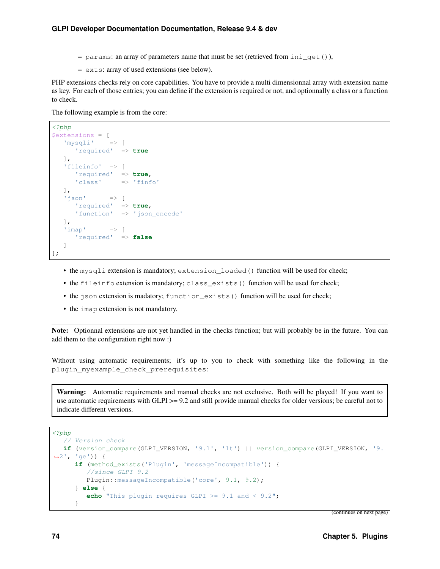- $-$  params: an array of parameters name that must be set (retrieved from ini  $q$ et()),
- exts: array of used extensions (see below).

PHP extensions checks rely on core capabilities. You have to provide a multi dimensionnal array with extension name as key. For each of those entries; you can define if the extension is required or not, and optionnally a class or a function to check.

The following example is from the core:

```
<?php
$extensions = [
   'mysqli' => [
      'required' => true
   ],
   'fileinfo' => [
      'required' => true,
      'class' => 'finfo'
   \frac{1}{2},
   'json' => [
      'required' => true,
      'function' => 'json_encode'
   \frac{1}{2},
   ' imap' \Rightarrow [
      'required' => false
   ]
];
```
- the mysqli extension is mandatory; extension loaded () function will be used for check;
- the fileinfo extension is mandatory; class\_exists() function will be used for check;
- the json extension is madatory; function\_exists() function will be used for check;
- the imap extension is not mandatory.

Note: Optionnal extensions are not yet handled in the checks function; but will probably be in the future. You can add them to the configuration right now :)

Without using automatic requirements; it's up to you to check with something like the following in the plugin\_myexample\_check\_prerequisites:

Warning: Automatic requirements and manual checks are not exclusive. Both will be played! If you want to use automatic requirements with GLPI >= 9.2 and still provide manual checks for older versions; be careful not to indicate different versions.

```
<?php
  // Version check
  if (version_compare(GLPI_VERSION, '9.1', 'lt') || version_compare(GLPI_VERSION, '9.
\rightarrow2', 'ge')) {
     if (method_exists('Plugin', 'messageIncompatible')) {
        //since GLPI 9.2
        Plugin::messageIncompatible('core', 9.1, 9.2);
      } else {
         echo "This plugin requires GLPI >= 9.1 and < 9.2";
      }
```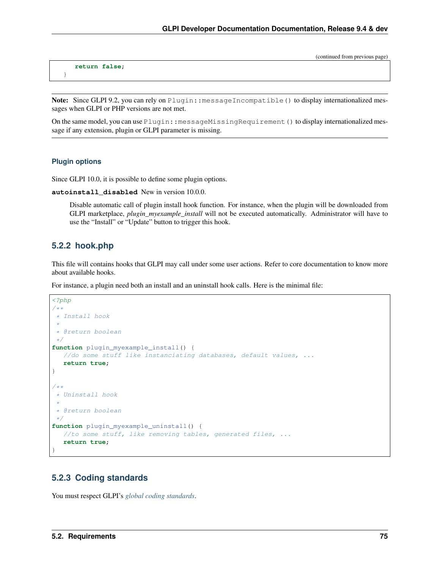```
return false;
}
```
Note: Since GLPI 9.2, you can rely on Plugin: : messageIncompatible() to display internationalized messages when GLPI or PHP versions are not met.

On the same model, you can use Plugin: : messageMissingRequirement () to display internationalized message if any extension, plugin or GLPI parameter is missing.

#### **Plugin options**

Since GLPI 10.0, it is possible to define some plugin options.

**autoinstall\_disabled** New in version 10.0.0.

Disable automatic call of plugin install hook function. For instance, when the plugin will be downloaded from GLPI marketplace, *plugin\_myexample\_install* will not be executed automatically. Administrator will have to use the "Install" or "Update" button to trigger this hook.

#### <span id="page-78-0"></span>**5.2.2 hook.php**

This file will contains hooks that GLPI may call under some user actions. Refer to core documentation to know more about available hooks.

For instance, a plugin need both an install and an uninstall hook calls. Here is the minimal file:

```
<?php
/**
* Install hook
 *
 * @return boolean
\star/function plugin_myexample_install() {
  //do some stuff like instanciating databases, default values, ...
   return true;
}
/**
 * Uninstall hook
 *
 * @return boolean
 */
function plugin_myexample_uninstall() {
   //to some stuff, like removing tables, generated files, ...
   return true;
}
```
# **5.2.3 Coding standards**

You must respect GLPI's *[global coding standards](#page-14-0)*.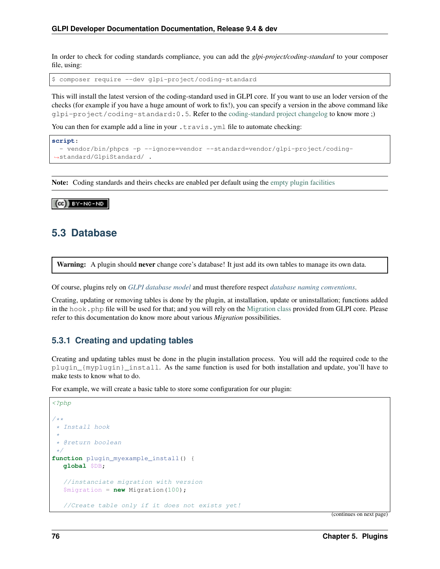In order to check for coding standards compliance, you can add the *glpi-project/coding-standard* to your composer file, using:

\$ composer require --dev glpi-project/coding-standard

This will install the latest version of the coding-standard used in GLPI core. If you want to use an loder version of the checks (for example if you have a huge amount of work to fix!), you can specify a version in the above command like glpi-project/coding-standard:0.5. Refer to the [coding-standard project changelog](https://github.com/glpi-project/coding-standard/blob/master/CHANGELOG.md) to know more ;)

You can then for example add a line in your .travis.yml file to automate checking:

```
script:
 - vendor/bin/phpcs -p --ignore=vendor --standard=vendor/glpi-project/coding-
˓→standard/GlpiStandard/ .
```
Note: Coding standards and theirs checks are enabled per default using the [empty plugin facilities](http://glpi-plugins.readthedocs.io/en/latest/empty/)

#### $(G)$  BY-NC-ND

# **5.3 Database**

Warning: A plugin should never change core's database! It just add its own tables to manage its own data.

Of course, plugins rely on *[GLPI database model](#page-24-0)* and must therefore respect *[database naming conventions](#page-25-0)*.

Creating, updating or removing tables is done by the plugin, at installation, update or uninstallation; functions added in the hook.php file will be used for that; and you will rely on the [Migration class](https://forge.glpi-project.org/apidoc/class-Migration.html) provided from GLPI core. Please refer to this documentation do know more about various *Migration* possibilities.

### **5.3.1 Creating and updating tables**

Creating and updating tables must be done in the plugin installation process. You will add the required code to the plugin\_{myplugin}\_install. As the same function is used for both installation and update, you'll have to make tests to know what to do.

For example, we will create a basic table to store some configuration for our plugin:

```
<?php
/**
 * Install hook
 *
 * @return boolean
 */
function plugin_myexample_install() {
   global $DB;
   //instanciate migration with version
   $migration = new Migration(100);
   //Create table only if it does not exists yet!
```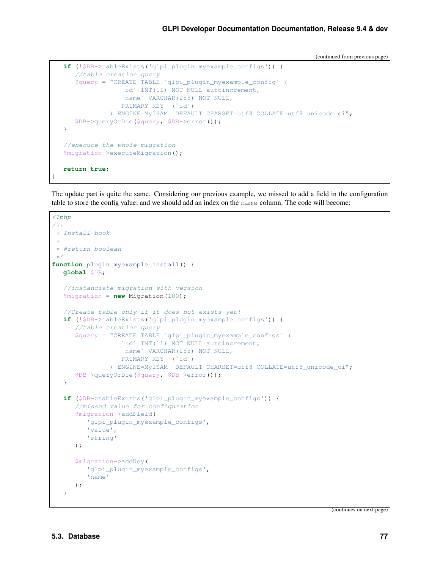```
if (!$DB->tableExists('glpi_plugin_myexample_configs')) {
   //table creation query
   $query = "CREATE TABLE `glpi_plugin_myexample_config` (
               `id` INT(11) NOT NULL autoincrement,
               `name` VARCHAR(255) NOT NULL,
              PRIMARY KEY (`id`)
            ) ENGINE=MyISAM DEFAULT CHARSET=utf8 COLLATE=utf8_unicode_ci";
   $DB->queryOrDie($query, $DB->error());
}
//execute the whole migration
$migration->executeMigration();
return true;
```
The update part is quite the same. Considering our previous example, we missed to add a field in the configuration table to store the config value; and we should add an index on the name column. The code will become:

```
<?php
/**
* Install hook
 *
 * @return boolean
 */
function plugin_myexample_install() {
  global $DB;
   //instanciate migration with version
   $migration = new Migration(100);
   //Create table only if it does not exists yet!
   if (!$DB->tableExists('glpi_plugin_myexample_configs')) {
      //table creation query
      $query = "CREATE TABLE `glpi_plugin_myexample_configs` (
                  `id` INT(11) NOT NULL autoincrement,
                  `name` VARCHAR(255) NOT NULL,
                  PRIMARY KEY (`id`)
               ) ENGINE=MyISAM DEFAULT CHARSET=utf8 COLLATE=utf8_unicode_ci";
      $DB->queryOrDie($query, $DB->error());
   }
   if ($DB->tableExists('glpi_plugin_myexample_configs')) {
      //missed value for configuration
      $migration->addField(
         'glpi_plugin_myexample_configs',
         'value',
         'string'
      );
      $migration->addKey(
         'glpi_plugin_myexample_configs',
         'name'
      );
   }
```
(continues on next page)

}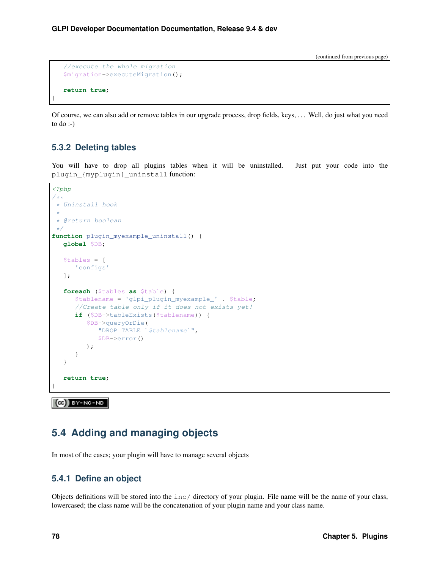```
//execute the whole migration
$migration->executeMigration();
return true;
```
Of course, we can also add or remove tables in our upgrade process, drop fields, keys, . . . Well, do just what you need to do  $:-)$ 

# **5.3.2 Deleting tables**

}

You will have to drop all plugins tables when it will be uninstalled. Just put your code into the plugin\_{myplugin}\_uninstall function:

```
<?php
/**
* Uninstall hook
 *
 * @return boolean
 */
function plugin_myexample_uninstall() {
  global $DB;
   $tables = ['configs'
   ];
   foreach ($tables as $table) {
      $tablename = 'glpi_plugin_myexample_' . $table;
      //Create table only if it does not exists yet!
      if ($DB->tableExists($tablename)) {
         $DB->queryOrDie(
            "DROP TABLE `$tablename`",
            $DB->error()
         );
      }
   }
   return true;
}
```
 $\left(\begin{matrix}cc\end{matrix}\right)$  BY-NC-ND

# **5.4 Adding and managing objects**

In most of the cases; your plugin will have to manage several objects

# **5.4.1 Define an object**

Objects definitions will be stored into the inc/ directory of your plugin. File name will be the name of your class, lowercased; the class name will be the concatenation of your plugin name and your class name.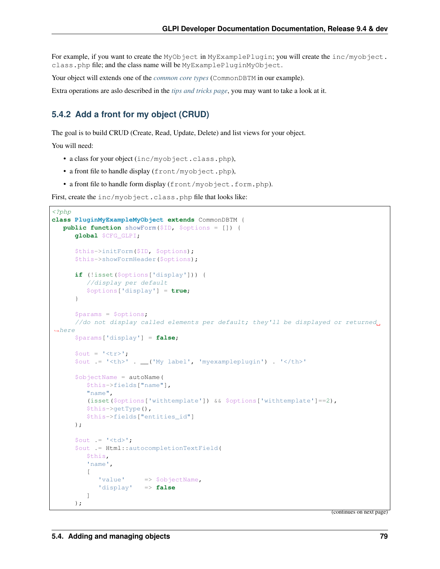For example, if you want to create the MyObject in MyExamplePlugin; you will create the inc/myobject. class.php file; and the class name will be MyExamplePluginMyObject.

Your object will extends one of the *[common core types](#page-20-0)* (CommonDBTM in our example).

Extra operations are aslo described in the *[tips and tricks page](#page-96-0)*, you may want to take a look at it.

# **5.4.2 Add a front for my object (CRUD)**

The goal is to build CRUD (Create, Read, Update, Delete) and list views for your object.

You will need:

- a class for your object (inc/myobject.class.php),
- a front file to handle display (front/myobject.php),
- a front file to handle form display (front/myobject.form.php).

First, create the inc/myobject.class.php file that looks like:

```
<?php
class PluginMyExampleMyObject extends CommonDBTM {
   public function showForm($ID, $options = []) {
      global $CFG_GLPI;
      $this->initForm($ID, $options);
      $this->showFormHeader($options);
      if (!isset($options['display'])) {
         //display per default
         $options['display'] = true;
      }
      $params = $options;
      //do not display called elements per default; they'll be displayed or returned.
\rightarrowhere
      $params['display'] = false;
      Sout = ' <tr>':
      $out .= '<th>' . __('My label', 'myexampleplugin') . '</th>'
      $objectName = autoName(
        $this->fields["name"],
         "name",
         (isset($options['withtemplate']) && $options['withtemplate']==2),
         $this->getType(),
         $this->fields["entities_id"]
      );
      $out := ' <td>';</math>$out .= Html::autocompletionTextField(
         $this,
         'name',
         \lceil'value' => $objectName,
            'display' => false
         ]
      );
```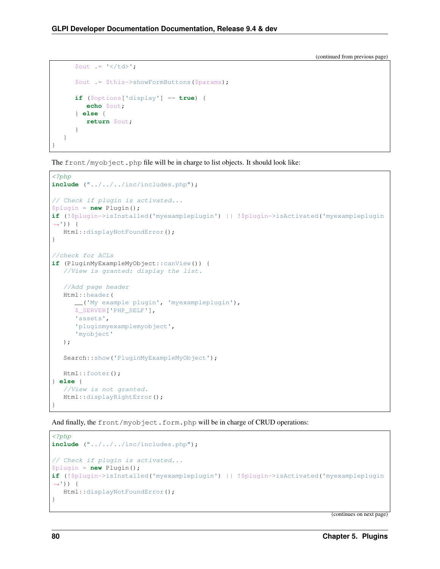```
$out := '<<td>';$out .= $this->showFormButtons($params);
   if ($options['display'] == true) {
      echo $out;
   } else {
     return $out;
   }
}
```
The front/myobject.php file will be in charge to list objects. It should look like:

```
<?php
include ("../../../inc/includes.php");
// Check if plugin is activated...
$plugin = new Plugin();
if (!$plugin->isInstalled('myexampleplugin') || !$plugin->isActivated('myexampleplugin
\leftrightarrow')) {
   Html::displayNotFoundError();
}
//check for ACLs
if (PluginMyExampleMyObject::canView()) {
   //View is granted: display the list.
   //Add page header
   Html::header(
      __('My example plugin', 'myexampleplugin'),
      $_SERVER['PHP_SELF'],
      'assets',
      'pluginmyexamplemyobject',
      'myobject'
   );
   Search::show('PluginMyExampleMyObject');
  Html::footer();
} else {
   //View is not granted.
   Html::displayRightError();
}
```
And finally, the front/myobject.form.php will be in charge of CRUD operations:

```
<?php
include ("../../../inc/includes.php");
// Check if plugin is activated...
$plugin = new Plugin();
if (!$plugin->isInstalled('myexampleplugin') || !$plugin->isActivated('myexampleplugin
\rightarrow')) {
  Html::displayNotFoundError();
}
```
(continues on next page)

}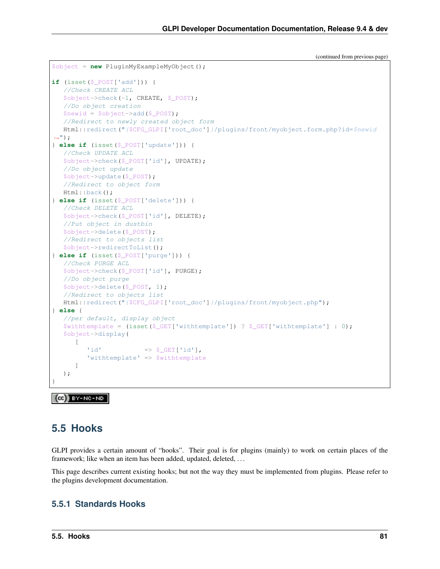```
(continued from previous page)
```

```
$object = new PluginMyExampleMyObject();
if (isset($_POST['add'])) {
   //Check CREATE ACL
   $object->check(-1, CREATE, $_POST);
  //Do object creation
  $newid = $object->add($_POST);
   //Redirect to newly created object form
  Html::redirect("{$CFG_GLPI['root_doc']}/plugins/front/myobject.form.php?id=$newid
ightharpoonup");
} else if (isset($_POST['update'])) {
  //Check UPDATE ACL
  $object->check($_POST['id'], UPDATE);
  //Do object update
  $object->update($_POST);
   //Redirect to object form
  Html::back();
} else if (isset($_POST['delete'])) {
   //Check DELETE ACL
   $object->check($_POST['id'], DELETE);
  //Put object in dustbin
  $object->delete($_POST);
  //Redirect to objects list
  $object->redirectToList();
} else if (isset($_POST['purge'])) {
  //Check PURGE ACL
  $object->check($_POST['id'], PURGE);
  //Do object purge
  $object->delete($_POST, 1);
   //Redirect to objects list
  Html::redirect("{$CFG_GLPI['root_doc']}/plugins/front/myobject.php");
} else {
   //per default, display object
   $with template = (isset ($\mathcal{S}$ - GET['withtemplate']) ? $GET['withoutTemplate'] : 0);$object->display(
      \sqrt{2}'id' \Rightarrow \angle GET['id'],
         'withtemplate' => $withtemplate
      ]
   );
}
```
### $\left(\mathbf{c}\mathbf{c}\right)$  BY-NC-ND

# **5.5 Hooks**

GLPI provides a certain amount of "hooks". Their goal is for plugins (mainly) to work on certain places of the framework; like when an item has been added, updated, deleted, . . .

This page describes current existing hooks; but not the way they must be implemented from plugins. Please refer to the plugins development documentation.

# **5.5.1 Standards Hooks**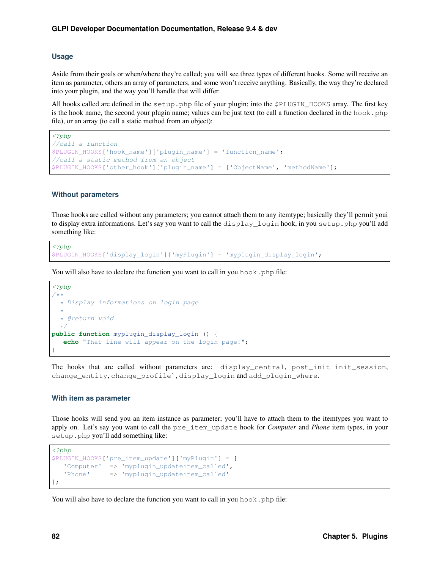#### **Usage**

Aside from their goals or when/where they're called; you will see three types of different hooks. Some will receive an item as parameter, others an array of parameters, and some won't receive anything. Basically, the way they're declared into your plugin, and the way you'll handle that will differ.

All hooks called are defined in the setup.php file of your plugin; into the \$PLUGIN\_HOOKS array. The first key is the hook name, the second your plugin name; values can be just text (to call a function declared in the hook.php file), or an array (to call a static method from an object):

```
<?php
//call a function
$PLUGIN_HOOKS['hook_name']['plugin_name'] = 'function_name';
//call a static method from an object
$PLUGIN_HOOKS['other_hook']['plugin_name'] = ['ObjectName', 'methodName'];
```
#### **Without parameters**

Those hooks are called without any parameters; you cannot attach them to any itemtype; basically they'll permit youi to display extra informations. Let's say you want to call the display\_login hook, in you setup.php you'll add something like:

<?php \$PLUGIN\_HOOKS['display\_login']['myPlugin'] = 'myplugin\_display\_login';

You will also have to declare the function you want to call in you hook. php file:

```
<?php
/**
  * Display informations on login page
  *
  * @return void
  */
public function myplugin_display_login () {
   echo "That line will appear on the login page!";
}
```
The hooks that are called without parameters are: display\_central, post\_init init\_session, change\_entity, change\_profile`, display\_login and add\_plugin\_where.

#### <span id="page-85-0"></span>**With item as parameter**

Those hooks will send you an item instance as parameter; you'll have to attach them to the itemtypes you want to apply on. Let's say you want to call the pre\_item\_update hook for *Computer* and *Phone* item types, in your setup.php you'll add something like:

```
<?php
$PLUGIN_HOOKS['pre_item_update']['myPlugin'] = [
   'Computer' => 'myplugin_updateitem_called',
   'Phone' => 'myplugin_updateitem_called'
];
```
You will also have to declare the function you want to call in you hook. php file: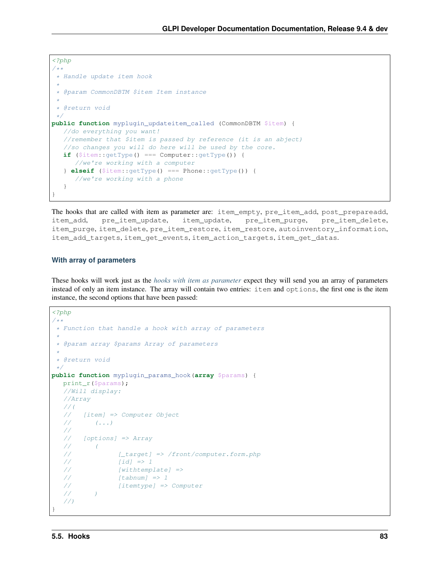```
<?php
/**
* Handle update item hook
 *
 * @param CommonDBTM $item Item instance
 *
 * @return void
 */
public function myplugin_updateitem_called (CommonDBTM $item) {
   //do everything you want!
   //remember that $item is passed by reference (it is an abject)
   //so changes you will do here will be used by the core.
   if ($item::getType() === Computer::getType()) {
      //we're working with a computer
   } elseif ($item::getType() === Phone::getType()) {
      //we're working with a phone
   }
}
```
The hooks that are called with item as parameter are: item\_empty, pre\_item\_add, post\_prepareadd, item\_add, pre\_item\_update, item\_update, pre\_item\_purge, pre\_item\_delete, item\_purge, item\_delete, pre\_item\_restore, item\_restore, autoinventory\_information, item\_add\_targets, item\_get\_events, item\_action\_targets, item\_get\_datas.

#### **With array of parameters**

These hooks will work just as the *[hooks with item as parameter](#page-85-0)* expect they will send you an array of parameters instead of only an item instance. The array will contain two entries: item and options, the first one is the item instance, the second options that have been passed:

```
<?php
/**
* Function that handle a hook with array of parameters
 *
 * @param array $params Array of parameters
 *
 * @return void
 */
public function myplugin_params_hook(array $params) {
  print_r($params);
  //Will display:
  //Array
  //(
  // [item] => Computer Object
  // (...)
  //
  // [options] => Array
  // (
  // [_target] => /front/computer.form.php
  // \left[\text{id}\right] => 1
  // [withtemplate] =>
  // [tabnum] => 1
  // [itemtype] => Computer
  // )
  //)
}
```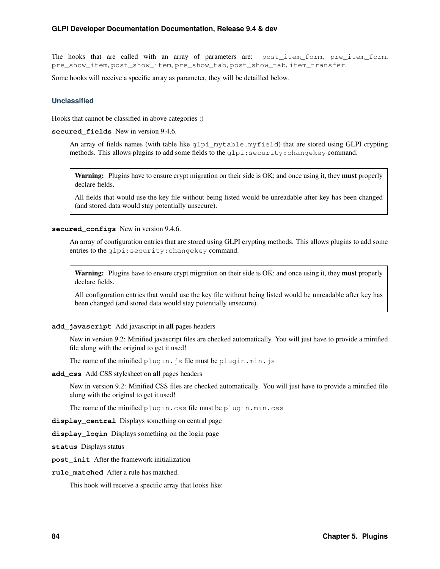The hooks that are called with an array of parameters are: post\_item\_form, pre\_item\_form, pre\_show\_item, post\_show\_item, pre\_show\_tab, post\_show\_tab, item\_transfer.

Some hooks will receive a specific array as parameter, they will be detailled below.

#### **Unclassified**

Hooks that cannot be classified in above categories :)

secured fields New in version 9.4.6.

An array of fields names (with table like glpi\_mytable.myfield) that are stored using GLPI crypting methods. This allows plugins to add some fields to the glpi:security:changekey command.

**Warning:** Plugins have to ensure crypt migration on their side is OK; and once using it, they **must** properly declare fields.

All fields that would use the key file without being listed would be unreadable after key has been changed (and stored data would stay potentially unsecure).

#### **secured\_configs** New in version 9.4.6.

An array of configuration entries that are stored using GLPI crypting methods. This allows plugins to add some entries to the glpi:security:changekey command.

Warning: Plugins have to ensure crypt migration on their side is OK; and once using it, they must properly declare fields.

All configuration entries that would use the key file without being listed would be unreadable after key has been changed (and stored data would stay potentially unsecure).

#### **add\_javascript** Add javascript in all pages headers

New in version 9.2: Minified javascript files are checked automatically. You will just have to provide a minified file along with the original to get it used!

The name of the minified plugin.js file must be plugin.min.js

**add\_css** Add CSS stylesheet on all pages headers

New in version 9.2: Minified CSS files are checked automatically. You will just have to provide a minified file along with the original to get it used!

The name of the minified plugin.css file must be plugin.min.css

**display\_central** Displays something on central page

**display\_login** Displays something on the login page

**status** Displays status

**post\_init** After the framework initialization

**rule\_matched** After a rule has matched.

This hook will receive a specific array that looks like: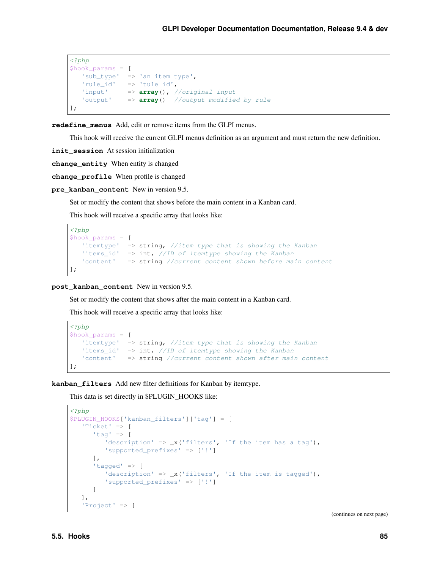```
<?php
$hook_params = [
  'sub_type' => 'an item type',
   'rule_id' => 'tule id',
   'input' => array(), //original input
   'output' \Rightarrow array() //output modified by rule
];
```
**redefine\_menus** Add, edit or remove items from the GLPI menus.

This hook will receive the current GLPI menus definition as an argument and must return the new definition.

**init\_session** At session initialization

**change\_entity** When entity is changed

**change\_profile** When profile is changed

**pre\_kanban\_content** New in version 9.5.

Set or modify the content that shows before the main content in a Kanban card.

This hook will receive a specific array that looks like:

```
<?php
$hook_params = [
   'itemtype' => string, //item type that is showing the Kanban
   'items_id' => int, //ID of itemtype showing the Kanban
   'content' => string //current content shown before main content
];
```
**post\_kanban\_content** New in version 9.5.

Set or modify the content that shows after the main content in a Kanban card.

This hook will receive a specific array that looks like:

```
<?php
$hook_params = [
   'itemtype' \Rightarrow string, //item type that is showing the Kanban
   'items_id' => int, //ID of itemtype showing the Kanban
   'content' => string //current content shown after main content
];
```
**kanban\_filters** Add new filter definitions for Kanban by itemtype.

This data is set directly in \$PLUGIN\_HOOKS like:

```
<?php
$PLUGIN_HOOKS['kanban_filters']['tag'] = [
   'Ticket' => [
      'tag' \Rightarrow [
          'description' => _x('filters', 'If the item has a tag'),
          'supported_prefixes' => ['!']
      \frac{1}{\sqrt{2}}'tagged' => [
          'description' => \angle x ('filters', 'If the item is tagged'),
          'supported_prefixes' => ['!']
      ]
   ],
   'Project' => [
```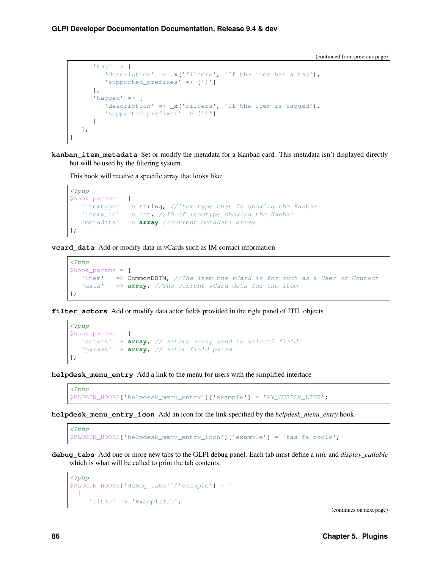```
'tag' \Rightarrow [
          'description' => _x('filters', 'If the item has a tag'),
          'supported_prefixes' => ['!']
      ],
      'tagged' \Rightarrow [
         'description' => _x('filters', 'If the item is tagged'),'supported_prefixes' => ['!']
      ]
  ];
]
```
**kanban\_item\_metadata** Set or modify the metadata for a Kanban card. This metadata isn't displayed directly but will be used by the filtering system.

This hook will receive a specific array that looks like:

```
<?php
$hook_params = [
  'itemtype' => string, //item type that is showing the Kanban'items_id' => int, //ID of itemtype showing the Kanban
   'metadata' => array //current metadata array
];
```
**vcard\_data** Add or modify data in vCards such as IM contact information

```
<?php
$hook_params = [
   'item' => CommonDBTM, //The item the vCard is for such as a User or Contact
   'data' => array, //The current vCard data for the item
];
```
**filter\_actors** Add or modify data actor fields provided in the right panel of ITIL objects

```
\langle ?php$hook_params = [
   'actors' => array, // actors array send to select2 field
   'params' => array, // actor field param
];
```
**helpdesk\_menu\_entry** Add a link to the menu for users with the simplified interface

```
<?php
$PLUGIN_HOOKS['helpdesk_menu_entry']['example'] = 'MY_CUSTOM_LINK';
```
**helpdesk\_menu\_entry\_icon** Add an icon for the link specified by the *helpdesk\_menu\_entry* hook

```
<?php
$PLUGIN_HOOKS['helpdesk_menu_entry_icon']['example'] = 'fas fa-tools';
```
**debug\_tabs** Add one or more new tabs to the GLPI debug panel. Each tab must define a *title* and *display\_callable* which is what will be called to print the tab contents.

```
<?php
$PLUGIN_HOOKS['debug_tabs']['example'] = [
  [
     'title' => 'ExampleTab',
```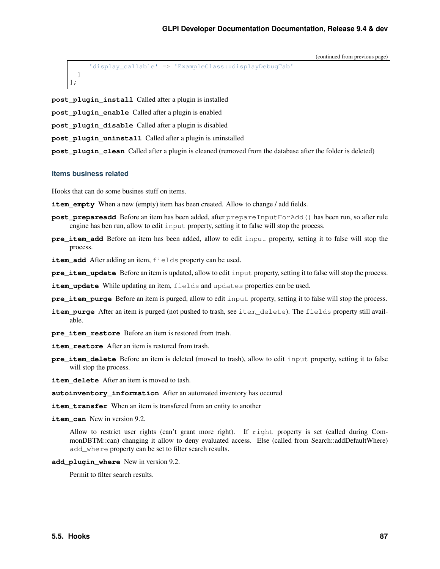```
'display_callable' => 'ExampleClass::displayDebugTab'
]
```
**post\_plugin\_install** Called after a plugin is installed

**post\_plugin\_enable** Called after a plugin is enabled

**post\_plugin\_disable** Called after a plugin is disabled

**post\_plugin\_uninstall** Called after a plugin is uninstalled

**post\_plugin\_clean** Called after a plugin is cleaned (removed from the database after the folder is deleted)

#### **Items business related**

];

Hooks that can do some busines stuff on items.

- **item\_empty** When a new (empty) item has been created. Allow to change / add fields.
- **post\_prepareadd** Before an item has been added, after prepareInputForAdd() has been run, so after rule engine has ben run, allow to edit input property, setting it to false will stop the process.
- **pre** item add Before an item has been added, allow to edit input property, setting it to false will stop the process.

**item\_add** After adding an item, fields property can be used.

**pre\_item\_update** Before an item is updated, allow to edit input property, setting it to false will stop the process.

**item update** While updating an item, fields and updates properties can be used.

- **pre\_item\_purge** Before an item is purged, allow to edit input property, setting it to false will stop the process.
- **item\_purge** After an item is purged (not pushed to trash, see item\_delete). The fields property still available.

**pre\_item\_restore** Before an item is restored from trash.

- **item restore** After an item is restored from trash.
- **pre\_item\_delete** Before an item is deleted (moved to trash), allow to edit input property, setting it to false will stop the process.

item delete After an item is moved to tash.

**autoinventory\_information** After an automated inventory has occured

**item transfer** When an item is transfered from an entity to another

item can New in version 9.2.

Allow to restrict user rights (can't grant more right). If right property is set (called during CommonDBTM::can) changing it allow to deny evaluated access. Else (called from Search::addDefaultWhere) add where property can be set to filter search results.

**add\_plugin\_where** New in version 9.2.

Permit to filter search results.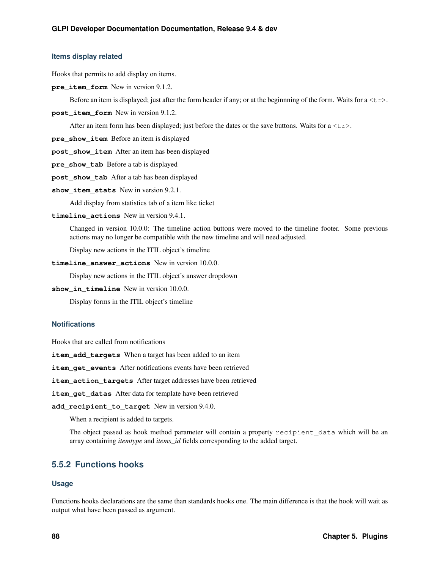#### **Items display related**

Hooks that permits to add display on items.

**pre\_item\_form** New in version 9.1.2.

Before an item is displayed; just after the form header if any; or at the beginnning of the form. Waits for a  $\langle \text{tr} \rangle$ .

**post\_item\_form** New in version 9.1.2.

After an item form has been displayed; just before the dates or the save buttons. Waits for a <tr>.

**pre\_show\_item** Before an item is displayed

**post\_show\_item** After an item has been displayed

**pre\_show\_tab** Before a tab is displayed

**post\_show\_tab** After a tab has been displayed

**show\_item\_stats** New in version 9.2.1.

Add display from statistics tab of a item like ticket

**timeline\_actions** New in version 9.4.1.

Changed in version 10.0.0: The timeline action buttons were moved to the timeline footer. Some previous actions may no longer be compatible with the new timeline and will need adjusted.

Display new actions in the ITIL object's timeline

**timeline\_answer\_actions** New in version 10.0.0.

Display new actions in the ITIL object's answer dropdown

**show\_in\_timeline** New in version 10.0.0.

Display forms in the ITIL object's timeline

#### **Notifications**

Hooks that are called from notifications

**item\_add\_targets** When a target has been added to an item

**item\_get\_events** After notifications events have been retrieved

**item\_action\_targets** After target addresses have been retrieved

**item\_get\_datas** After data for template have been retrieved

**add\_recipient\_to\_target** New in version 9.4.0.

When a recipient is added to targets.

The object passed as hook method parameter will contain a property recipient\_data which will be an array containing *itemtype* and *items\_id* fields corresponding to the added target.

# **5.5.2 Functions hooks**

#### **Usage**

Functions hooks declarations are the same than standards hooks one. The main difference is that the hook will wait as output what have been passed as argument.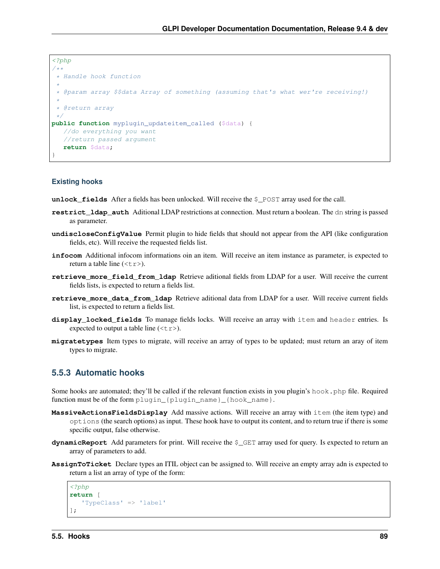```
<?php
/**
 * Handle hook function
 *
 * @param array $$data Array of something (assuming that's what wer're receiving!)
 *
 * @return array
 */
public function myplugin_updateitem_called ($data) {
   //do everything you want
   //return passed argument
   return $data;
}
```
#### **Existing hooks**

- **unlock fields** After a fields has been unlocked. Will receive the \$ POST array used for the call.
- **restrict** 1dap auth Aditional LDAP restrictions at connection. Must return a boolean. The dn string is passed as parameter.
- **undiscloseConfigValue** Permit plugin to hide fields that should not appear from the API (like configuration fields, etc). Will receive the requested fields list.
- **infocom** Additional infocom informations oin an item. Will receive an item instance as parameter, is expected to return a table line  $(\langle \text{tr} \rangle)$ .
- **retrieve\_more\_field\_from\_ldap** Retrieve aditional fields from LDAP for a user. Will receive the current fields lists, is expected to return a fields list.
- **retrieve\_more\_data\_from\_ldap** Retrieve aditional data from LDAP for a user. Will receive current fields list, is expected to return a fields list.
- **display\_locked\_fields** To manage fields locks. Will receive an array with item and header entries. Is expected to output a table line  $(\langle \text{tr} \rangle)$ .
- **migratetypes** Item types to migrate, will receive an array of types to be updated; must return an aray of item types to migrate.

# **5.5.3 Automatic hooks**

Some hooks are automated; they'll be called if the relevant function exists in you plugin's hook.php file. Required function must be of the form plugin\_{plugin\_name}\_{hook\_name}.

- **MassiveActionsFieldsDisplay** Add massive actions. Will receive an array with item (the item type) and options (the search options) as input. These hook have to output its content, and to return true if there is some specific output, false otherwise.
- **dynamicReport** Add parameters for print. Will receive the \$\_GET array used for query. Is expected to return an array of parameters to add.
- **AssignToTicket** Declare types an ITIL object can be assigned to. Will receive an empty array adn is expected to return a list an array of type of the form:

```
<?php
return [
   'TypeClass' => 'label'
];
```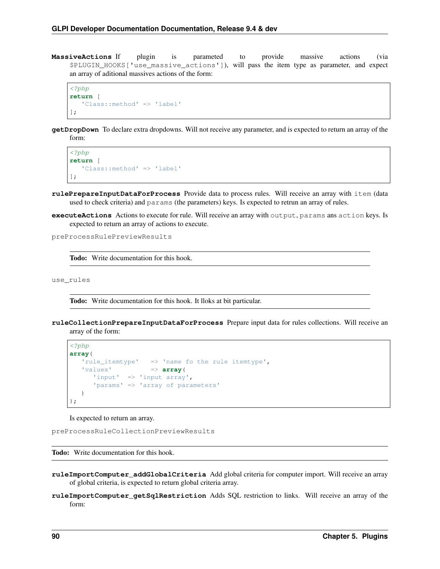**MassiveActions** If plugin is parameted to provide massive actions (via \$PLUGIN\_HOOKS['use\_massive\_actions']), will pass the item type as parameter, and expect an array of aditional massives actions of the form:

```
<?php
return [
   'Class::method' => 'label'
];
```
**getDropDown** To declare extra dropdowns. Will not receive any parameter, and is expected to return an array of the form:

```
\langle ?php \ranglereturn [
    'Class::method' => 'label'
];
```
- **rulePrepareInputDataForProcess** Provide data to process rules. Will receive an array with item (data used to check criteria) and params (the parameters) keys. Is expected to retrun an array of rules.
- **executeActions** Actions to execute for rule. Will receive an array with output, params ans action keys. Is expected to return an array of actions to execute.

preProcessRulePreviewResults

Todo: Write documentation for this hook.

use\_rules

Todo: Write documentation for this hook. It lloks at bit particular.

**ruleCollectionPrepareInputDataForProcess** Prepare input data for rules collections. Will receive an array of the form:

```
<?php
array(
   'rule_itemtype' => 'name fo the rule itemtype',
   'values' => array(
      'input' \Rightarrow 'input array',
      'params' => 'array of parameters'
   )
);
```
Is expected to return an array.

preProcessRuleCollectionPreviewResults

Todo: Write documentation for this hook.

- **ruleImportComputer\_addGlobalCriteria** Add global criteria for computer import. Will receive an array of global criteria, is expected to return global criteria array.
- **ruleImportComputer\_getSqlRestriction** Adds SQL restriction to links. Will receive an array of the form: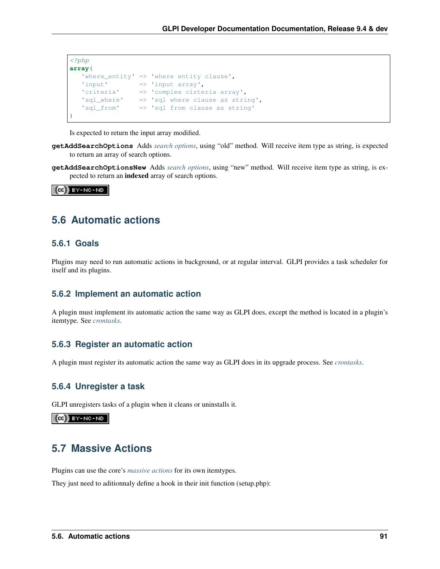```
<?php
array(
   'where_entity' => 'where entity clause',
   'input' => 'input array',
   'criteria' => 'complex cirteria array',
   'sql_where' => 'sql where clause as string',
   'sql_from' => 'sql from clause as string'
)
```
Is expected to return the input array modified.

- **getAddSearchOptions** Adds *[search options](#page-40-0)*, using "old" method. Will receive item type as string, is expected to return an array of search options.
- **getAddSearchOptionsNew** Adds *[search options](#page-40-0)*, using "new" method. Will receive item type as string, is expected to return an indexed array of search options.

 $\left(\mathbf{ce}\right)$  BY-NC-ND

# **5.6 Automatic actions**

# **5.6.1 Goals**

Plugins may need to run automatic actions in background, or at regular interval. GLPI provides a task scheduler for itself and its plugins.

### **5.6.2 Implement an automatic action**

A plugin must implement its automatic action the same way as GLPI does, except the method is located in a plugin's itemtype. See *[crontasks](#page-62-0)*.

### **5.6.3 Register an automatic action**

A plugin must register its automatic action the same way as GLPI does in its upgrade process. See *[crontasks](#page-62-0)*.

#### **5.6.4 Unregister a task**

GLPI unregisters tasks of a plugin when it cleans or uninstalls it.

#### $(G)$  BY-NC-ND

# **5.7 Massive Actions**

Plugins can use the core's *[massive actions](#page-49-0)* for its own itemtypes.

They just need to aditionnaly define a hook in their init function (setup.php):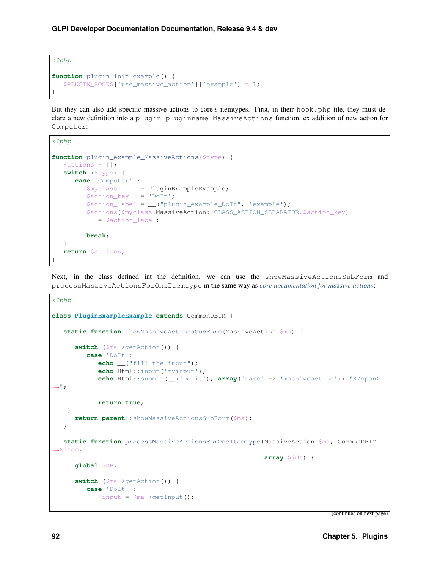<?php

```
function plugin_init_example() {
   $PLUGIN_HOOKS['use_massive_action']['example'] = 1;
}
```
But they can also add specific massive actions to core's itemtypes. First, in their hook.php file, they must declare a new definition into a plugin\_pluginname\_MassiveActions function, ex addition of new action for Computer:

```
<?php
function plugin_example_MassiveActions($type) {
  $actions = [];
  switch ($type) {
      case 'Computer' :
         $myclass = PluginExampleExample;
         $action_{key} = 'DoIt';
         $action_label = __("plugin_example_DoIt", 'example');
         $actions[$myclass.MassiveAction::CLASS_ACTION_SEPARATOR.$action_key]
            = $action_label;
        break;
   }
  return $actions;
}
```
Next, in the class defined int the definition, we can use the showMassiveActionsSubForm and processMassiveActionsForOneItemtype in the same way as *[core documentation for massive actions](#page-50-0)*:

```
<?php
class PluginExampleExample extends CommonDBTM {
   static function showMassiveActionsSubForm(MassiveAction $ma) {
      switch ($ma->getAction()) {
         case 'DoIt':
            echo __("fill the input");
            echo Html::input('myinput');
            echo Html::submit(_('Do it'), array('name' => 'massiveaction'))."</span>
ightharpoonup";
            return true;
    }
      return parent::showMassiveActionsSubForm($ma);
   }
  static function processMassiveActionsForOneItemtype(MassiveAction $ma, CommonDBTM
˓→$item,
                                                         array $ids) {
      global $DB;
      switch ($ma->getAction()) {
         case 'DoIt' :
            $input = $ma->getInput();
```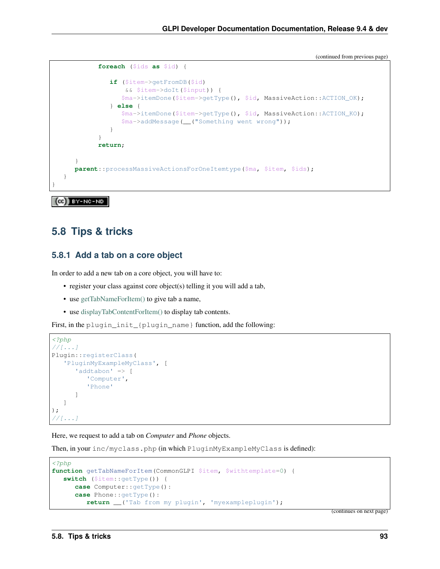```
foreach ($ids as $id) {
               if ($item->getFromDB($id)
                   && $item->doIt($input)) {
                  $ma->itemDone($item->getType(), $id, MassiveAction::ACTION_OK);
               } else {
                  $ma->itemDone($item->getType(), $id, MassiveAction::ACTION_KO);
                  $ma->addMessage(__("Something went wrong"));
               }
            }
            return;
      }
     parent::processMassiveActionsForOneItemtype($ma, $item, $ids);
  }
}
```
(CC) BY-NC-ND

# <span id="page-96-0"></span>**5.8 Tips & tricks**

# **5.8.1 Add a tab on a core object**

In order to add a new tab on a core object, you will have to:

- register your class against core object(s) telling it you will add a tab,
- use [getTabNameForItem\(\)](https://forge.glpi-project.org/apidoc/class-CommonGLPI.html#_getTabNameForItem) to give tab a name,
- use [displayTabContentForItem\(\)](https://forge.glpi-project.org/apidoc/class-CommonGLPI.html#_displayTabContentForItem) to display tab contents.

First, in the plugin\_init\_{plugin\_name} function, add the following:

```
<?php
//[...]
Plugin::registerClass(
   'PluginMyExampleMyClass', [
      'addtabon' => [
         'Computer',
         'Phone'
      ]
   ]
);
//[...]
```
Here, we request to add a tab on *Computer* and *Phone* objects.

Then, in your inc/myclass.php (in which PluginMyExampleMyClass is defined):

```
<?php
function getTabNameForItem(CommonGLPI $item, $withtemplate=0) {
  switch ($item::getType()) {
     case Computer::getType():
      case Phone::getType():
        return __('Tab from my plugin', 'myexampleplugin');
```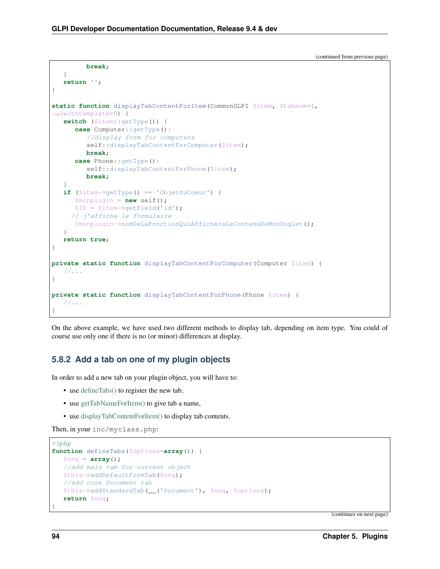```
break;
   }
   return '';
}
static function displayTabContentForItem(CommonGLPI $item, $tabnum=1,
˓→$withtemplate=0) {
   switch ($item::getType()) {
      case Computer::getType():
         //display form for computers
         self::displayTabContentForComputer($item);
         break;
      case Phone::getType():
         self::displayTabContentForPhone($item);
         break;
   }
   if ($item->getType() == 'ObjetDuCoeur') {
      $monplugin = new self();
      $ID = $item->getField('id');
     // j'affiche le formulaire
      $monplugin->nomDeLaFonctionQuiAfficheraLeContenuDeMonOnglet();
   }
   return true;
}
private static function displayTabContentForComputer(Computer $item) {
   //...
}
private static function displayTabContentForPhone(Phone $item) {
   //...
}
```
On the above example, we have used two different methods to display tab, depending on item type. You could of course use only one if there is no (or minor) differences at display.

# **5.8.2 Add a tab on one of my plugin objects**

In order to add a new tab on your plugin object, you will have to:

- use [defineTabs\(\)](https://forge.glpi-project.org/apidoc/class-CommonGLPI.html#_defineTabs) to register the new tab,
- use [getTabNameForItem\(\)](https://forge.glpi-project.org/apidoc/class-CommonGLPI.html#_getTabNameForItem) to give tab a name,
- use [displayTabContentForItem\(\)](https://forge.glpi-project.org/apidoc/class-CommonGLPI.html#_displayTabContentForItem) to display tab contents.

Then, in your inc/myclass.php:

```
<?php
function defineTabs($options=array()) {
  $ong = array();
  //add main tab for current object
  $this->addDefaultFormTab($ong);
  //add core Document tab
  $this->addStandardTab(__('Document'), $ong, $options);
  return $ong;
}
```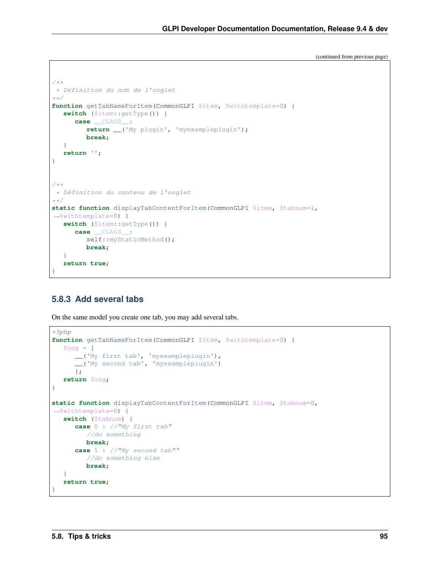```
/**
* Définition du nom de l'onglet
**/
function getTabNameForItem(CommonGLPI $item, $withtemplate=0) {
  switch ($item::getType()) {
      case __CLASS__:
        return __('My plugin', 'myexampleplugin');
        break;
   }
   return '';
}
/*** Définition du contenu de l'onglet
**/
static function displayTabContentForItem(CommonGLPI $item, $tabnum=1,
˓→$withtemplate=0) {
   switch ($item::getType()) {
      case __CLASS__:
         self::myStaticMethod();
         break;
   }
   return true;
}
```
# **5.8.3 Add several tabs**

On the same model you create one tab, you may add several tabs.

```
<?php
function getTabNameForItem(CommonGLPI $item, $withtemplate=0) {
   \text{Song} = \text{I}__('My first tab', 'myexampleplugin'),
      __('My second tab', 'myexampleplugin')
      ];
   return $ong;
}
static function displayTabContentForItem(CommonGLPI $item, $tabnum=0,
˓→$withtemplate=0) {
  switch ($tabnum) {
      case 0 : //"My first tab"
         //do something
         break;
      case 1 : //"My second tab""
         //do something else
         break;
   }
   return true;
}
```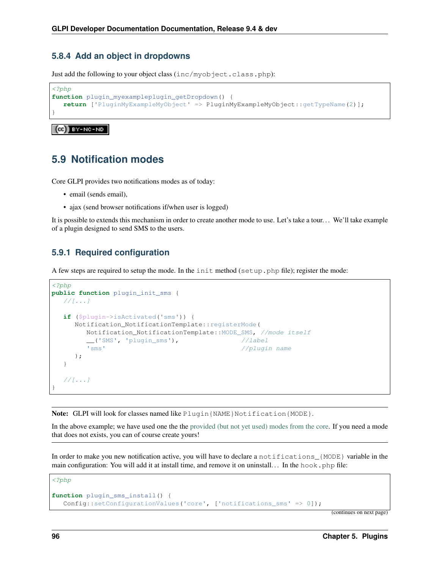# **5.8.4 Add an object in dropdowns**

Just add the following to your object class (inc/myobject.class.php):

```
<?php
function plugin_myexampleplugin_getDropdown() {
   return ['PluginMyExampleMyObject' => PluginMyExampleMyObject::getTypeName(2)];
}
```

```
(cc) BY-NC-ND
```
# **5.9 Notification modes**

Core GLPI provides two notifications modes as of today:

- email (sends email),
- ajax (send browser notifications if/when user is logged)

It is possible to extends this mechanism in order to create another mode to use. Let's take a tour. . . We'll take example of a plugin designed to send SMS to the users.

# **5.9.1 Required configuration**

A few steps are required to setup the mode. In the init method (setup.php file); register the mode:

```
<?php
public function plugin_init_sms {
  //[...]
  if ($plugin->isActivated('sms')) {
     Notification_NotificationTemplate::registerMode(
       Notification_NotificationTemplate::MODE_SMS, //mode itself
       __('SMS', 'plugin_sms'), //label
       'sms' //plugin name
     );
  }
  //[...]
}
```
Note: GLPI will look for classes named like Plugin{NAME}Notification{MODE}.

In the above example; we have used one the the [provided \(but not yet used\) modes from the core.](https://forge.glpi-project.org/apidoc/class-Notification_NotificationTemplate.html#constants) If you need a mode that does not exists, you can of course create yours!

In order to make you new notification active, you will have to declare a notifications\_{MODE} variable in the main configuration: You will add it at install time, and remove it on uninstall... In the hook.php file:

<?php

```
function plugin_sms_install() {
   Config::setConfigurationValues('core', ['notifications_sms' => 0]);
```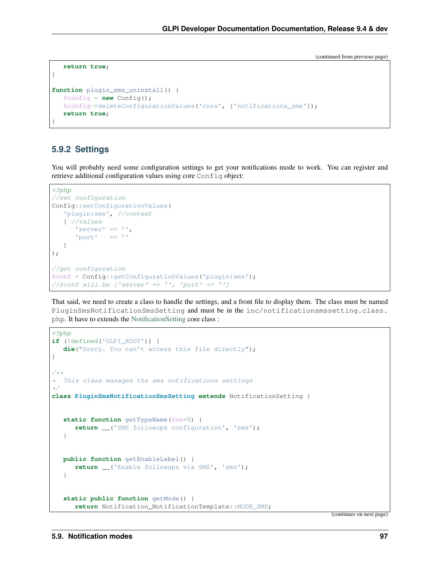```
return true;
}
function plugin_sms_uninstall() {
  $config = new Config();
   $config->deleteConfigurationValues('core', ['notifications_sms']);
   return true;
}
```
# **5.9.2 Settings**

You will probably need some configuration settings to get your notifications mode to work. You can register and retrieve additional configuration values using core Configuration.

```
<?php
//set configuration
Config::setConfigurationValues(
  'plugin:sms', //context
   [ //values
      'server' => '',
      'port' => ']
);
//get configuration
$conf = Config::getConfigurationValues('plugin:sms');
//$conf will be ['server' => '', 'port' => '']
```
That said, we need to create a class to handle the settings, and a front file to display them. The class must be named PluginSmsNotificationSmsSetting and must be in the inc/notificationsmssetting.class. php. It have to extends the [NotificationSetting](https://forge.glpi-project.org/apidoc/class-NotificationSetting.html) core class :

```
<?php
if (!defined('GLPI_ROOT')) {
   die("Sorry. You can't access this file directly");
}
/**
* This class manages the sms notifications settings
*/
class PluginSmsNotificationSmsSetting extends NotificationSetting {
   static function getTypeName($nb=0) {
      return __('SMS followups configuration', 'sms');
   }
   public function getEnableLabel() {
      return __('Enable followups via SMS', 'sms');
   }
   static public function getMode() {
      return Notification_NotificationTemplate::MODE_SMS;
```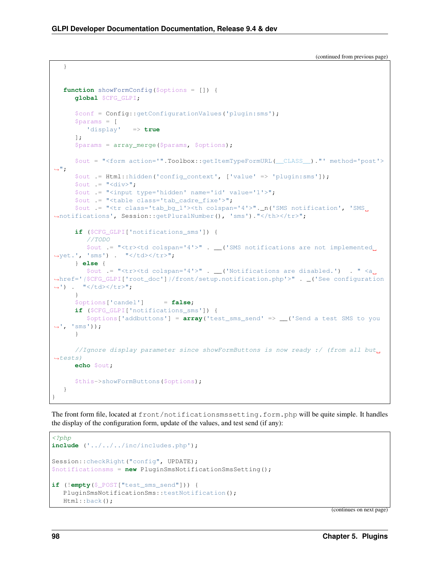```
(continued from previous page)
```

```
function showFormConfig($options = []) {
     global $CFG_GLPI;
     $conf = Config::getConfigurationValues('plugin:sms');
     $params = [
        'display' => true
     ];
     $params = array_merge($params, $options);
     $out = "<form action='".Toolbox::getItemTypeFormURL(__CLASS__)."' method='post'>
\leftarrow";
     $out .= Html::hidden('config_context', ['value' => 'plugin:sms']);
     Sout .= "<div>";
      $out .= "<input type='hidden' name='id' value='1'>";
     $out .= "<table class='tab_cadre_fixe'>";
     $out .= "<tr class='tab_bg_1'><th colspan='4'>"._n('SMS notification', 'SMS
˓→notifications', Session::getPluralNumber(), 'sms')."</th></tr>";
     if ($CFG_GLPI['notifications_sms']) {
         //TODO
         $out .= "<tr><td colspan='4'>" . __('SMS notifications are not implemented
→yet.', 'sms') . "</td></tr>";
     } else {
        $out . = "str&gt;td colspan="4" > " . _('Notifications are disabled.'') . " <a.˓→href='{$CFG_GLPI['root_doc']}/front/setup.notification.php'>" . _('See configuration
→') . "</td></tr>";
      }
     $options['candel'] = false;
     if ($CFG_GLPI['notifications_sms']) {
        $options['addbuttons'] = array('test_sms_send' => __('Send a test SMS to you
\leftrightarrow', 'sms'));
     }
     //Ignore display parameter since showFormButtons is now ready :/ (from all but.
\leftrightarrowtests)
     echo \text{Sout};
     $this->showFormButtons($options);
  }
}
```
The front form file, located at front/notificationsmssetting.form.php will be quite simple. It handles the display of the configuration form, update of the values, and test send (if any):

```
<?php
include ('../../../inc/includes.php');
Session::checkRight("config", UPDATE);
$notificationsms = new PluginSmsNotificationSmsSetting();
if (!empty($_POST["test_sms_send"])) {
  PluginSmsNotificationSms::testNotification();
  Html::back();
```
(continues on next page)

}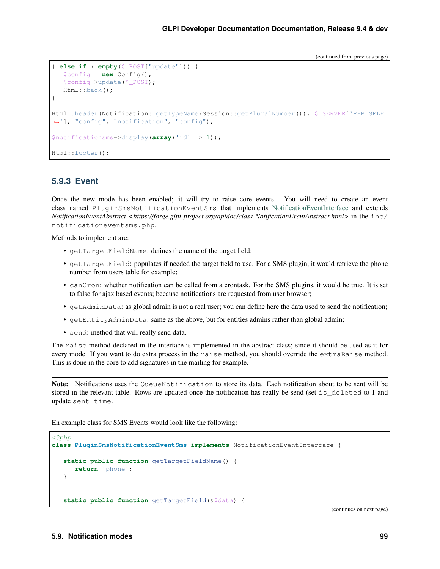```
} else if (!empty($_POST["update"])) {
   $config = new Config();
   $config->update($_POST);
   Html::back();
}
Html::header(Notification::getTypeName(Session::getPluralNumber()), $_SERVER['PHP_SELF
˓→'], "config", "notification", "config");
$notificationsms->display(array('id' => 1));
Html::footer();
```
### **5.9.3 Event**

Once the new mode has been enabled; it will try to raise core events. You will need to create an event class named PluginSmsNotificationEventSms that implements [NotificationEventInterface](https://forge.glpi-project.org/apidoc/class-NotificationEventInterface.html) and extends *NotificationEventAbstract <https://forge.glpi-project.org/apidoc/class-NotificationEventAbstract.html>* in the inc/ notificationeventsms.php.

Methods to implement are:

- getTargetFieldName: defines the name of the target field;
- get Target Field: populates if needed the target field to use. For a SMS plugin, it would retrieve the phone number from users table for example;
- canCron: whether notification can be called from a crontask. For the SMS plugins, it would be true. It is set to false for ajax based events; because notifications are requested from user browser;
- getAdminData: as global admin is not a real user; you can define here the data used to send the notification;
- getEntityAdminData: same as the above, but for entities admins rather than global admin;
- send: method that will really send data.

The raise method declared in the interface is implemented in the abstract class; since it should be used as it for every mode. If you want to do extra process in the raise method, you should override the extraRaise method. This is done in the core to add signatures in the mailing for example.

Note: Notifications uses the QueueNotification to store its data. Each notification about to be sent will be stored in the relevant table. Rows are updated once the notification has really be send (set is deleted to 1 and update sent\_time.

En example class for SMS Events would look like the following:

```
<?php
class PluginSmsNotificationEventSms implements NotificationEventInterface {
   static public function getTargetFieldName() {
      return 'phone';
   }
   static public function getTargetField(&$data) {
```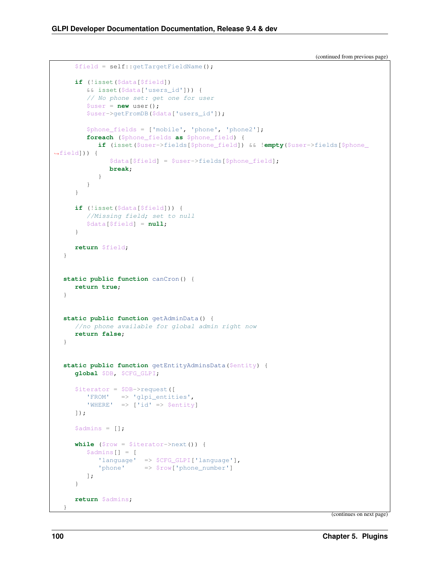```
$field = self::getTargetFieldName();
     if (!isset($data[$field])
        && isset($data['users_id'])) {
        // No phone set: get one for user
        $user = new user();
         $user->getFromDB($data['users_id']);
        $phone_fields = ['mobile', 'phone', 'phone2'];
        foreach ($phone_fields as $phone_field) {
           if (isset($user->fields[$phone_field]) && !empty($user->fields[$phone_
˓→field])) {
               $data[$field] = $user->fields[$phone_field];
              break;
           }
        }
     }
     if (!isset($data[$field])) {
        //Missing field; set to null
         $data[$field] = null;
     }
     return $field;
  }
  static public function canCron() {
     return true;
  }
  static public function getAdminData() {
     //no phone available for global admin right now
     return false;
  }
  static public function getEntityAdminsData($entity) {
     global $DB, $CFG_GLPI;
     $iterator = $DB->request([
        'FROM' => 'glpi_entities',
         'WHERE' \Rightarrow ['id' => $entity]
     ]);
     $admins = [];
     while ({\text{grow = Siterator-}}<sub>next()</sub>) {
         $admins[] = ['language' => $CFG_GLPI['language'],
            'phone' => $row['phone_number']
        ];
     }
     return $admins;
  }
```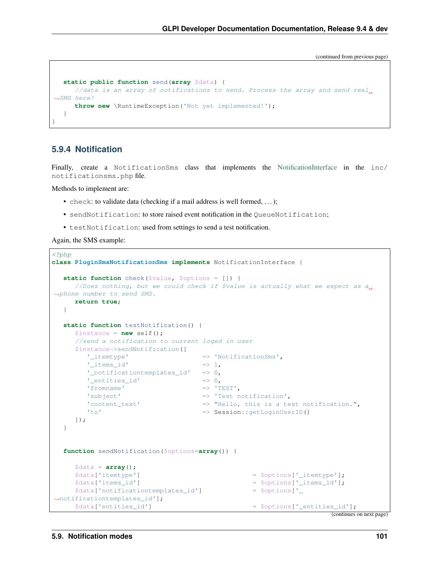```
static public function send(array $data) {
      \sqrt{2} //data is an array of notifications to send. Process the array and send real,
˓→SMS here!
      throw new \RuntimeException('Not yet implemented!');
   }
}
```
# **5.9.4 Notification**

Finally, create a NotificationSms class that implements the [NotificationInterface](https://forge.glpi-project.org/apidoc/class-NotificationInterface.html) in the inc/ notificationsms.php file.

Methods to implement are:

- check: to validate data (checking if a mail address is well formed, . . . );
- sendNotification: to store raised event notification in the OueueNotification;
- testNotification: used from settings to send a test notification.

Again, the SMS example:

```
<?php
class PluginSmsNotificationSms implements NotificationInterface {
  static function check($value, $options = []) {
     //Does nothing, but we could check if $value is actually what we expect as a_{1}˓→phone number to send SMS.
     return true;
  }
  static function testNotification() {
     $instance = new self();
     //send a notification to current loged in user
     $instance->sendNotification([
        '_itemtype' \qquad \qquad \Rightarrow \qquad'NotificationSms',
         \text{items_id}' => 1,
       '_notificationtemplates_id' => 0,
        '\text{entities_id}' => 0,
       'fromname' \Rightarrow 'TEST',
       'subject' \Rightarrow 'Test notification',
       'content_text' \Rightarrow "Hello, this is a test notification.",
        'to' \Rightarrow Session::getLoginUserID()
     ]);
  }
  function sendNotification($options=array()) {
     $data = array();
     $data['itemtype'] = $options['_itemtype'];
     $data['items_id'] = $options['_items_id'];
     $data['notificationtemplates_id'] = $options['_
˓→notificationtemplates_id'];
     $data['entities_id'] = $options['_entities_id'];
```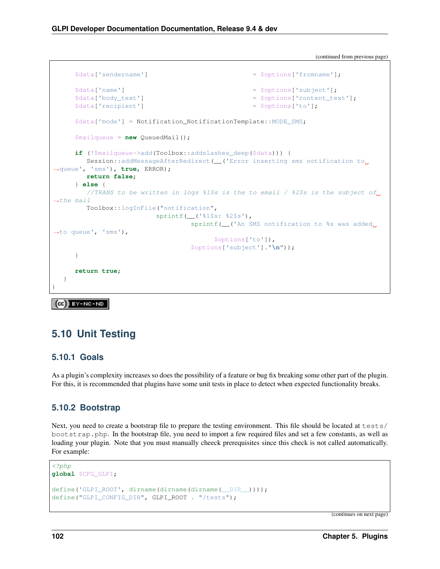```
$data['sendername'] = $options['fromname'];
     $data['name'] = $options['subject'];
     \text{6data}[\text{body}\text{text}'] = \text{6options}[\text{content}\text{text}'];
     $data['recipient'] = $options['to'];
     $data['mode'] = Notification_NotificationTemplate::MODE_SMS;
     $mailqueue = new QueuedMail();
     if (!$mailqueue->add(Toolbox::addslashes_deep($data))) {
       Session::addMessageAfterRedirect(__('Error inserting sms notification to
˓→queue', 'sms'), true, ERROR);
       return false;
     } else {
        //TRANS to be written in logs \$1\s is the to email / \$2\s is the subject of
˓→the mail
        Toolbox::logInFile("notification",
                        sprintf(__('%1$s: %2$s'),
                                 sprintf(__('An SMS notification to %s was added.
˓→to queue', 'sms'),
                                      $options['to']),
                                 $options['subject']."\n"));
     }
     return true;
  }
}
```
 $(G)$  BY-NC-ND

# **5.10 Unit Testing**

# **5.10.1 Goals**

As a plugin's complexity increases so does the possibility of a feature or bug fix breaking some other part of the plugin. For this, it is recommended that plugins have some unit tests in place to detect when expected functionality breaks.

# **5.10.2 Bootstrap**

Next, you need to create a bootstrap file to prepare the testing environment. This file should be located at tests/ bootstrap.php. In the bootstrap file, you need to import a few required files and set a few constants, as well as loading your plugin. Note that you must manually cheeck prerequisites since this check is not called automatically. For example:

```
<?php
global $CFG_GLPI;
define('GLPI_ROOT', dirname(dirname(dirname(_DIR_))));
define("GLPI_CONFIG_DIR", GLPI_ROOT . "/tests");
```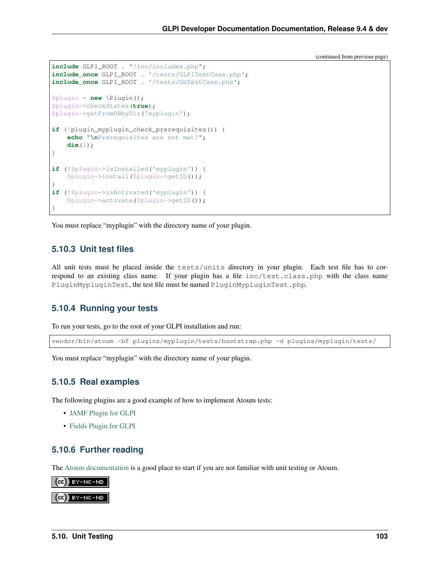```
include GLPI_ROOT . "/inc/includes.php";
include_once GLPI_ROOT . '/tests/GLPITestCase.php';
include_once GLPI_ROOT . '/tests/DbTestCase.php';
$plugin = new \Plugin();
$plugin->checkStates(true);
$plugin->getFromDBbyDir('myplugin');
if (!plugin_myplugin_check_prerequisites()) {
    echo "\nPrerequisites are not met!";
    die(1);
}
if (!$plugin->isInstalled('myplugin')) {
    $plugin->install($plugin->getID());
}
if (!$plugin->isActivated('myplugin')) {
    $plugin->activate($plugin->getID());
}
```
You must replace "myplugin" with the directory name of your plugin.

# **5.10.3 Unit test files**

All unit tests must be placed inside the tests/units directory in your plugin. Each test file has to correspond to an existing class name. If your plugin has a file inc/test.class.php with the class name PluginMypluginTest, the test file must be named PluginMypluginTest.php.

# **5.10.4 Running your tests**

To run your tests, go to the root of your GLPI installation and run:

vendor/bin/atoum -bf plugins/myplugin/tests/bootstrap.php -d plugins/myplugin/tests/

You must replace "myplugin" with the directory name of your plugin.

### **5.10.5 Real examples**

The following plugins are a good example of how to implement Atoum tests:

- [JAMF Plugin for GLPI](https://github.com/cconard96/jamf)
- [Fields Plugin for GLPI](https://github.com/pluginsGLPI/fields)

# **5.10.6 Further reading**

The [Atoum documentation](https://atoum.readthedocs.io/) is a good place to start if you are not familiar with unit testing or Atoum.

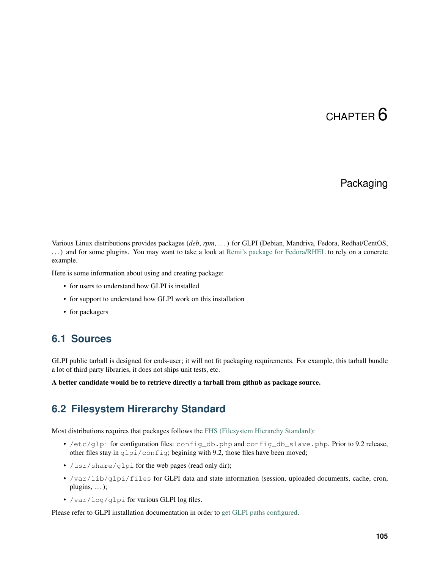# CHAPTER 6

# Packaging

Various Linux distributions provides packages (*deb*, *rpm*, . . . ) for GLPI (Debian, Mandriva, Fedora, Redhat/CentOS, . . . ) and for some plugins. You may want to take a look at [Remi's package for Fedora/RHEL](https://git.remirepo.net/cgit/rpms/glpi/glpi.git/) to rely on a concrete example.

Here is some information about using and creating package:

- for users to understand how GLPI is installed
- for support to understand how GLPI work on this installation
- for packagers

#### **6.1 Sources**

GLPI public tarball is designed for ends-user; it will not fit packaging requirements. For example, this tarball bundle a lot of third party libraries, it does not ships unit tests, etc.

A better candidate would be to retrieve directly a tarball from github as package source.

## **6.2 Filesystem Hirerarchy Standard**

Most distributions requires that packages follows the [FHS \(Filesystem Hierarchy Standard\):](http://www.pathname.com/fhs/)

- /etc/glpi for configuration files: config\_db.php and config\_db\_slave.php. Prior to 9.2 release, other files stay in glpi/config; begining with 9.2, those files have been moved;
- /usr/share/glpi for the web pages (read only dir);
- /var/lib/glpi/files for GLPI data and state information (session, uploaded documents, cache, cron, plugins,  $\dots$  );
- /var/log/glpi for various GLPI log files.

Please refer to GLPI installation documentation in order to [get GLPI paths configured.](https://glpi-install.readthedocs.io/en/latest/install/index.html#files-and-directories-locations)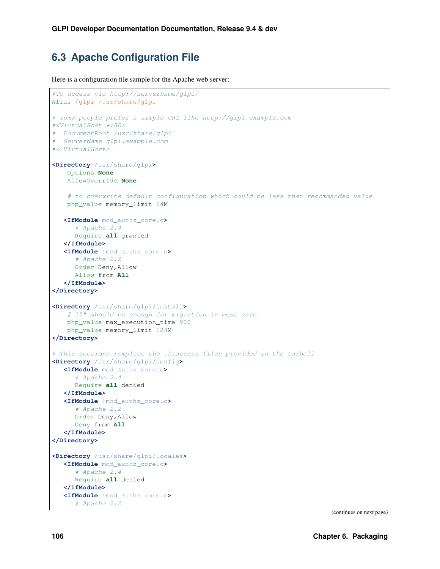# **6.3 Apache Configuration File**

Here is a configuration file sample for the Apache web server:

```
#To access via http://servername/glpi/
Alias /glpi /usr/share/glpi
# some people prefer a simple URL like http://glpi.example.com
#<VirtualHost *:80>
# DocumentRoot /usr/share/glpi
# ServerName glpi.example.com
#</VirtualHost>
<Directory /usr/share/glpi>
   Options None
   AllowOverride None
    # to overwrite default configuration which could be less than recommanded value
   php_value memory_limit 64M
  <IfModule mod_authz_core.c>
     # Apache 2.4
     Require all granted
  </IfModule>
  <IfModule !mod_authz_core.c>
     # Apache 2.2
     Order Deny,Allow
     Allow from All
   </IfModule>
</Directory>
<Directory /usr/share/glpi/install>
    # 15" should be enough for migration in most case
    php_value max_execution_time 900
   php_value memory_limit 128M
</Directory>
# This sections remplace the .htaccess files provided in the tarball
<Directory /usr/share/glpi/config>
  <IfModule mod_authz_core.c>
      # Apache 2.4
     Require all denied
  </IfModule>
   <IfModule !mod_authz_core.c>
      # Apache 2.2
     Order Deny,Allow
     Deny from All
   </IfModule>
</Directory>
<Directory /usr/share/glpi/locales>
  <IfModule mod_authz_core.c>
     # Apache 2.4
     Require all denied
  </IfModule>
   <IfModule !mod_authz_core.c>
      # Apache 2.2
```
(continues on next page)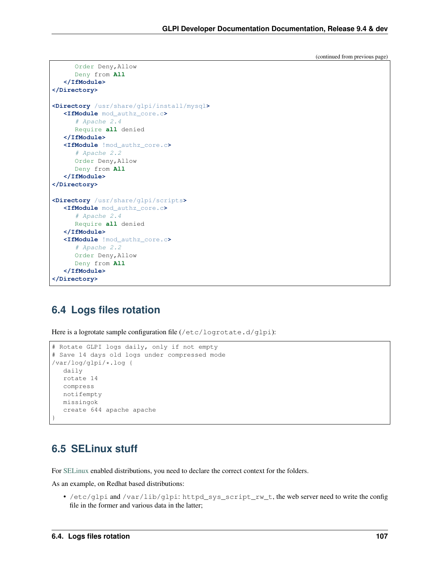(continued from previous page)

```
Order Deny,Allow
      Deny from All
   </IfModule>
</Directory>
<Directory /usr/share/glpi/install/mysql>
   <IfModule mod_authz_core.c>
      # Apache 2.4
      Require all denied
   </IfModule>
   <IfModule !mod_authz_core.c>
      # Apache 2.2
      Order Deny,Allow
     Deny from All
   </IfModule>
</Directory>
<Directory /usr/share/glpi/scripts>
   <IfModule mod_authz_core.c>
      # Apache 2.4
     Require all denied
   </IfModule>
   <IfModule !mod_authz_core.c>
      # Apache 2.2
      Order Deny,Allow
     Deny from All
   </IfModule>
</Directory>
```
## **6.4 Logs files rotation**

Here is a logrotate sample configuration file (/etc/logrotate.d/glpi):

```
# Rotate GLPI logs daily, only if not empty
# Save 14 days old logs under compressed mode
/var/log/glpi/*.log {
  daily
  rotate 14
  compress
  notifempty
  missingok
   create 644 apache apache
}
```
# **6.5 SELinux stuff**

For [SELinux](http://en.wikipedia.org/wiki/Selinux) enabled distributions, you need to declare the correct context for the folders.

As an example, on Redhat based distributions:

• /etc/glpi and /var/lib/glpi: httpd\_sys\_script\_rw\_t, the web server need to write the config file in the former and various data in the latter;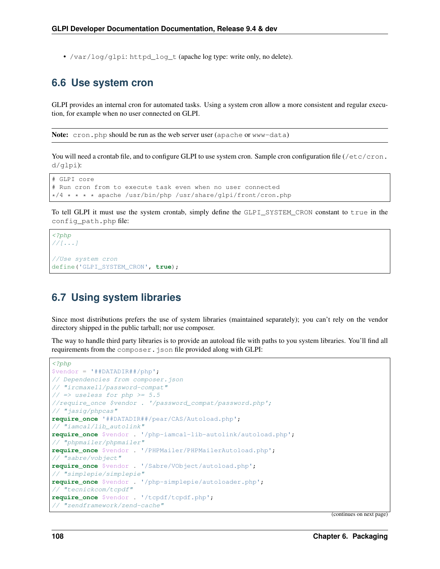• /var/log/glpi: httpd log t (apache log type: write only, no delete).

#### **6.6 Use system cron**

GLPI provides an internal cron for automated tasks. Using a system cron allow a more consistent and regular execution, for example when no user connected on GLPI.

Note: cron.php should be run as the web server user (apache or www-data)

You will need a crontab file, and to configure GLPI to use system cron. Sample cron configuration file (/etc/cron. d/glpi):

```
# GLPI core
# Run cron from to execute task even when no user connected
*/4 * * * * apache /usr/bin/php /usr/share/glpi/front/cron.php
```
To tell GLPI it must use the system crontab, simply define the GLPI\_SYSTEM\_CRON constant to true in the config\_path.php file:

```
<?php
//[...]
//Use system cron
define('GLPI_SYSTEM_CRON', true);
```
### **6.7 Using system libraries**

Since most distributions prefers the use of system libraries (maintained separately); you can't rely on the vendor directory shipped in the public tarball; nor use composer.

The way to handle third party libraries is to provide an autoload file with paths to you system libraries. You'll find all requirements from the composer.json file provided along with GLPI:

```
<?php$vendor = '##DATADIR##/php';
// Dependencies from composer.json
// "ircmaxell/password-compat"
// \Rightarrow useless for php >= 5.5
//require_once $vendor . '/password_compat/password.php';
// "jasig/phpcas"
require_once '##DATADIR##/pear/CAS/Autoload.php';
// "iamcal/lib_autolink"
require_once $vendor . '/php-iamcal-lib-autolink/autoload.php';
// "phpmailer/phpmailer"
require_once $vendor . '/PHPMailer/PHPMailerAutoload.php';
// "sabre/vobject"
require_once $vendor . '/Sabre/VObject/autoload.php';
// "simplepie/simplepie"
require_once $vendor . '/php-simplepie/autoloader.php';
// "tecnickcom/tcpdf"
require_once $vendor . '/tcpdf/tcpdf.php';
// "zendframework/zend-cache"
```
(continues on next page)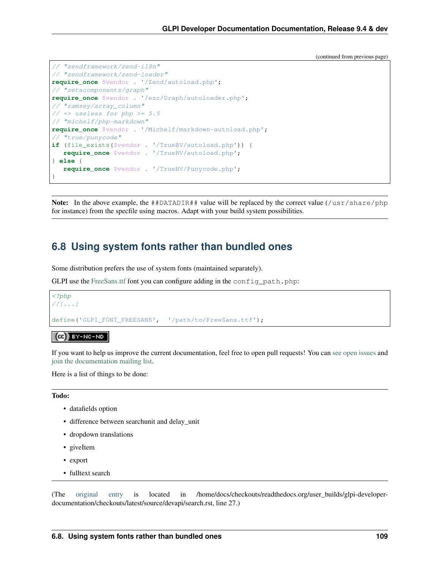(continued from previous page)

```
// "zendframework/zend-i18n"
// "zendframework/zend-loader"
require_once $vendor . '/Zend/autoload.php';
// "zetacomponents/graph"
require_once $vendor . '/ezc/Graph/autoloader.php';
// "ramsey/array_column"
// \Rightarrow useless for php >= 5.5
// "michelf/php-markdown"
require_once $vendor . '/Michelf/markdown-autoload.php';
// "true/punycode"
if (file_exists($vendor . '/TrueBV/autoload.php')) {
   require_once $vendor . '/TrueBV/autoload.php';
} else {
   require_once $vendor . '/TrueBV/Punycode.php';
}
```
**Note:** In the above example, the  $\#\text{DATADIR}\#$  value will be replaced by the correct value (/usr/share/php for instance) from the specfile using macros. Adapt with your build system possibilities.

## **6.8 Using system fonts rather than bundled ones**

Some distribution prefers the use of system fonts (maintained separately).

GLPI use the [FreeSans.ttf](http://www.nongnu.org/freefont/) font you can configure adding in the config\_path.php:

```
\langle ?php \rangle//[...]
define('GLPI_FONT_FREESANS', '/path/to/FreeSans.ttf');
```
#### $(G<sub>e</sub>)$  BY-NC-ND

If you want to help us improve the current documentation, feel free to open pull requests! You can [see open issues](https://github.com/glpi-project/docdev/issues) and [join the documentation mailing list.](https://mail.gna.org/listinfo/glpi-doc)

Here is a list of things to be done:

#### Todo:

- datafields option
- difference between searchunit and delay\_unit
- dropdown translations
- giveItem
- export
- fulltext search

(The [original entry](#page-38-0) is located in /home/docs/checkouts/readthedocs.org/user\_builds/glpi-developerdocumentation/checkouts/latest/source/devapi/search.rst, line 27.)